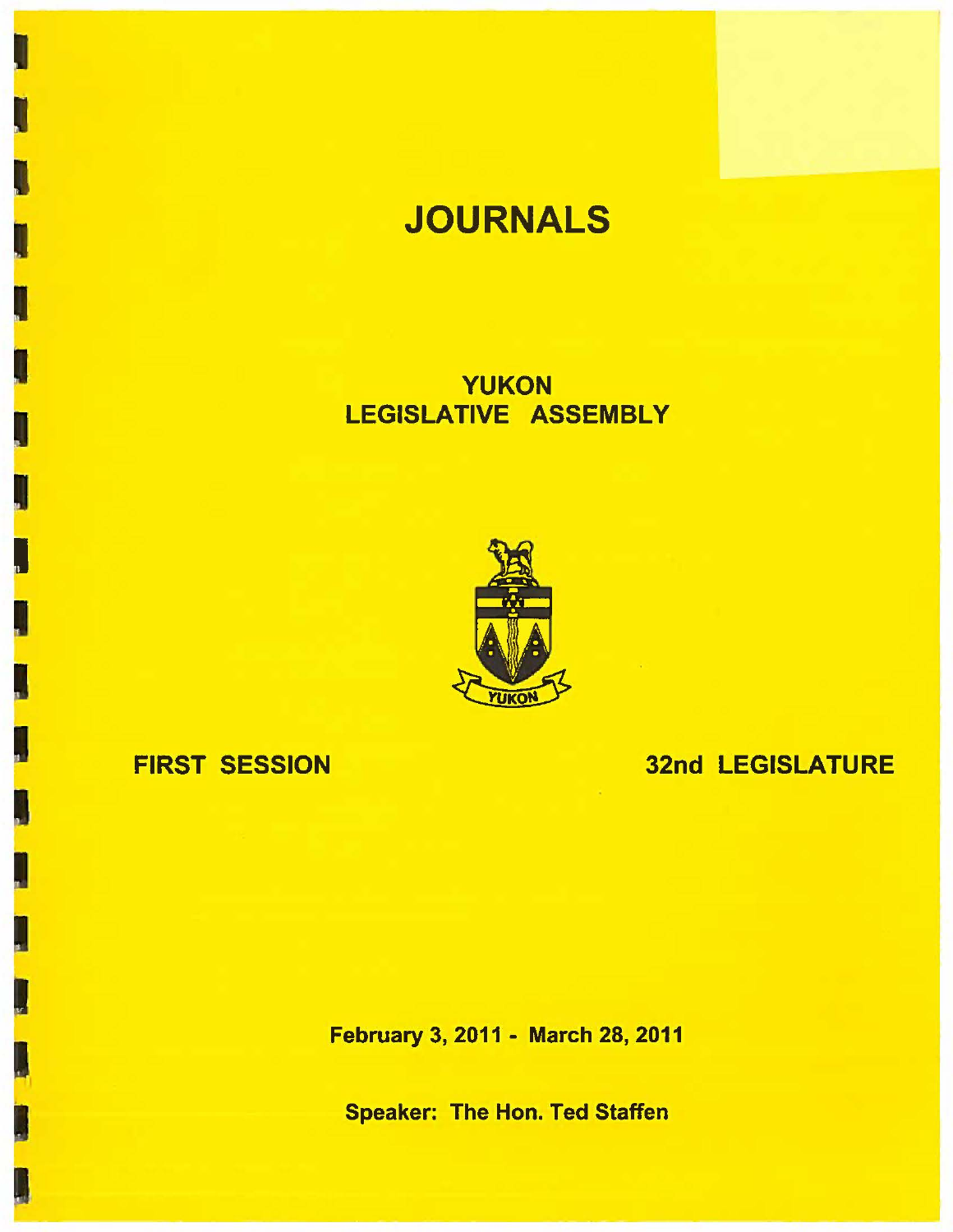# **JOURNALS**

YUKON LEGISLATIVE ASSEMBLY



## FIRST SESSION

32nd LEGISLATURE

February 3, 2011 - March 28, 2011

Speaker: The Hon. Ted Staffen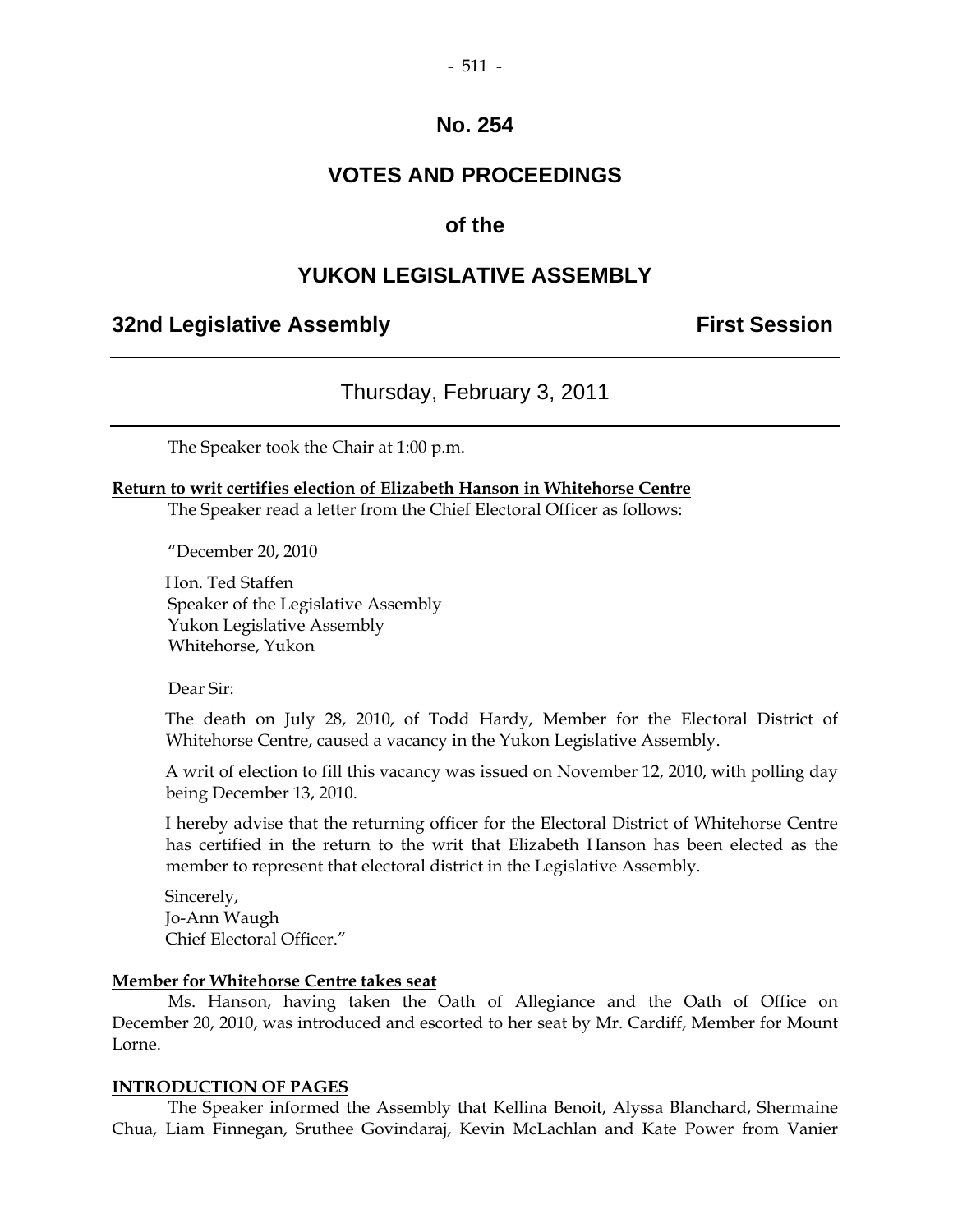## **VOTES AND PROCEEDINGS**

#### **of the**

#### **YUKON LEGISLATIVE ASSEMBLY**

#### **32nd Legislative Assembly First Session**

#### Thursday, February 3, 2011

The Speaker took the Chair at 1:00 p.m.

#### **Return to writ certifies election of Elizabeth Hanson in Whitehorse Centre**

The Speaker read a letter from the Chief Electoral Officer as follows:

"December 20, 2010

 Hon. Ted Staffen Speaker of the Legislative Assembly Yukon Legislative Assembly Whitehorse, Yukon

Dear Sir:

 The death on July 28, 2010, of Todd Hardy, Member for the Electoral District of Whitehorse Centre, caused a vacancy in the Yukon Legislative Assembly.

 A writ of election to fill this vacancy was issued on November 12, 2010, with polling day being December 13, 2010.

 I hereby advise that the returning officer for the Electoral District of Whitehorse Centre has certified in the return to the writ that Elizabeth Hanson has been elected as the member to represent that electoral district in the Legislative Assembly.

 Sincerely, Jo-Ann Waugh Chief Electoral Officer."

#### **Member for Whitehorse Centre takes seat**

 Ms. Hanson, having taken the Oath of Allegiance and the Oath of Office on December 20, 2010, was introduced and escorted to her seat by Mr. Cardiff, Member for Mount Lorne.

#### **INTRODUCTION OF PAGES**

 The Speaker informed the Assembly that Kellina Benoit, Alyssa Blanchard, Shermaine Chua, Liam Finnegan, Sruthee Govindaraj, Kevin McLachlan and Kate Power from Vanier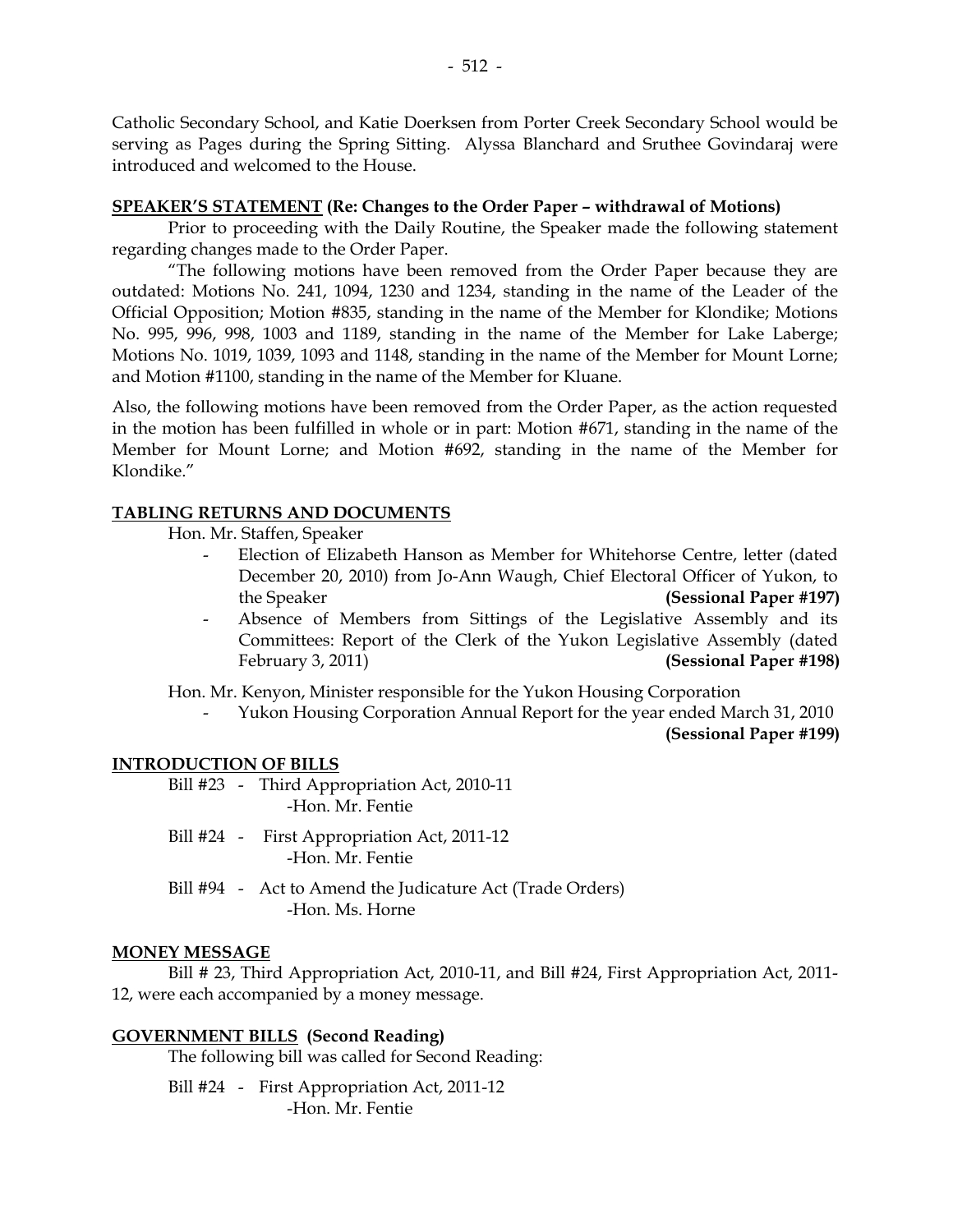Catholic Secondary School, and Katie Doerksen from Porter Creek Secondary School would be serving as Pages during the Spring Sitting. Alyssa Blanchard and Sruthee Govindaraj were introduced and welcomed to the House.

#### **SPEAKER'S STATEMENT (Re: Changes to the Order Paper – withdrawal of Motions)**

 Prior to proceeding with the Daily Routine, the Speaker made the following statement regarding changes made to the Order Paper.

 "The following motions have been removed from the Order Paper because they are outdated: Motions No. 241, 1094, 1230 and 1234, standing in the name of the Leader of the Official Opposition; Motion #835, standing in the name of the Member for Klondike; Motions No. 995, 996, 998, 1003 and 1189, standing in the name of the Member for Lake Laberge; Motions No. 1019, 1039, 1093 and 1148, standing in the name of the Member for Mount Lorne; and Motion #1100, standing in the name of the Member for Kluane.

Also, the following motions have been removed from the Order Paper, as the action requested in the motion has been fulfilled in whole or in part: Motion #671, standing in the name of the Member for Mount Lorne; and Motion #692, standing in the name of the Member for Klondike."

#### **TABLING RETURNS AND DOCUMENTS**

Hon. Mr. Staffen, Speaker

- Election of Elizabeth Hanson as Member for Whitehorse Centre, letter (dated December 20, 2010) from Jo-Ann Waugh, Chief Electoral Officer of Yukon, to the Speaker **(Sessional Paper #197)**
- Absence of Members from Sittings of the Legislative Assembly and its Committees: Report of the Clerk of the Yukon Legislative Assembly (dated February 3, 2011) **(Sessional Paper #198)**

Hon. Mr. Kenyon, Minister responsible for the Yukon Housing Corporation

- Yukon Housing Corporation Annual Report for the year ended March 31, 2010

**(Sessional Paper #199)** 

#### **INTRODUCTION OF BILLS**

- Bill #23 Third Appropriation Act, 2010-11 -Hon. Mr. Fentie
- Bill #24 First Appropriation Act, 2011-12 -Hon. Mr. Fentie
- Bill #94 Act to Amend the Judicature Act (Trade Orders) -Hon. Ms. Horne

#### **MONEY MESSAGE**

 Bill # 23, Third Appropriation Act, 2010-11, and Bill #24, First Appropriation Act, 2011- 12, were each accompanied by a money message.

#### **GOVERNMENT BILLS (Second Reading)**

The following bill was called for Second Reading:

 Bill #24 - First Appropriation Act, 2011-12 -Hon. Mr. Fentie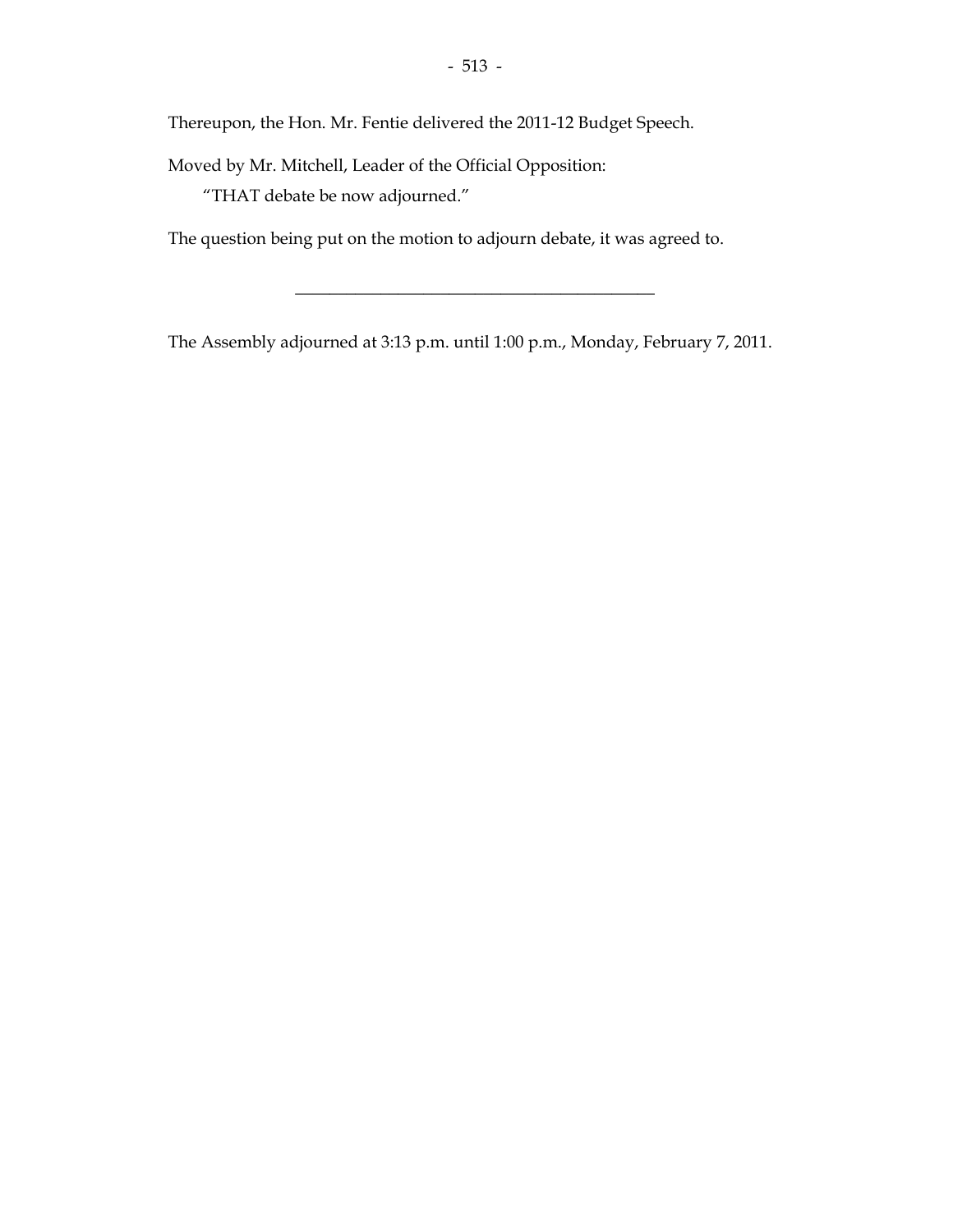Thereupon, the Hon. Mr. Fentie delivered the 2011-12 Budget Speech.

Moved by Mr. Mitchell, Leader of the Official Opposition:

"THAT debate be now adjourned."

The question being put on the motion to adjourn debate, it was agreed to.

The Assembly adjourned at 3:13 p.m. until 1:00 p.m., Monday, February 7, 2011.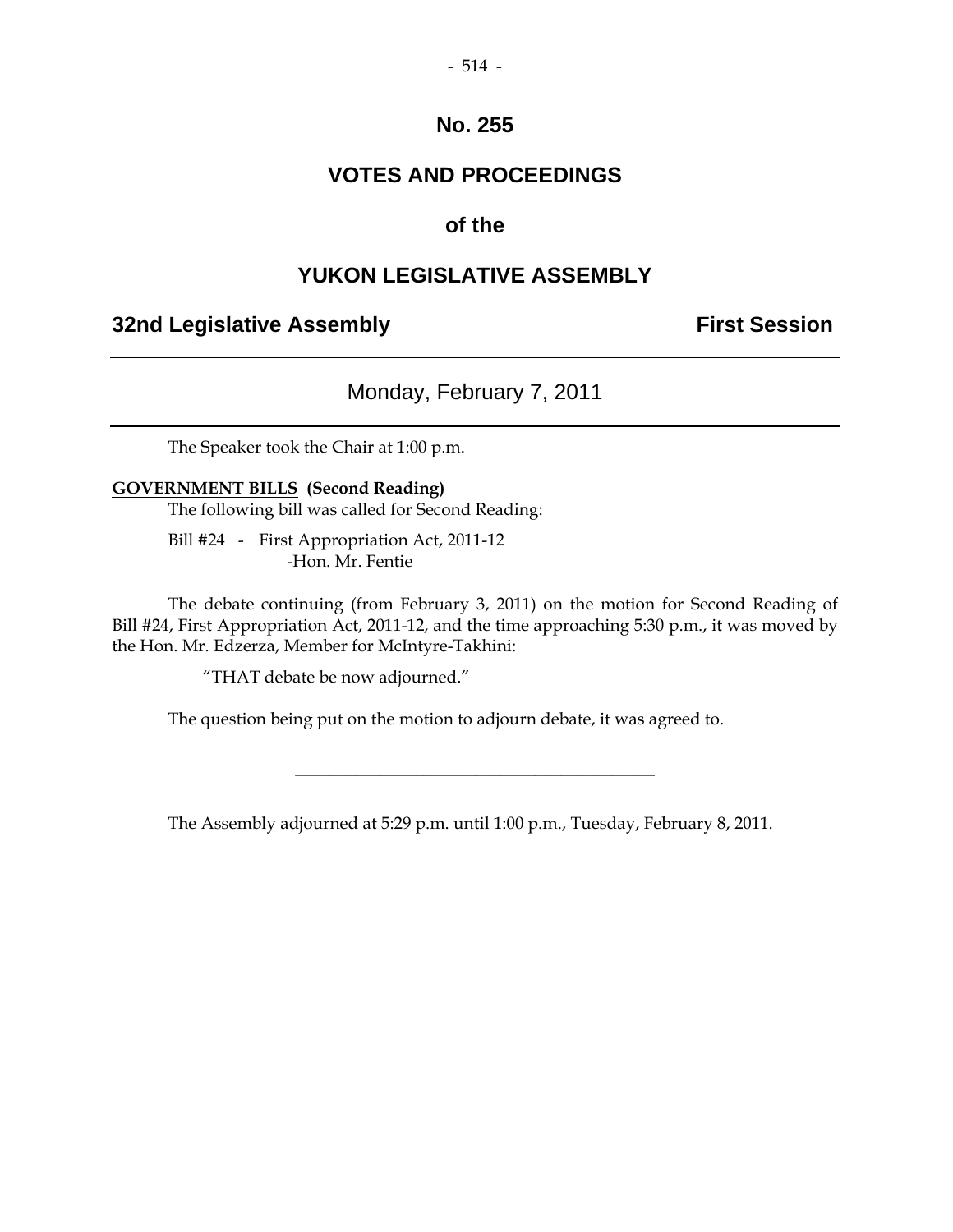## **VOTES AND PROCEEDINGS**

## **of the**

#### **YUKON LEGISLATIVE ASSEMBLY**

#### **32nd Legislative Assembly First Session**

## Monday, February 7, 2011

The Speaker took the Chair at 1:00 p.m.

#### **GOVERNMENT BILLS (Second Reading)**

The following bill was called for Second Reading:

 Bill #24 - First Appropriation Act, 2011-12 -Hon. Mr. Fentie

 The debate continuing (from February 3, 2011) on the motion for Second Reading of Bill #24, First Appropriation Act, 2011-12, and the time approaching 5:30 p.m., it was moved by the Hon. Mr. Edzerza, Member for McIntyre-Takhini:

"THAT debate be now adjourned."

The question being put on the motion to adjourn debate, it was agreed to.

The Assembly adjourned at 5:29 p.m. until 1:00 p.m., Tuesday, February 8, 2011.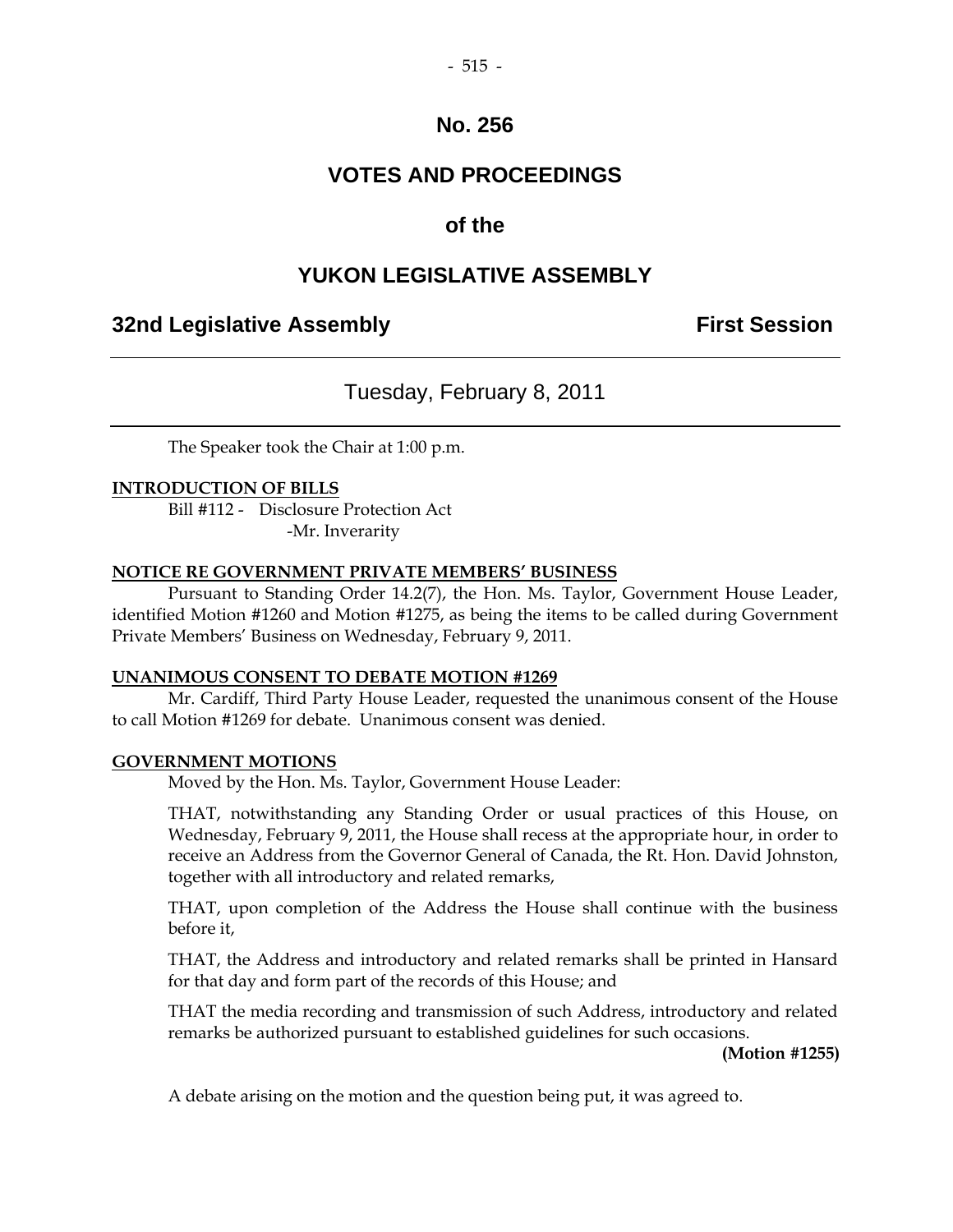## **VOTES AND PROCEEDINGS**

## **of the**

## **YUKON LEGISLATIVE ASSEMBLY**

## **32nd Legislative Assembly First Session**

## Tuesday, February 8, 2011

The Speaker took the Chair at 1:00 p.m.

#### **INTRODUCTION OF BILLS**

 Bill #112 - Disclosure Protection Act -Mr. Inverarity

#### **NOTICE RE GOVERNMENT PRIVATE MEMBERS' BUSINESS**

 Pursuant to Standing Order 14.2(7), the Hon. Ms. Taylor, Government House Leader, identified Motion #1260 and Motion #1275, as being the items to be called during Government Private Members' Business on Wednesday, February 9, 2011.

#### **UNANIMOUS CONSENT TO DEBATE MOTION #1269**

 Mr. Cardiff, Third Party House Leader, requested the unanimous consent of the House to call Motion #1269 for debate. Unanimous consent was denied.

#### **GOVERNMENT MOTIONS**

Moved by the Hon. Ms. Taylor, Government House Leader:

 THAT, notwithstanding any Standing Order or usual practices of this House, on Wednesday, February 9, 2011, the House shall recess at the appropriate hour, in order to receive an Address from the Governor General of Canada, the Rt. Hon. David Johnston, together with all introductory and related remarks,

 THAT, upon completion of the Address the House shall continue with the business before it,

 THAT, the Address and introductory and related remarks shall be printed in Hansard for that day and form part of the records of this House; and

 THAT the media recording and transmission of such Address, introductory and related remarks be authorized pursuant to established guidelines for such occasions.

**(Motion #1255)** 

A debate arising on the motion and the question being put, it was agreed to.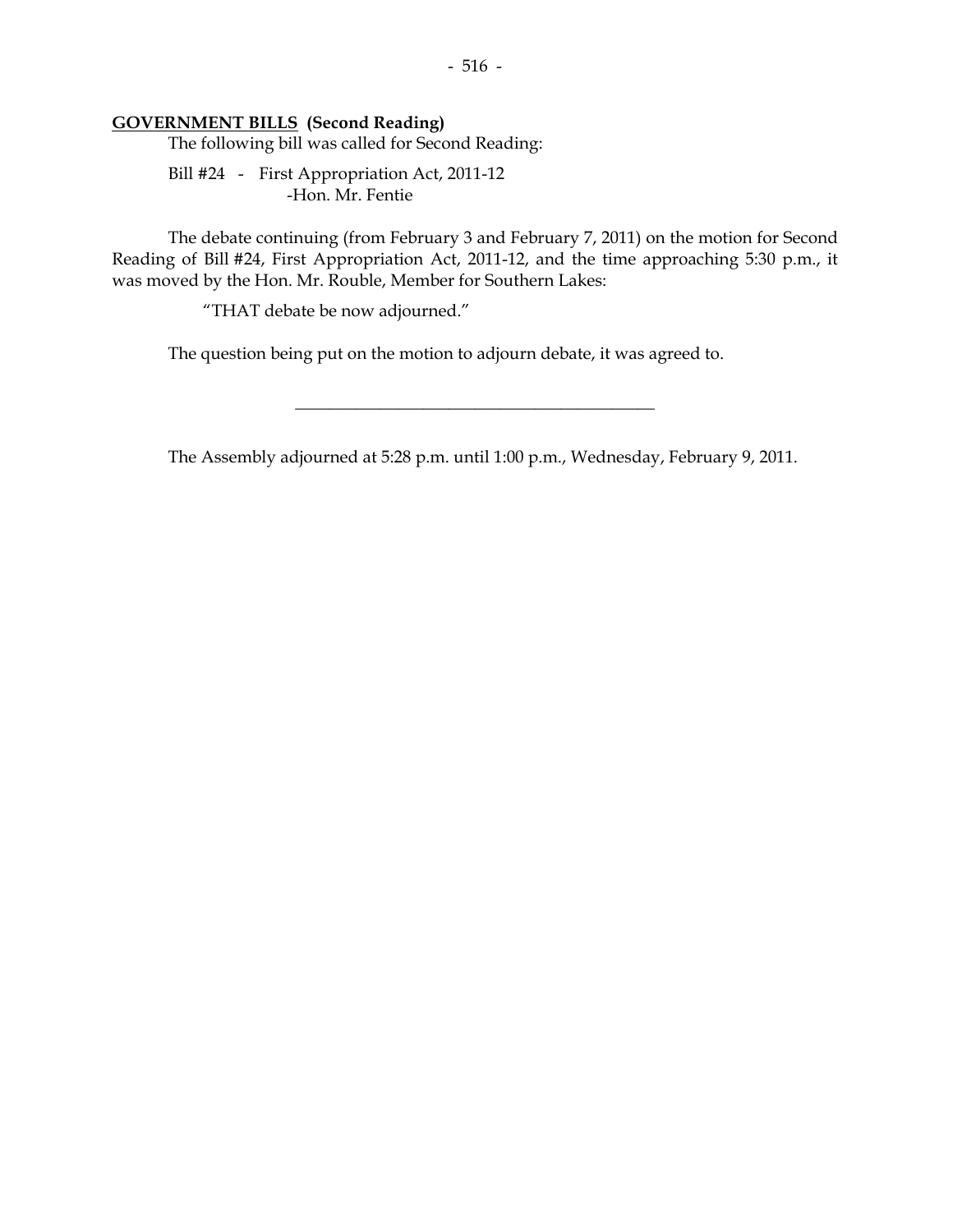#### **GOVERNMENT BILLS (Second Reading)**

The following bill was called for Second Reading:

 Bill #24 - First Appropriation Act, 2011-12 -Hon. Mr. Fentie

 The debate continuing (from February 3 and February 7, 2011) on the motion for Second Reading of Bill #24, First Appropriation Act, 2011-12, and the time approaching 5:30 p.m., it was moved by the Hon. Mr. Rouble, Member for Southern Lakes:

"THAT debate be now adjourned."

The question being put on the motion to adjourn debate, it was agreed to.

The Assembly adjourned at 5:28 p.m. until 1:00 p.m., Wednesday, February 9, 2011.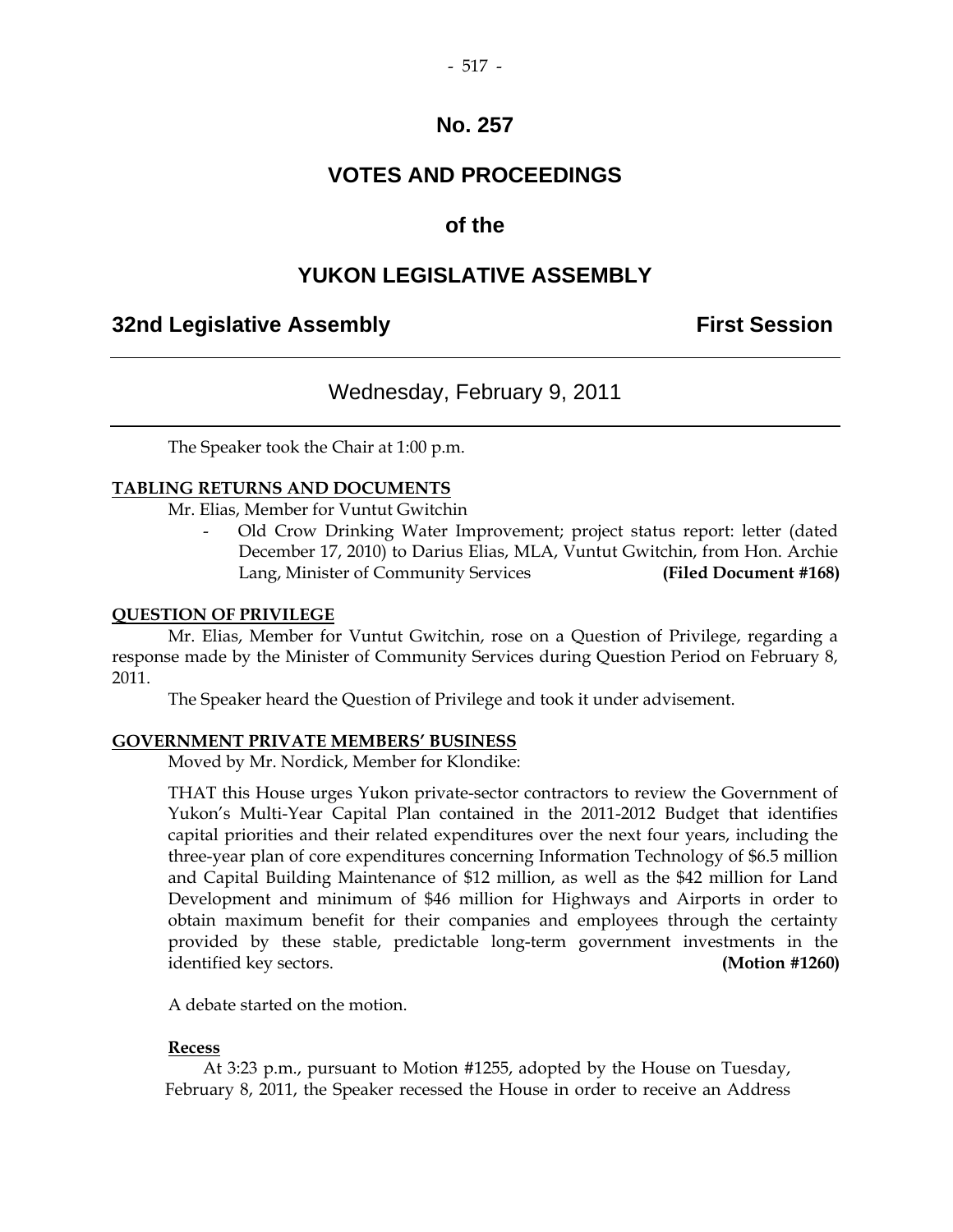## **VOTES AND PROCEEDINGS**

## **of the**

## **YUKON LEGISLATIVE ASSEMBLY**

## **32nd Legislative Assembly First Session**

## Wednesday, February 9, 2011

The Speaker took the Chair at 1:00 p.m.

#### **TABLING RETURNS AND DOCUMENTS**

Mr. Elias, Member for Vuntut Gwitchin

 - Old Crow Drinking Water Improvement; project status report: letter (dated December 17, 2010) to Darius Elias, MLA, Vuntut Gwitchin, from Hon. Archie Lang, Minister of Community Services **(Filed Document #168)** 

#### **QUESTION OF PRIVILEGE**

 Mr. Elias, Member for Vuntut Gwitchin, rose on a Question of Privilege, regarding a response made by the Minister of Community Services during Question Period on February 8, 2011.

The Speaker heard the Question of Privilege and took it under advisement.

#### **GOVERNMENT PRIVATE MEMBERS' BUSINESS**

Moved by Mr. Nordick, Member for Klondike:

 THAT this House urges Yukon private-sector contractors to review the Government of Yukon's Multi-Year Capital Plan contained in the 2011-2012 Budget that identifies capital priorities and their related expenditures over the next four years, including the three-year plan of core expenditures concerning Information Technology of \$6.5 million and Capital Building Maintenance of \$12 million, as well as the \$42 million for Land Development and minimum of \$46 million for Highways and Airports in order to obtain maximum benefit for their companies and employees through the certainty provided by these stable, predictable long-term government investments in the identified key sectors. **(Motion #1260)** 

A debate started on the motion.

#### **Recess**

 At 3:23 p.m., pursuant to Motion #1255, adopted by the House on Tuesday, February 8, 2011, the Speaker recessed the House in order to receive an Address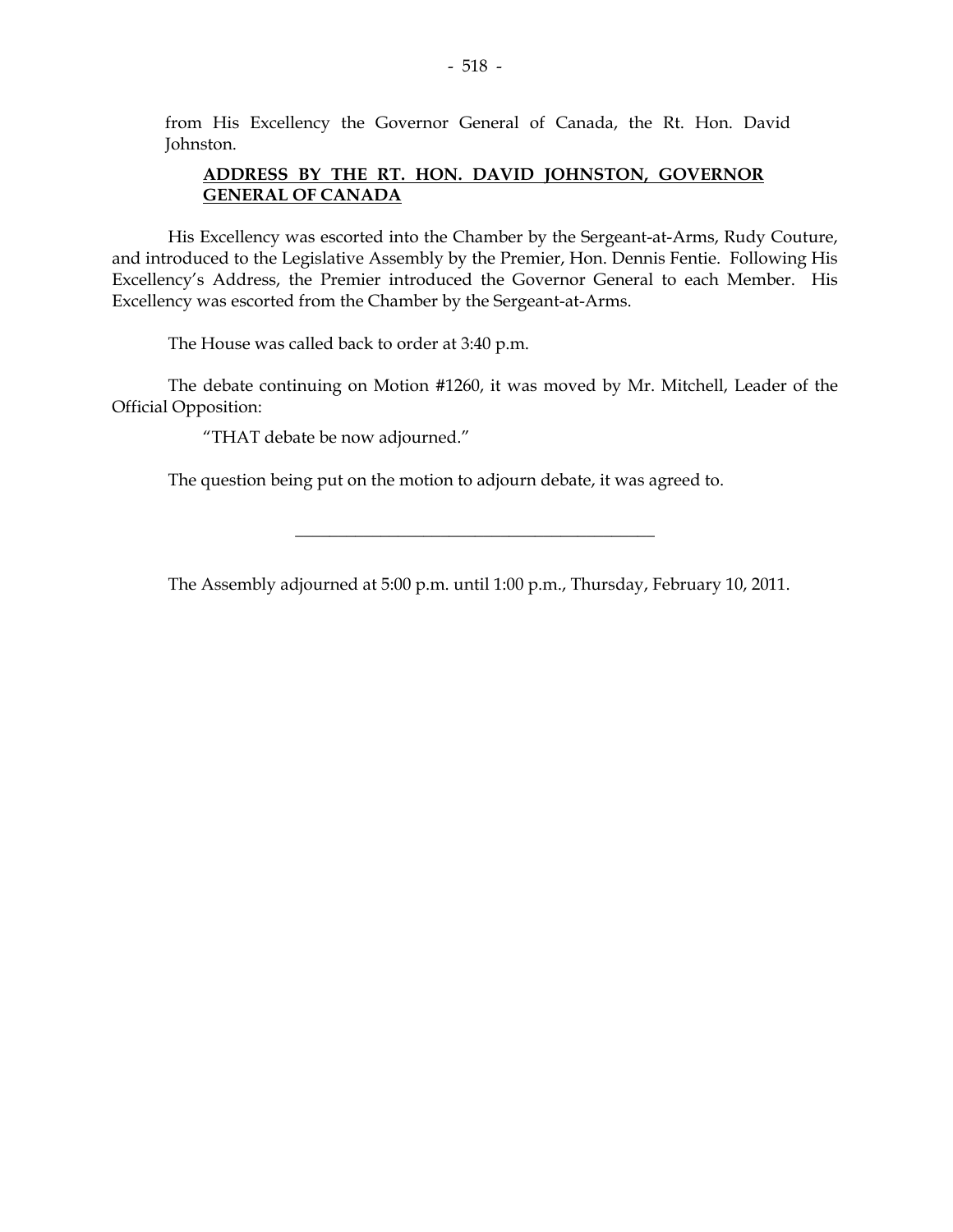from His Excellency the Governor General of Canada, the Rt. Hon. David Johnston.

#### **ADDRESS BY THE RT. HON. DAVID JOHNSTON, GOVERNOR GENERAL OF CANADA**

 His Excellency was escorted into the Chamber by the Sergeant-at-Arms, Rudy Couture, and introduced to the Legislative Assembly by the Premier, Hon. Dennis Fentie. Following His Excellency's Address, the Premier introduced the Governor General to each Member. His Excellency was escorted from the Chamber by the Sergeant-at-Arms.

The House was called back to order at 3:40 p.m.

 The debate continuing on Motion #1260, it was moved by Mr. Mitchell, Leader of the Official Opposition:

"THAT debate be now adjourned."

The question being put on the motion to adjourn debate, it was agreed to.

The Assembly adjourned at 5:00 p.m. until 1:00 p.m., Thursday, February 10, 2011.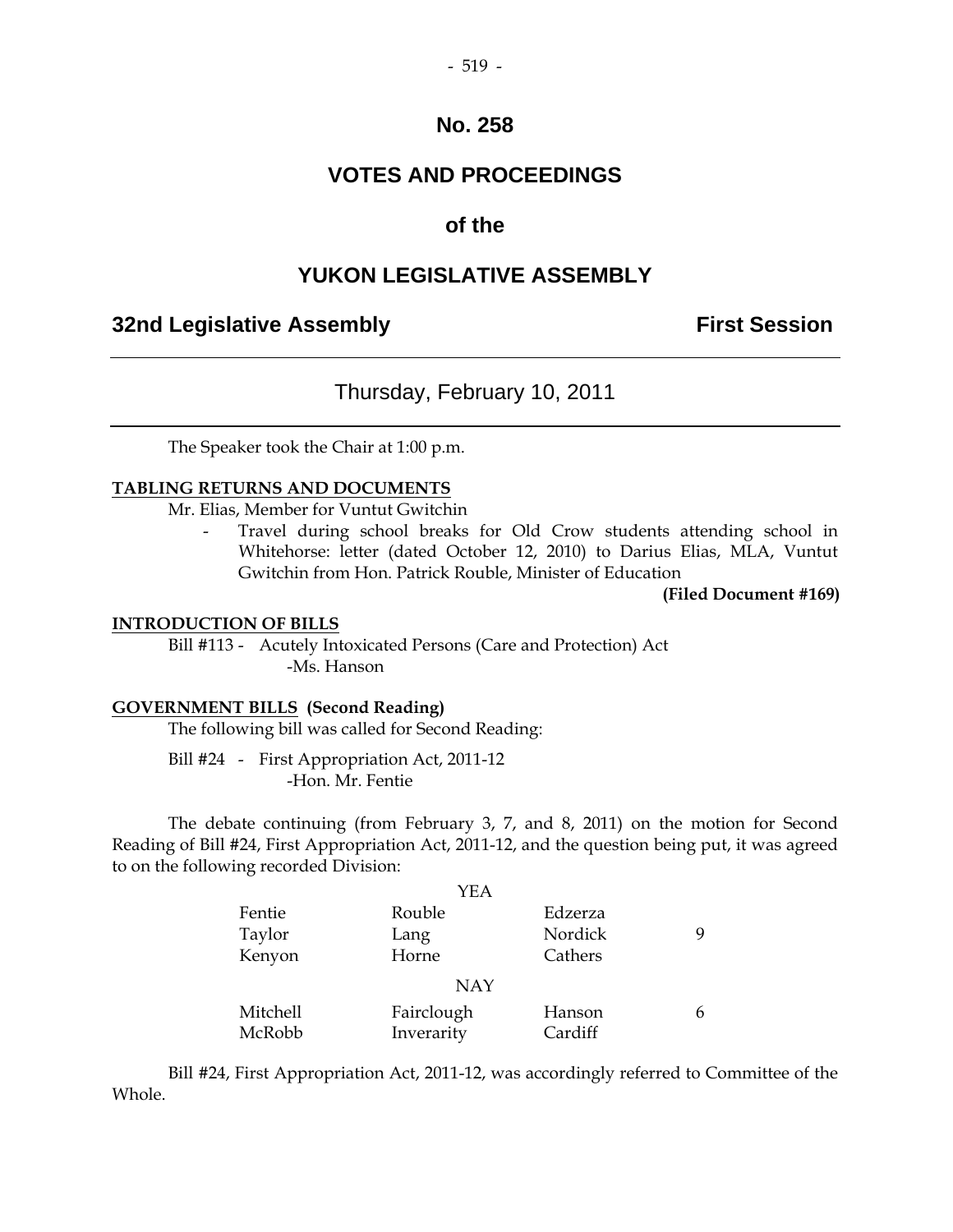## **VOTES AND PROCEEDINGS**

## **of the**

#### **YUKON LEGISLATIVE ASSEMBLY**

## **32nd Legislative Assembly First Session**

## Thursday, February 10, 2011

The Speaker took the Chair at 1:00 p.m.

#### **TABLING RETURNS AND DOCUMENTS**

Mr. Elias, Member for Vuntut Gwitchin

Travel during school breaks for Old Crow students attending school in Whitehorse: letter (dated October 12, 2010) to Darius Elias, MLA, Vuntut Gwitchin from Hon. Patrick Rouble, Minister of Education

**(Filed Document #169)** 

#### **INTRODUCTION OF BILLS**

 Bill #113 - Acutely Intoxicated Persons (Care and Protection) Act -Ms. Hanson

#### **GOVERNMENT BILLS (Second Reading)**

The following bill was called for Second Reading:

 Bill #24 - First Appropriation Act, 2011-12 -Hon. Mr. Fentie

 The debate continuing (from February 3, 7, and 8, 2011) on the motion for Second Reading of Bill #24, First Appropriation Act, 2011-12, and the question being put, it was agreed to on the following recorded Division:

|          | YEA        |         |  |
|----------|------------|---------|--|
| Fentie   | Rouble     | Edzerza |  |
| Taylor   | Lang       | Nordick |  |
| Kenyon   | Horne      | Cathers |  |
|          | <b>NAY</b> |         |  |
| Mitchell | Fairclough | Hanson  |  |
| McRobb   | Inverarity | Cardiff |  |

 Bill #24, First Appropriation Act, 2011-12, was accordingly referred to Committee of the Whole.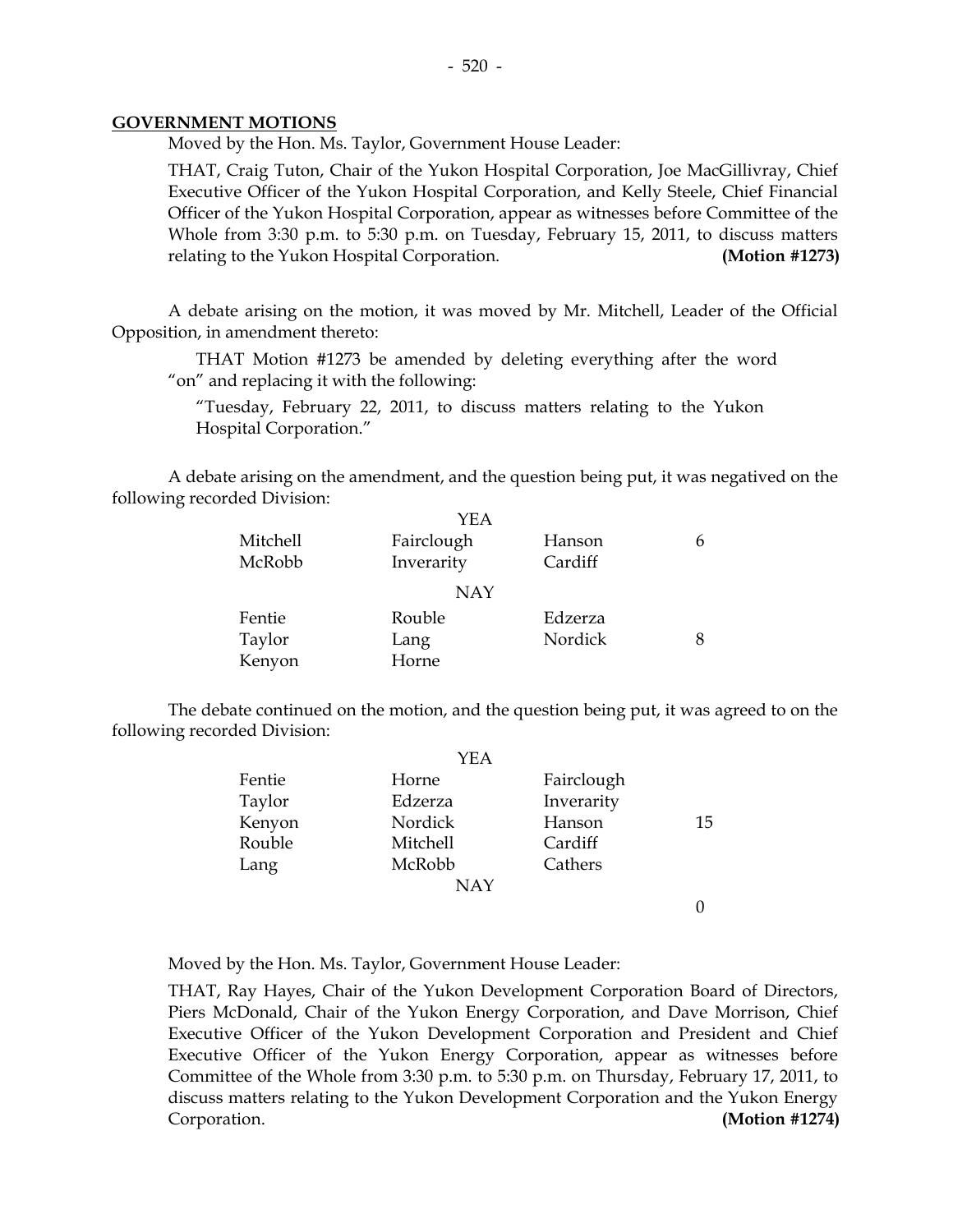#### **GOVERNMENT MOTIONS**

Moved by the Hon. Ms. Taylor, Government House Leader:

 THAT, Craig Tuton, Chair of the Yukon Hospital Corporation, Joe MacGillivray, Chief Executive Officer of the Yukon Hospital Corporation, and Kelly Steele, Chief Financial Officer of the Yukon Hospital Corporation, appear as witnesses before Committee of the Whole from 3:30 p.m. to 5:30 p.m. on Tuesday, February 15, 2011, to discuss matters relating to the Yukon Hospital Corporation. **(Motion #1273)** 

 A debate arising on the motion, it was moved by Mr. Mitchell, Leader of the Official Opposition, in amendment thereto:

 THAT Motion #1273 be amended by deleting everything after the word "on" and replacing it with the following:

 "Tuesday, February 22, 2011, to discuss matters relating to the Yukon Hospital Corporation."

 A debate arising on the amendment, and the question being put, it was negatived on the following recorded Division:

|          | YEA        |         |  |
|----------|------------|---------|--|
| Mitchell | Fairclough | Hanson  |  |
| McRobb   | Inverarity | Cardiff |  |
|          | <b>NAY</b> |         |  |
| Fentie   | Rouble     | Edzerza |  |
| Taylor   | Lang       | Nordick |  |
| Kenyon   | Horne      |         |  |

 The debate continued on the motion, and the question being put, it was agreed to on the following recorded Division:

|        | YEA        |            |    |
|--------|------------|------------|----|
| Fentie | Horne      | Fairclough |    |
| Taylor | Edzerza    | Inverarity |    |
| Kenyon | Nordick    | Hanson     | 15 |
| Rouble | Mitchell   | Cardiff    |    |
| Lang   | McRobb     | Cathers    |    |
|        | <b>NAY</b> |            |    |
|        |            |            |    |

Moved by the Hon. Ms. Taylor, Government House Leader:

 THAT, Ray Hayes, Chair of the Yukon Development Corporation Board of Directors, Piers McDonald, Chair of the Yukon Energy Corporation, and Dave Morrison, Chief Executive Officer of the Yukon Development Corporation and President and Chief Executive Officer of the Yukon Energy Corporation, appear as witnesses before Committee of the Whole from 3:30 p.m. to 5:30 p.m. on Thursday, February 17, 2011, to discuss matters relating to the Yukon Development Corporation and the Yukon Energy Corporation. **(Motion #1274)**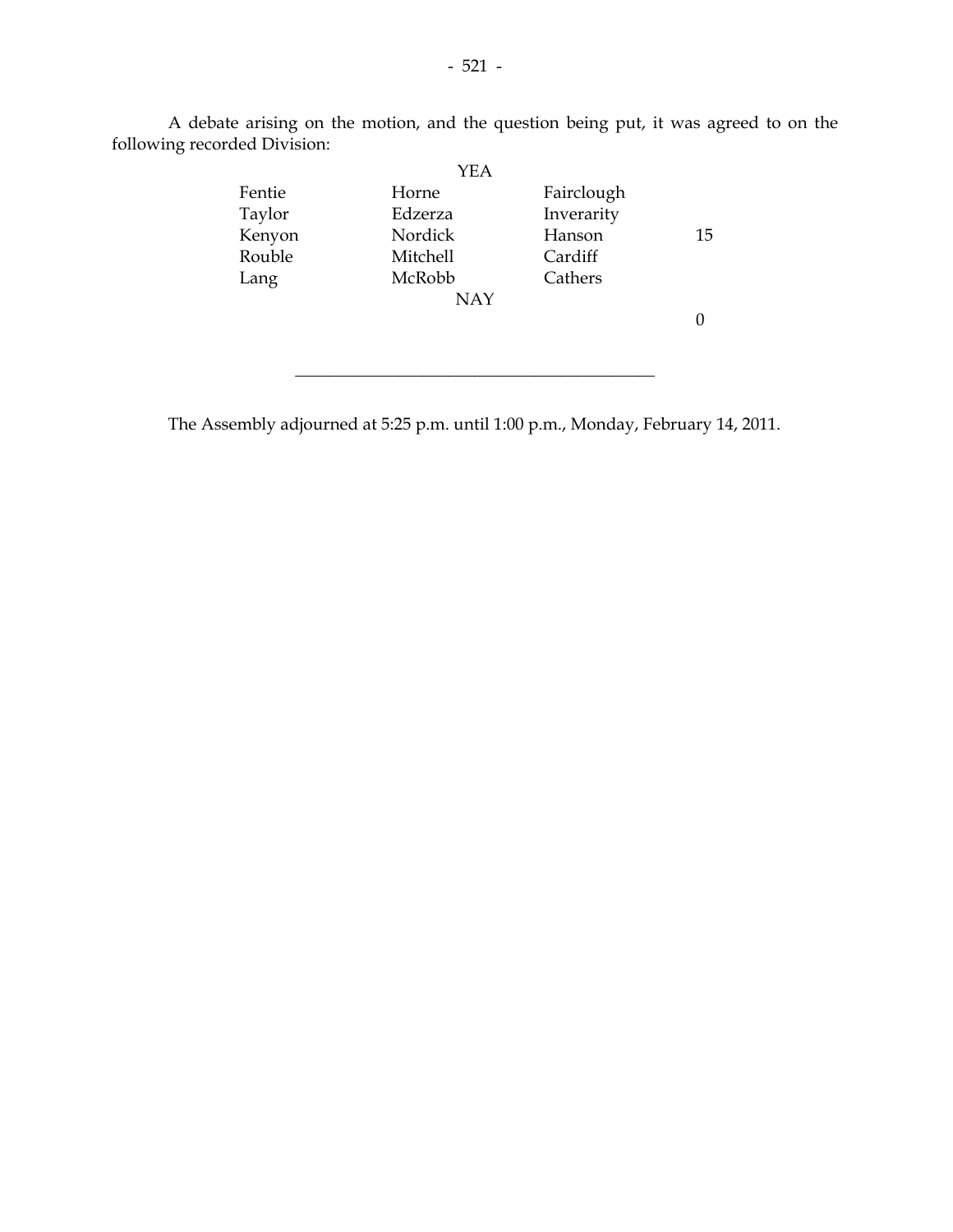|        | <b>YEA</b> |            |    |
|--------|------------|------------|----|
| Fentie | Horne      | Fairclough |    |
| Taylor | Edzerza    | Inverarity |    |
| Kenyon | Nordick    | Hanson     | 15 |
| Rouble | Mitchell   | Cardiff    |    |
| Lang   | McRobb     | Cathers    |    |
|        | <b>NAY</b> |            |    |
|        |            |            |    |
|        |            |            |    |
|        |            |            |    |
|        |            |            |    |

A debate arising on the motion, and the question being put, it was agreed to on the following recorded Division:

The Assembly adjourned at 5:25 p.m. until 1:00 p.m., Monday, February 14, 2011.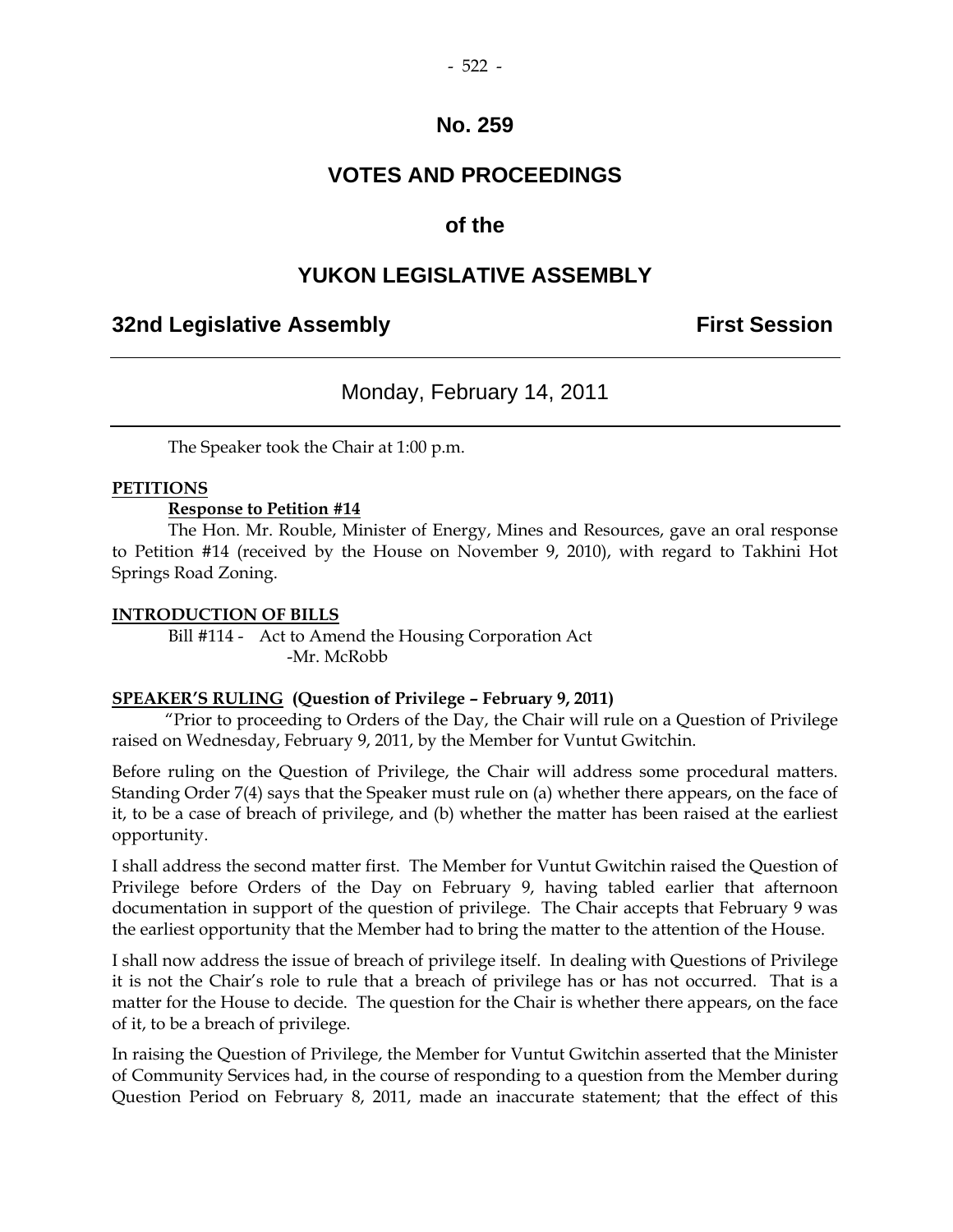## **VOTES AND PROCEEDINGS**

## **of the**

## **YUKON LEGISLATIVE ASSEMBLY**

## **32nd Legislative Assembly First Session**

## Monday, February 14, 2011

The Speaker took the Chair at 1:00 p.m.

#### **PETITIONS**

#### **Response to Petition #14**

 The Hon. Mr. Rouble, Minister of Energy, Mines and Resources, gave an oral response to Petition #14 (received by the House on November 9, 2010), with regard to Takhini Hot Springs Road Zoning.

#### **INTRODUCTION OF BILLS**

 Bill #114 - Act to Amend the Housing Corporation Act -Mr. McRobb

#### **SPEAKER'S RULING (Question of Privilege – February 9, 2011)**

 "Prior to proceeding to Orders of the Day, the Chair will rule on a Question of Privilege raised on Wednesday, February 9, 2011, by the Member for Vuntut Gwitchin.

Before ruling on the Question of Privilege, the Chair will address some procedural matters. Standing Order 7(4) says that the Speaker must rule on (a) whether there appears, on the face of it, to be a case of breach of privilege, and (b) whether the matter has been raised at the earliest opportunity.

I shall address the second matter first. The Member for Vuntut Gwitchin raised the Question of Privilege before Orders of the Day on February 9, having tabled earlier that afternoon documentation in support of the question of privilege. The Chair accepts that February 9 was the earliest opportunity that the Member had to bring the matter to the attention of the House.

I shall now address the issue of breach of privilege itself. In dealing with Questions of Privilege it is not the Chair's role to rule that a breach of privilege has or has not occurred. That is a matter for the House to decide. The question for the Chair is whether there appears, on the face of it, to be a breach of privilege.

In raising the Question of Privilege, the Member for Vuntut Gwitchin asserted that the Minister of Community Services had, in the course of responding to a question from the Member during Question Period on February 8, 2011, made an inaccurate statement; that the effect of this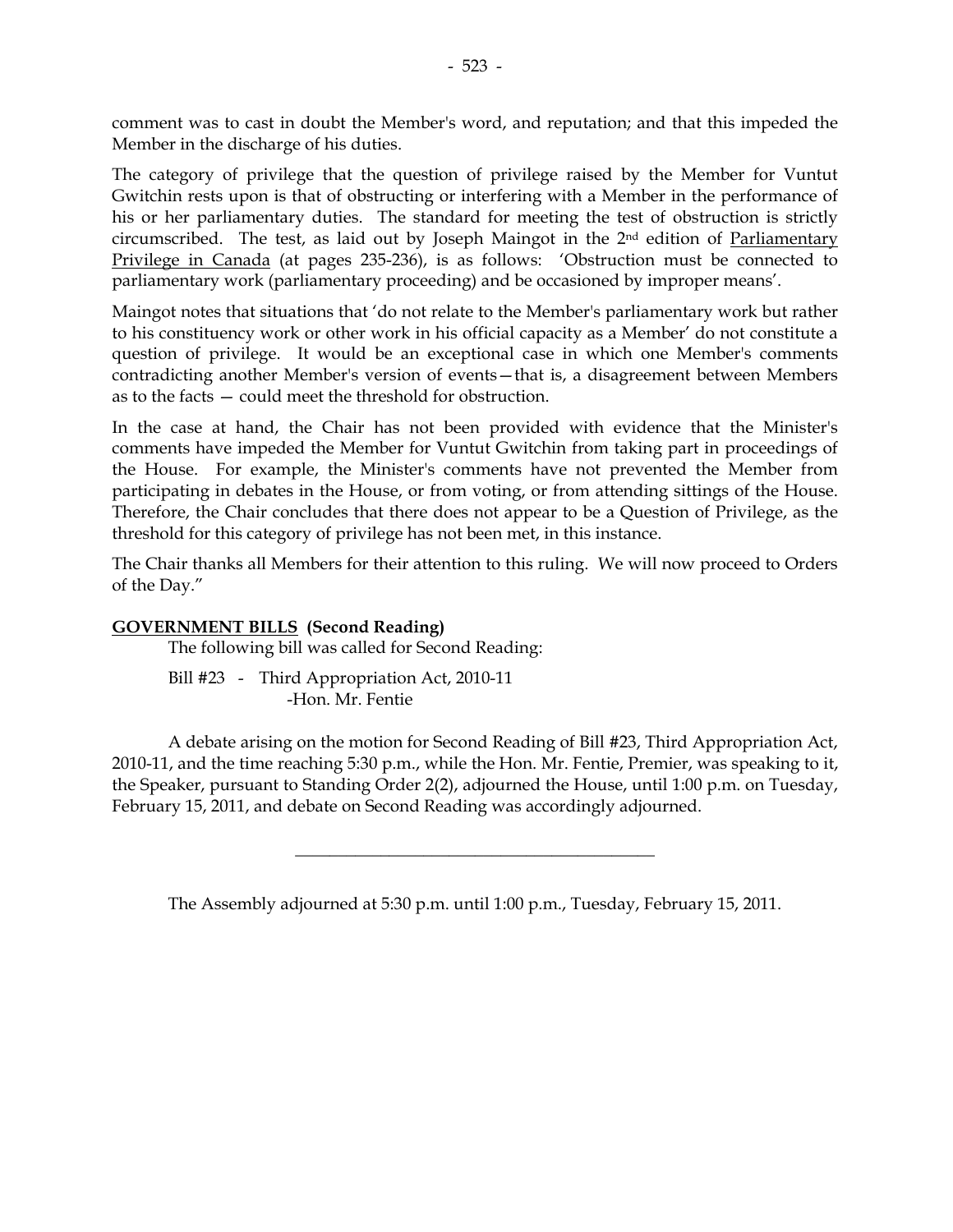comment was to cast in doubt the Member's word, and reputation; and that this impeded the Member in the discharge of his duties.

The category of privilege that the question of privilege raised by the Member for Vuntut Gwitchin rests upon is that of obstructing or interfering with a Member in the performance of his or her parliamentary duties. The standard for meeting the test of obstruction is strictly circumscribed. The test, as laid out by Joseph Maingot in the 2<sup>nd</sup> edition of Parliamentary Privilege in Canada (at pages 235-236), is as follows: 'Obstruction must be connected to parliamentary work (parliamentary proceeding) and be occasioned by improper means'.

Maingot notes that situations that 'do not relate to the Member's parliamentary work but rather to his constituency work or other work in his official capacity as a Member' do not constitute a question of privilege. It would be an exceptional case in which one Member's comments contradicting another Member's version of events—that is, a disagreement between Members as to the facts — could meet the threshold for obstruction.

In the case at hand, the Chair has not been provided with evidence that the Minister's comments have impeded the Member for Vuntut Gwitchin from taking part in proceedings of the House. For example, the Minister's comments have not prevented the Member from participating in debates in the House, or from voting, or from attending sittings of the House. Therefore, the Chair concludes that there does not appear to be a Question of Privilege, as the threshold for this category of privilege has not been met, in this instance.

The Chair thanks all Members for their attention to this ruling. We will now proceed to Orders of the Day."

#### **GOVERNMENT BILLS (Second Reading)**

The following bill was called for Second Reading:

 Bill #23 - Third Appropriation Act, 2010-11 -Hon. Mr. Fentie

 A debate arising on the motion for Second Reading of Bill #23, Third Appropriation Act, 2010-11, and the time reaching 5:30 p.m., while the Hon. Mr. Fentie, Premier, was speaking to it, the Speaker, pursuant to Standing Order 2(2), adjourned the House, until 1:00 p.m. on Tuesday, February 15, 2011, and debate on Second Reading was accordingly adjourned.

The Assembly adjourned at 5:30 p.m. until 1:00 p.m., Tuesday, February 15, 2011.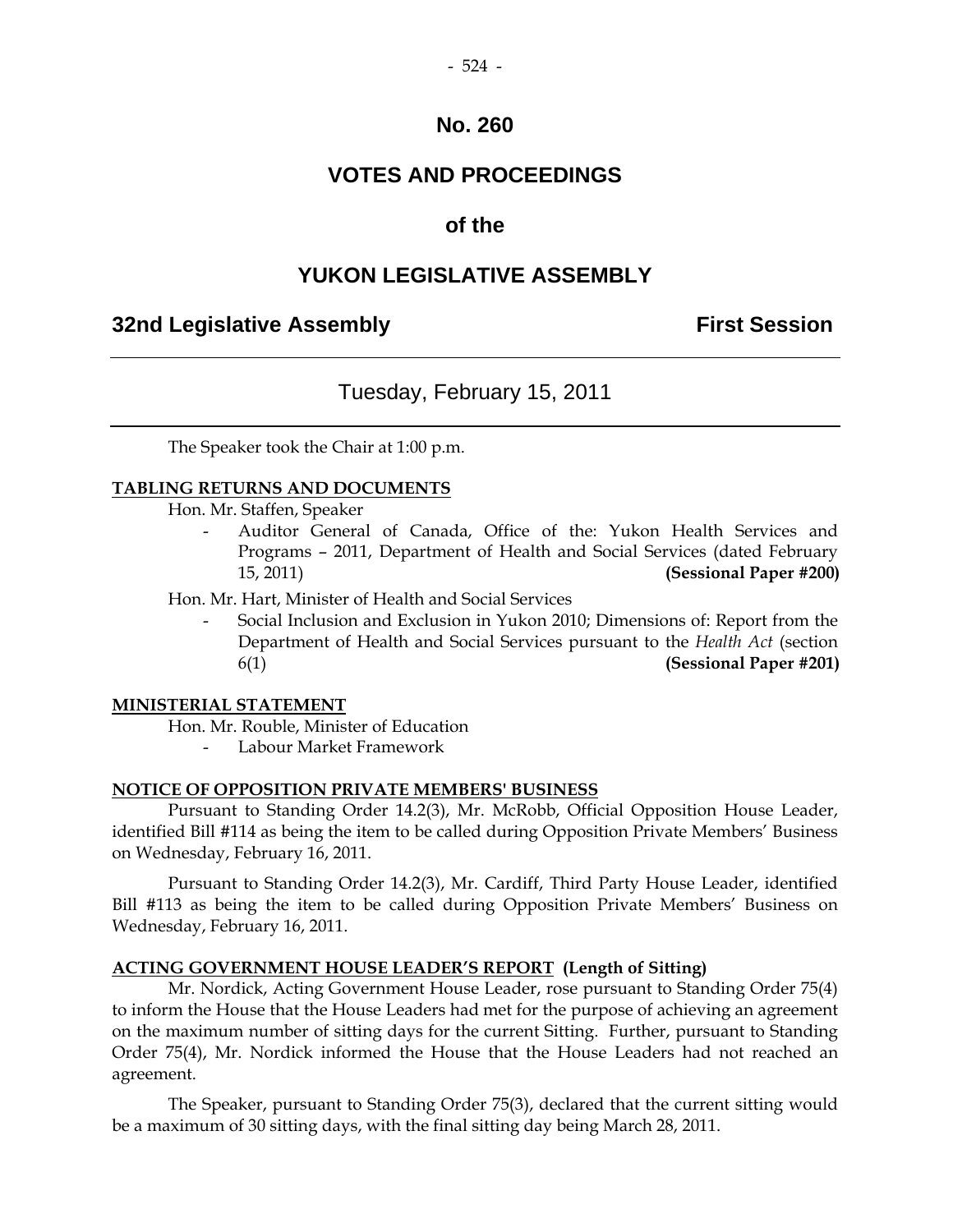## **VOTES AND PROCEEDINGS**

## **of the**

## **YUKON LEGISLATIVE ASSEMBLY**

#### **32nd Legislative Assembly First Session**

#### Tuesday, February 15, 2011

The Speaker took the Chair at 1:00 p.m.

#### **TABLING RETURNS AND DOCUMENTS**

Hon. Mr. Staffen, Speaker

Auditor General of Canada, Office of the: Yukon Health Services and Programs – 2011, Department of Health and Social Services (dated February 15, 2011) **(Sessional Paper #200)** 

Hon. Mr. Hart, Minister of Health and Social Services

 - Social Inclusion and Exclusion in Yukon 2010; Dimensions of: Report from the Department of Health and Social Services pursuant to the *Health Act* (section 6(1) **(Sessional Paper #201)** 

#### **MINISTERIAL STATEMENT**

Hon. Mr. Rouble, Minister of Education

- Labour Market Framework

#### **NOTICE OF OPPOSITION PRIVATE MEMBERS' BUSINESS**

 Pursuant to Standing Order 14.2(3), Mr. McRobb, Official Opposition House Leader, identified Bill #114 as being the item to be called during Opposition Private Members' Business on Wednesday, February 16, 2011.

 Pursuant to Standing Order 14.2(3), Mr. Cardiff, Third Party House Leader, identified Bill #113 as being the item to be called during Opposition Private Members' Business on Wednesday, February 16, 2011.

#### **ACTING GOVERNMENT HOUSE LEADER'S REPORT (Length of Sitting)**

 Mr. Nordick, Acting Government House Leader, rose pursuant to Standing Order 75(4) to inform the House that the House Leaders had met for the purpose of achieving an agreement on the maximum number of sitting days for the current Sitting. Further, pursuant to Standing Order 75(4), Mr. Nordick informed the House that the House Leaders had not reached an agreement.

 The Speaker, pursuant to Standing Order 75(3), declared that the current sitting would be a maximum of 30 sitting days, with the final sitting day being March 28, 2011.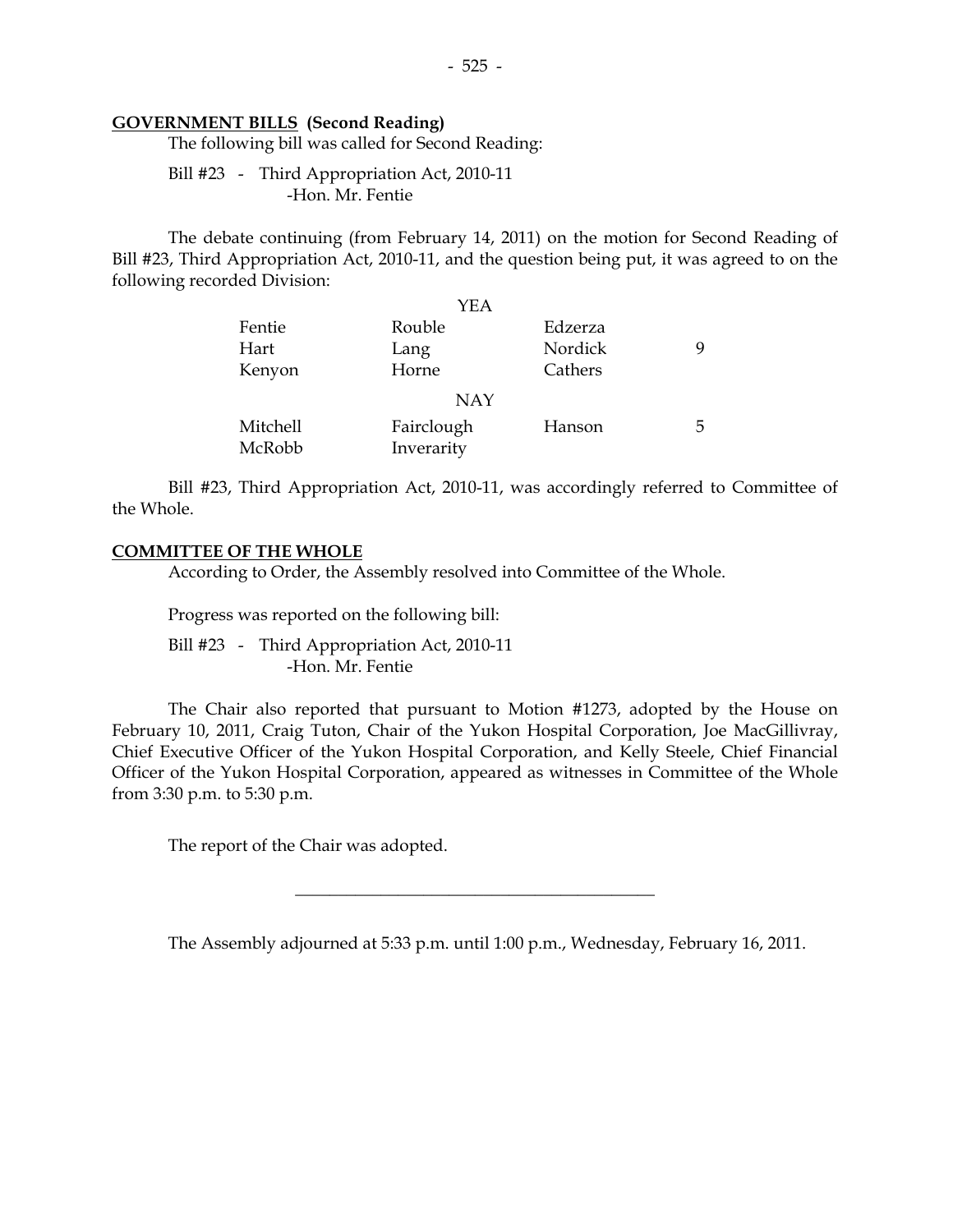#### **GOVERNMENT BILLS (Second Reading)**

The following bill was called for Second Reading:

 Bill #23 - Third Appropriation Act, 2010-11 -Hon. Mr. Fentie

 The debate continuing (from February 14, 2011) on the motion for Second Reading of Bill #23, Third Appropriation Act, 2010-11, and the question being put, it was agreed to on the following recorded Division:

|          | YEA        |         |    |
|----------|------------|---------|----|
| Fentie   | Rouble     | Edzerza |    |
| Hart     | Lang       | Nordick |    |
| Kenyon   | Horne      | Cathers |    |
|          | <b>NAY</b> |         |    |
| Mitchell | Fairclough | Hanson  | ٠h |
| McRobb   | Inverarity |         |    |

 Bill #23, Third Appropriation Act, 2010-11, was accordingly referred to Committee of the Whole.

#### **COMMITTEE OF THE WHOLE**

According to Order, the Assembly resolved into Committee of the Whole.

Progress was reported on the following bill:

 Bill #23 - Third Appropriation Act, 2010-11 -Hon. Mr. Fentie

 The Chair also reported that pursuant to Motion #1273, adopted by the House on February 10, 2011, Craig Tuton, Chair of the Yukon Hospital Corporation, Joe MacGillivray, Chief Executive Officer of the Yukon Hospital Corporation, and Kelly Steele, Chief Financial Officer of the Yukon Hospital Corporation, appeared as witnesses in Committee of the Whole from 3:30 p.m. to 5:30 p.m.

The report of the Chair was adopted.

The Assembly adjourned at 5:33 p.m. until 1:00 p.m., Wednesday, February 16, 2011.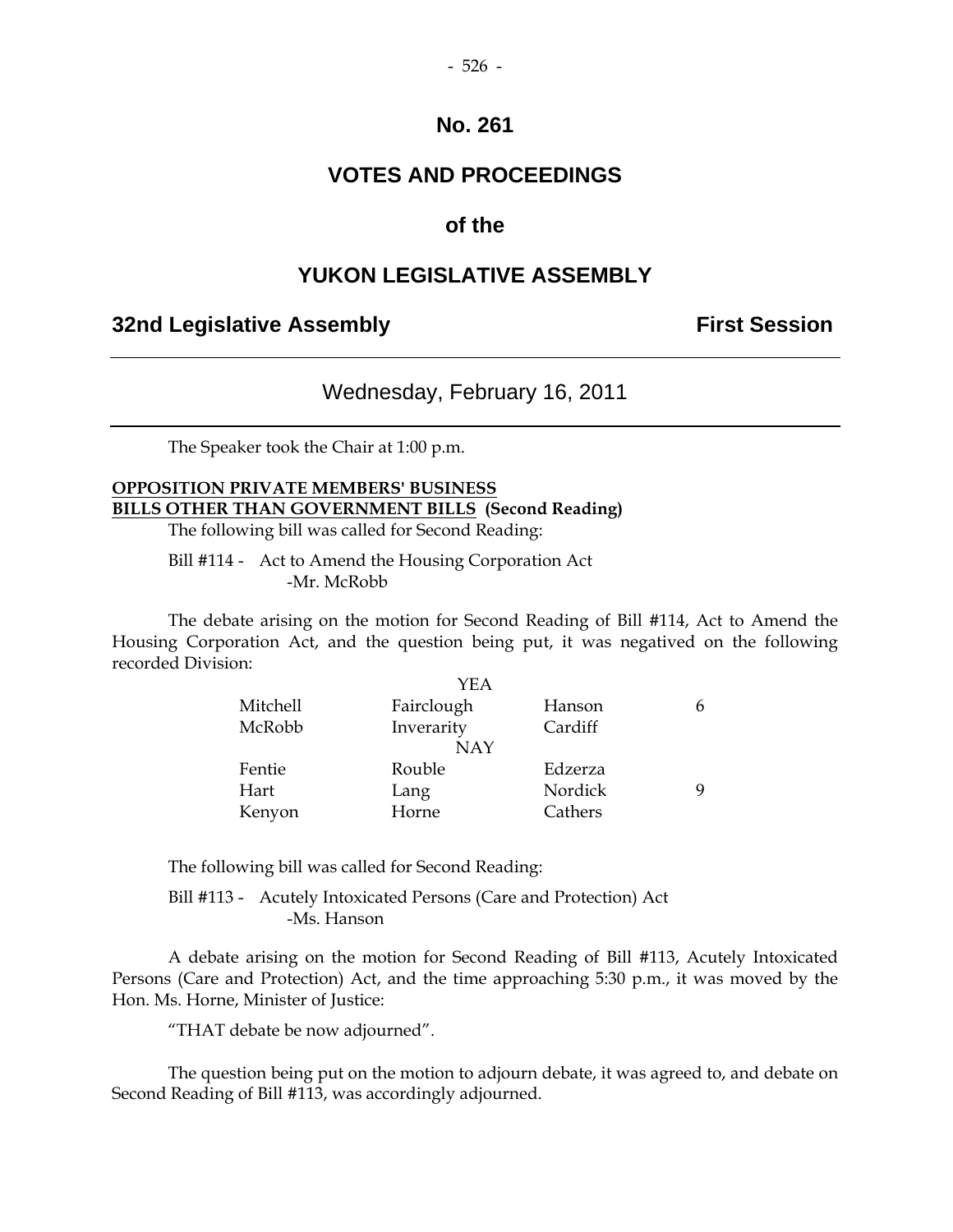## **VOTES AND PROCEEDINGS**

#### **of the**

#### **YUKON LEGISLATIVE ASSEMBLY**

#### **32nd Legislative Assembly First Session**

## Wednesday, February 16, 2011

The Speaker took the Chair at 1:00 p.m.

## **OPPOSITION PRIVATE MEMBERS' BUSINESS BILLS OTHER THAN GOVERNMENT BILLS (Second Reading)**

The following bill was called for Second Reading:

 Bill #114 - Act to Amend the Housing Corporation Act -Mr. McRobb

 The debate arising on the motion for Second Reading of Bill #114, Act to Amend the Housing Corporation Act, and the question being put, it was negatived on the following recorded Division:

|          | YEA        |         |  |
|----------|------------|---------|--|
| Mitchell | Fairclough | Hanson  |  |
| McRobb   | Inverarity | Cardiff |  |
|          | <b>NAY</b> |         |  |
| Fentie   | Rouble     | Edzerza |  |
| Hart     | Lang       | Nordick |  |
| Kenyon   | Horne      | Cathers |  |

The following bill was called for Second Reading:

 Bill #113 - Acutely Intoxicated Persons (Care and Protection) Act -Ms. Hanson

 A debate arising on the motion for Second Reading of Bill #113, Acutely Intoxicated Persons (Care and Protection) Act, and the time approaching 5:30 p.m., it was moved by the Hon. Ms. Horne, Minister of Justice:

"THAT debate be now adjourned".

 The question being put on the motion to adjourn debate, it was agreed to, and debate on Second Reading of Bill #113, was accordingly adjourned.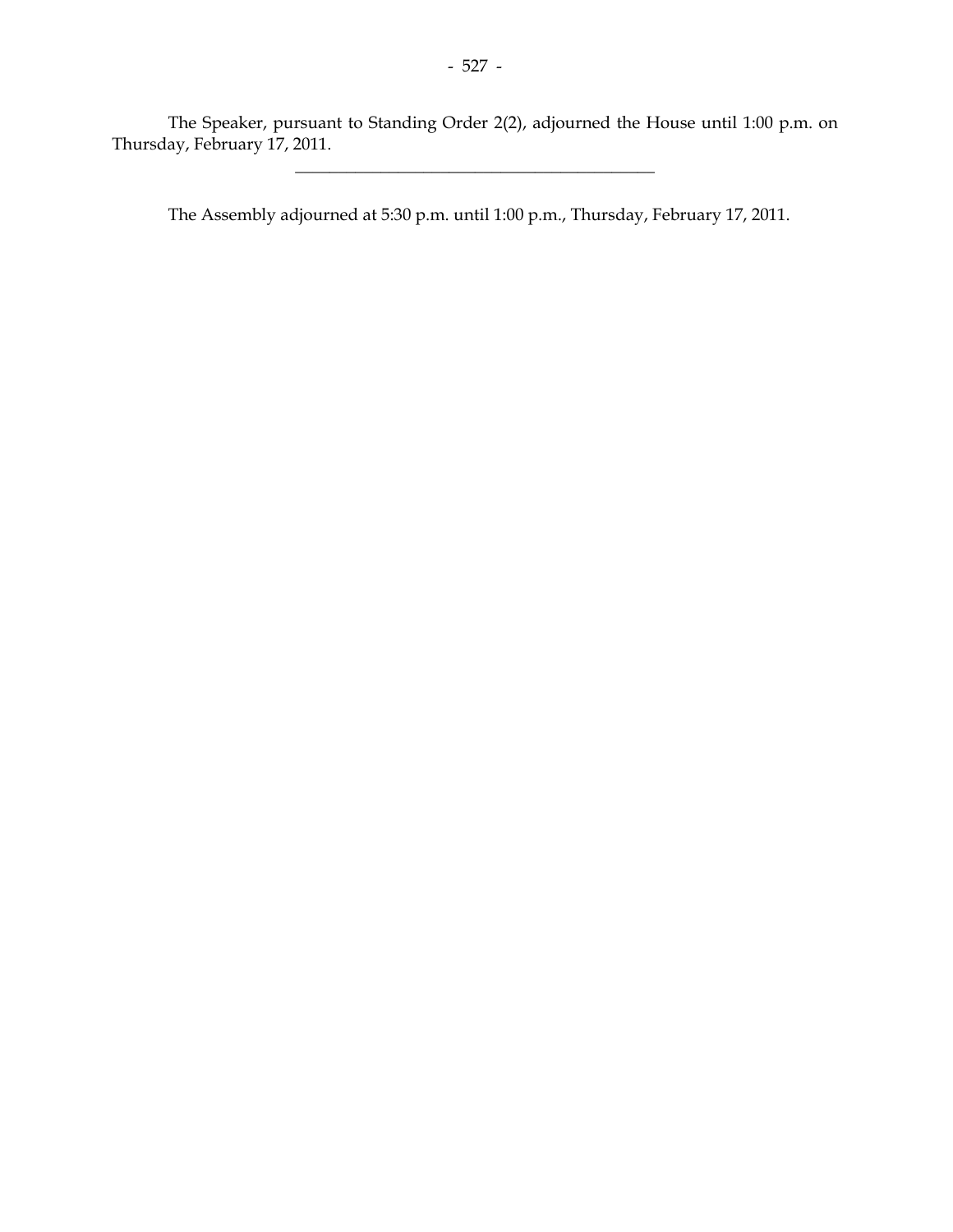The Speaker, pursuant to Standing Order 2(2), adjourned the House until 1:00 p.m. on Thursday, February 17, 2011.

\_\_\_\_\_\_\_\_\_\_\_\_\_\_\_\_\_\_\_\_\_\_\_\_\_\_\_\_\_\_\_\_\_\_\_\_\_\_\_\_\_\_

The Assembly adjourned at 5:30 p.m. until 1:00 p.m., Thursday, February 17, 2011.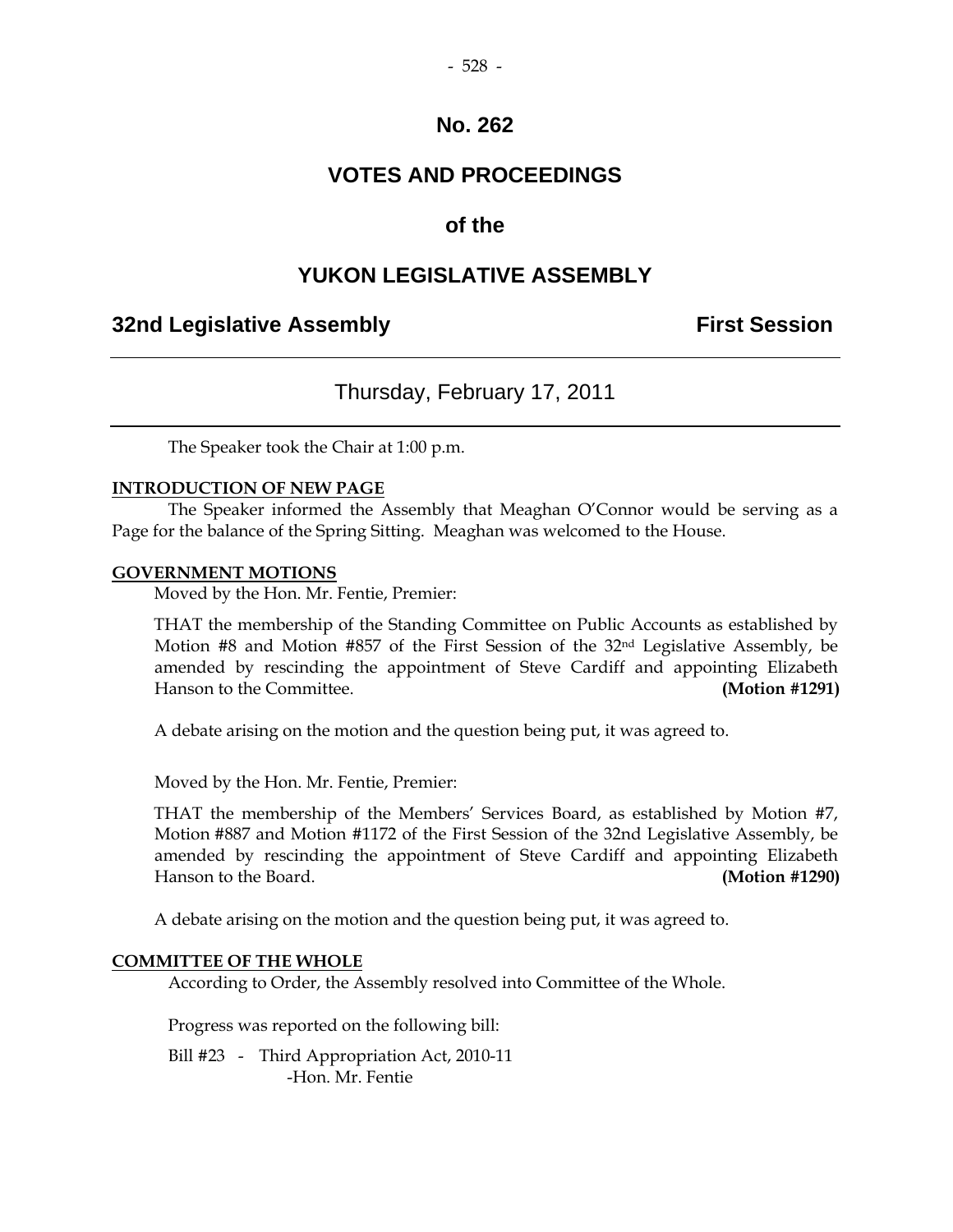## **VOTES AND PROCEEDINGS**

## **of the**

#### **YUKON LEGISLATIVE ASSEMBLY**

#### **32nd Legislative Assembly The Contract Session**

#### Thursday, February 17, 2011

The Speaker took the Chair at 1:00 p.m.

#### **INTRODUCTION OF NEW PAGE**

 The Speaker informed the Assembly that Meaghan O'Connor would be serving as a Page for the balance of the Spring Sitting. Meaghan was welcomed to the House.

#### **GOVERNMENT MOTIONS**

Moved by the Hon. Mr. Fentie, Premier:

 THAT the membership of the Standing Committee on Public Accounts as established by Motion  $#8$  and Motion  $#857$  of the First Session of the  $32<sup>nd</sup>$  Legislative Assembly, be amended by rescinding the appointment of Steve Cardiff and appointing Elizabeth Hanson to the Committee. **(Motion #1291)**

A debate arising on the motion and the question being put, it was agreed to.

Moved by the Hon. Mr. Fentie, Premier:

 THAT the membership of the Members' Services Board, as established by Motion #7, Motion #887 and Motion #1172 of the First Session of the 32nd Legislative Assembly, be amended by rescinding the appointment of Steve Cardiff and appointing Elizabeth Hanson to the Board. **(Motion #1290)** 

A debate arising on the motion and the question being put, it was agreed to.

#### **COMMITTEE OF THE WHOLE**

According to Order, the Assembly resolved into Committee of the Whole.

Progress was reported on the following bill:

 Bill #23 - Third Appropriation Act, 2010-11 -Hon. Mr. Fentie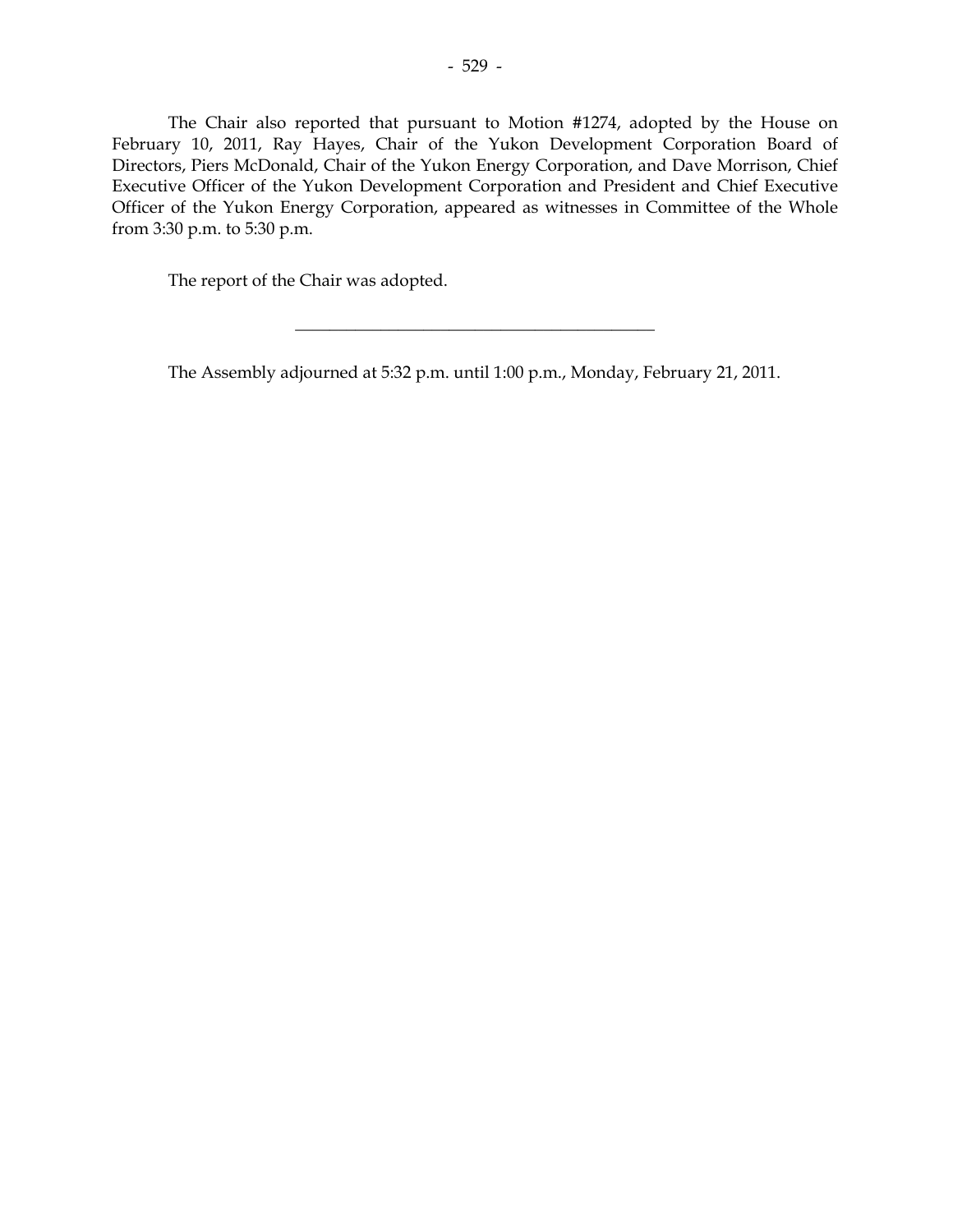The Chair also reported that pursuant to Motion #1274, adopted by the House on February 10, 2011, Ray Hayes, Chair of the Yukon Development Corporation Board of Directors, Piers McDonald, Chair of the Yukon Energy Corporation, and Dave Morrison, Chief Executive Officer of the Yukon Development Corporation and President and Chief Executive Officer of the Yukon Energy Corporation, appeared as witnesses in Committee of the Whole from 3:30 p.m. to 5:30 p.m.

The report of the Chair was adopted.

The Assembly adjourned at 5:32 p.m. until 1:00 p.m., Monday, February 21, 2011.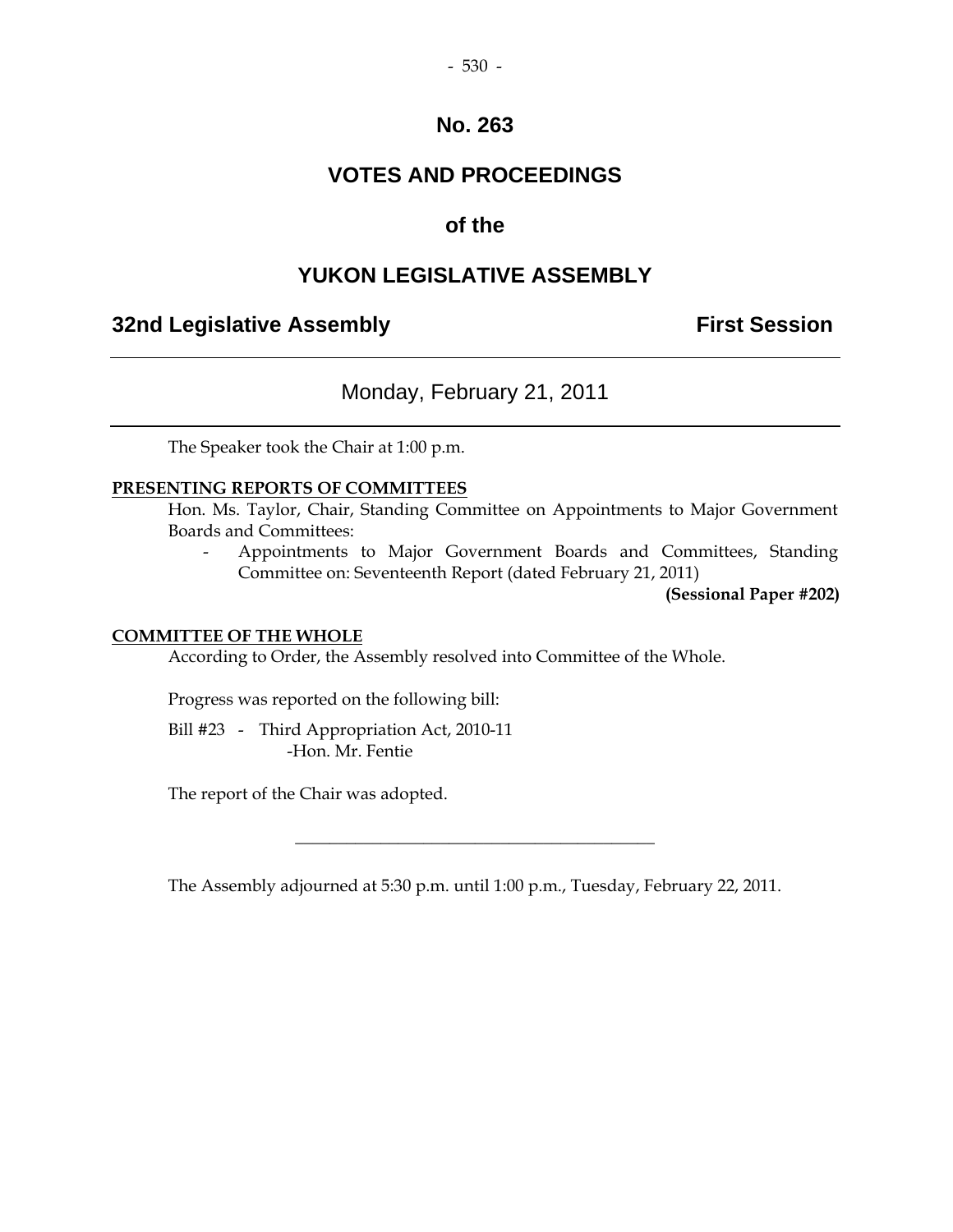## **VOTES AND PROCEEDINGS**

## **of the**

## **YUKON LEGISLATIVE ASSEMBLY**

## **32nd Legislative Assembly Constructed Session**

## Monday, February 21, 2011

The Speaker took the Chair at 1:00 p.m.

#### **PRESENTING REPORTS OF COMMITTEES**

 Hon. Ms. Taylor, Chair, Standing Committee on Appointments to Major Government Boards and Committees:

 - Appointments to Major Government Boards and Committees, Standing Committee on: Seventeenth Report (dated February 21, 2011)

**(Sessional Paper #202)** 

#### **COMMITTEE OF THE WHOLE**

According to Order, the Assembly resolved into Committee of the Whole.

Progress was reported on the following bill:

 Bill #23 - Third Appropriation Act, 2010-11 -Hon. Mr. Fentie

The report of the Chair was adopted.

The Assembly adjourned at 5:30 p.m. until 1:00 p.m., Tuesday, February 22, 2011.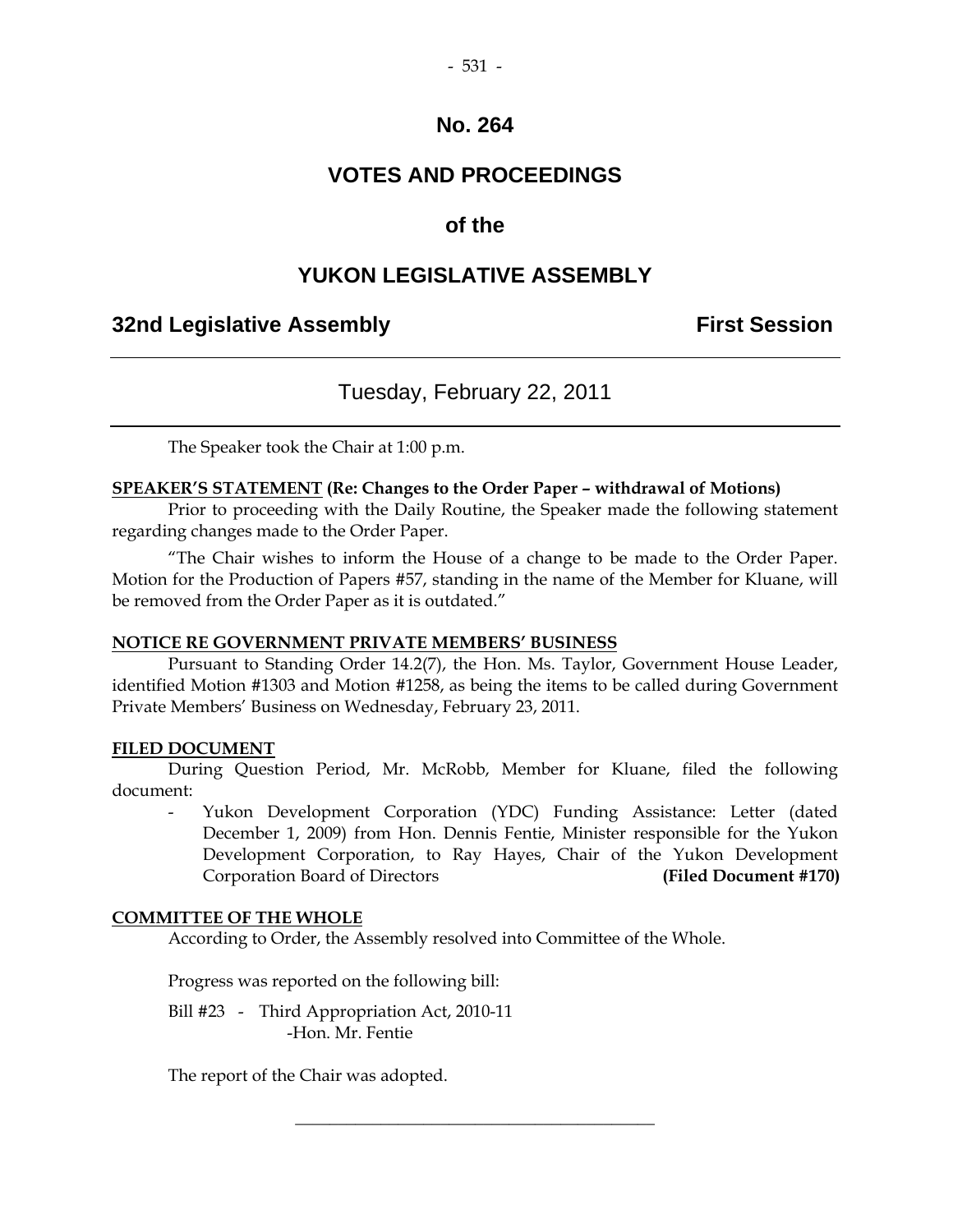## **VOTES AND PROCEEDINGS**

## **of the**

#### **YUKON LEGISLATIVE ASSEMBLY**

#### **32nd Legislative Assembly First Session**

#### Tuesday, February 22, 2011

The Speaker took the Chair at 1:00 p.m.

#### **SPEAKER'S STATEMENT (Re: Changes to the Order Paper – withdrawal of Motions)**

 Prior to proceeding with the Daily Routine, the Speaker made the following statement regarding changes made to the Order Paper.

 "The Chair wishes to inform the House of a change to be made to the Order Paper. Motion for the Production of Papers #57, standing in the name of the Member for Kluane, will be removed from the Order Paper as it is outdated."

#### **NOTICE RE GOVERNMENT PRIVATE MEMBERS' BUSINESS**

 Pursuant to Standing Order 14.2(7), the Hon. Ms. Taylor, Government House Leader, identified Motion #1303 and Motion #1258, as being the items to be called during Government Private Members' Business on Wednesday, February 23, 2011.

#### **FILED DOCUMENT**

 During Question Period, Mr. McRobb, Member for Kluane, filed the following document:

Yukon Development Corporation (YDC) Funding Assistance: Letter (dated December 1, 2009) from Hon. Dennis Fentie, Minister responsible for the Yukon Development Corporation, to Ray Hayes, Chair of the Yukon Development Corporation Board of Directors **(Filed Document #170)** 

#### **COMMITTEE OF THE WHOLE**

According to Order, the Assembly resolved into Committee of the Whole.

\_\_\_\_\_\_\_\_\_\_\_\_\_\_\_\_\_\_\_\_\_\_\_\_\_\_\_\_\_\_\_\_\_\_\_\_\_\_\_\_\_\_

Progress was reported on the following bill:

 Bill #23 - Third Appropriation Act, 2010-11 -Hon. Mr. Fentie

The report of the Chair was adopted.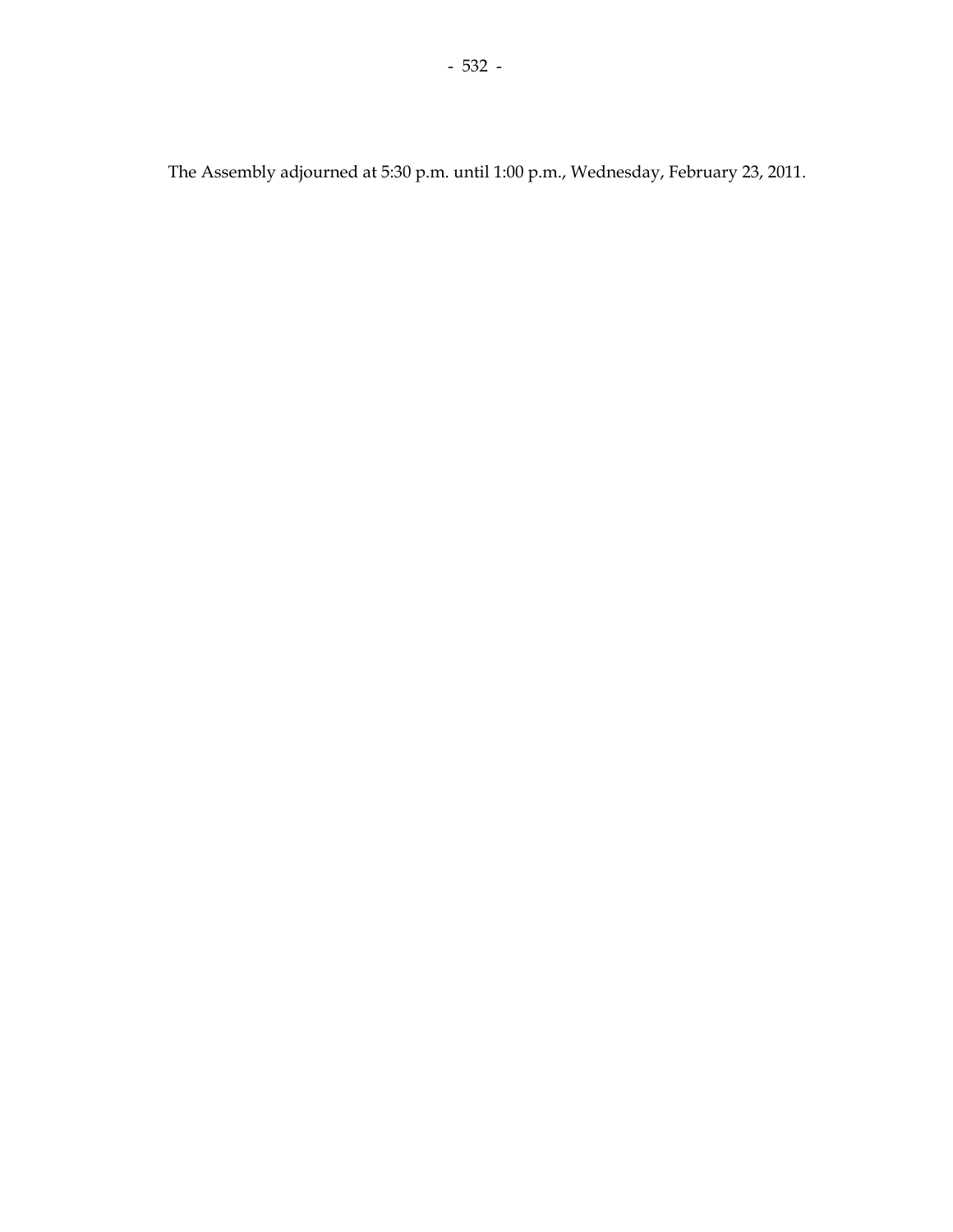The Assembly adjourned at 5:30 p.m. until 1:00 p.m., Wednesday, February 23, 2011.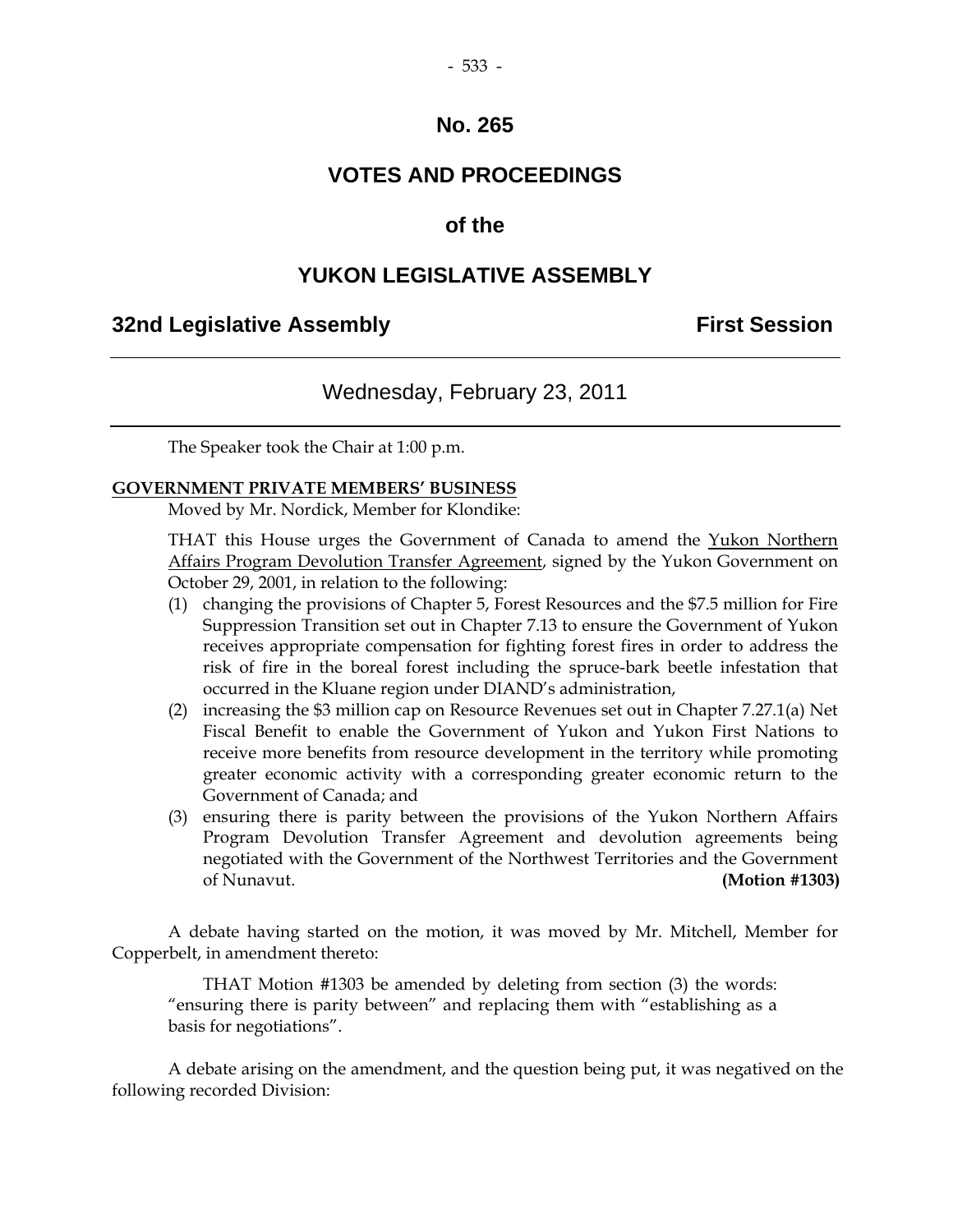## **VOTES AND PROCEEDINGS**

#### **of the**

## **YUKON LEGISLATIVE ASSEMBLY**

#### **32nd Legislative Assembly First Session**

#### Wednesday, February 23, 2011

The Speaker took the Chair at 1:00 p.m.

#### **GOVERNMENT PRIVATE MEMBERS' BUSINESS**

Moved by Mr. Nordick, Member for Klondike:

THAT this House urges the Government of Canada to amend the Yukon Northern Affairs Program Devolution Transfer Agreement, signed by the Yukon Government on October 29, 2001, in relation to the following:

- (1) changing the provisions of Chapter 5, Forest Resources and the \$7.5 million for Fire Suppression Transition set out in Chapter 7.13 to ensure the Government of Yukon receives appropriate compensation for fighting forest fires in order to address the risk of fire in the boreal forest including the spruce-bark beetle infestation that occurred in the Kluane region under DIAND's administration,
- (2) increasing the \$3 million cap on Resource Revenues set out in Chapter 7.27.1(a) Net Fiscal Benefit to enable the Government of Yukon and Yukon First Nations to receive more benefits from resource development in the territory while promoting greater economic activity with a corresponding greater economic return to the Government of Canada; and
- (3) ensuring there is parity between the provisions of the Yukon Northern Affairs Program Devolution Transfer Agreement and devolution agreements being negotiated with the Government of the Northwest Territories and the Government of Nunavut. **(Motion #1303)**

 A debate having started on the motion, it was moved by Mr. Mitchell, Member for Copperbelt, in amendment thereto:

 THAT Motion #1303 be amended by deleting from section (3) the words: "ensuring there is parity between" and replacing them with "establishing as a basis for negotiations".

 A debate arising on the amendment, and the question being put, it was negatived on the following recorded Division: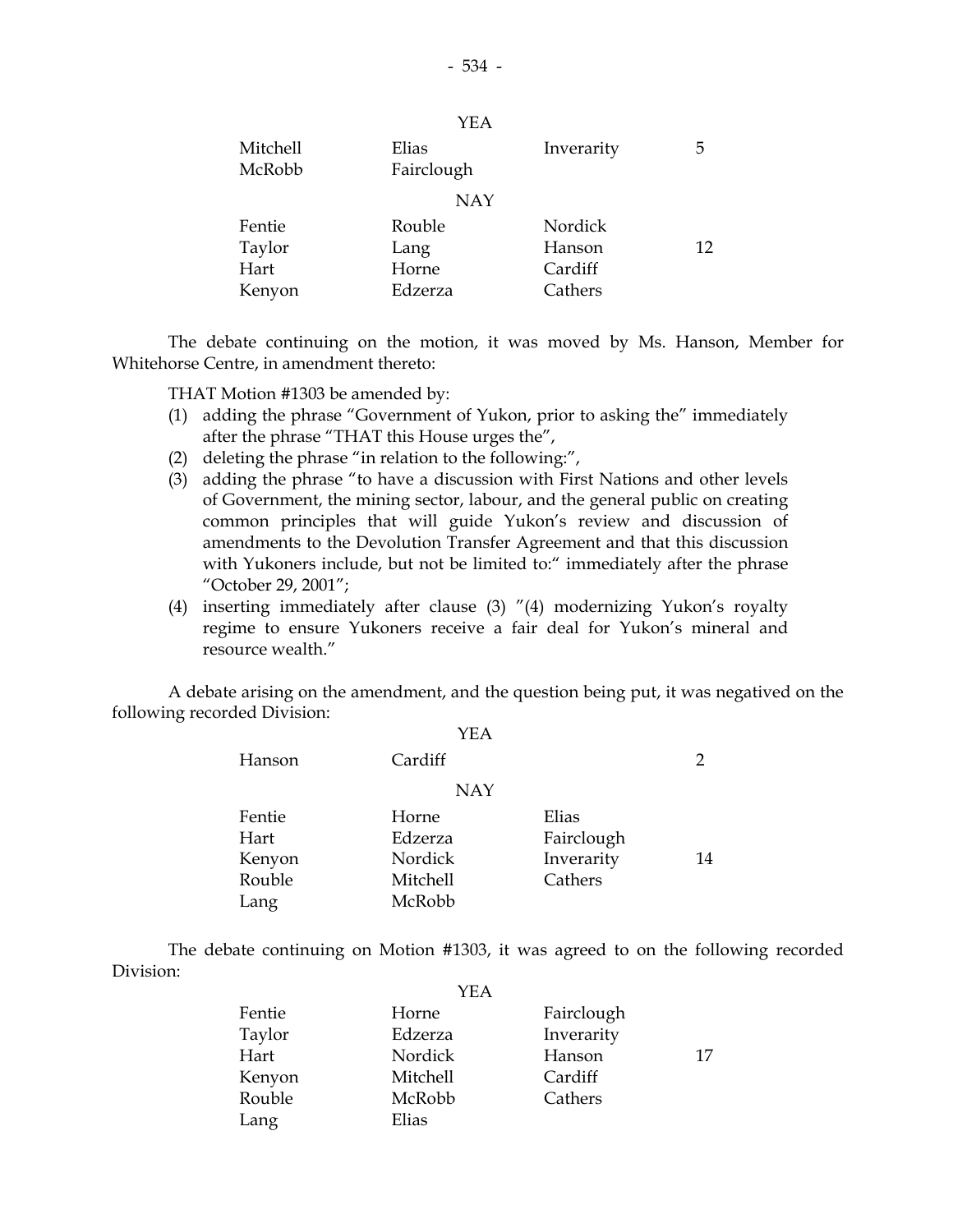|          | YEA        |            |    |
|----------|------------|------------|----|
| Mitchell | Elias      | Inverarity | 5  |
| McRobb   | Fairclough |            |    |
|          | <b>NAY</b> |            |    |
| Fentie   | Rouble     | Nordick    |    |
| Taylor   | Lang       | Hanson     | 12 |
| Hart     | Horne      | Cardiff    |    |
| Kenyon   | Edzerza    | Cathers    |    |

 The debate continuing on the motion, it was moved by Ms. Hanson, Member for Whitehorse Centre, in amendment thereto:

THAT Motion #1303 be amended by:

- (1) adding the phrase "Government of Yukon, prior to asking the" immediately after the phrase "THAT this House urges the",
- (2) deleting the phrase "in relation to the following:",
- (3) adding the phrase "to have a discussion with First Nations and other levels of Government, the mining sector, labour, and the general public on creating common principles that will guide Yukon's review and discussion of amendments to the Devolution Transfer Agreement and that this discussion with Yukoners include, but not be limited to:" immediately after the phrase "October 29, 2001";
- (4) inserting immediately after clause (3) "(4) modernizing Yukon's royalty regime to ensure Yukoners receive a fair deal for Yukon's mineral and resource wealth."

 A debate arising on the amendment, and the question being put, it was negatived on the following recorded Division:

| YEA        |            |    |
|------------|------------|----|
| Cardiff    |            | 2  |
| <b>NAY</b> |            |    |
| Horne      | Elias      |    |
| Edzerza    | Fairclough |    |
| Nordick    | Inverarity | 14 |
| Mitchell   | Cathers    |    |
| McRobb     |            |    |
|            |            |    |

 The debate continuing on Motion #1303, it was agreed to on the following recorded Division:

|        | YEA             |            |    |
|--------|-----------------|------------|----|
| Fentie | Horne           | Fairclough |    |
| Taylor | Edzerza         | Inverarity |    |
| Hart   | Nordick         | Hanson     | 17 |
| Kenyon | <b>Mitchell</b> | Cardiff    |    |
| Rouble | McRobb          | Cathers    |    |
| Lang   | Elias           |            |    |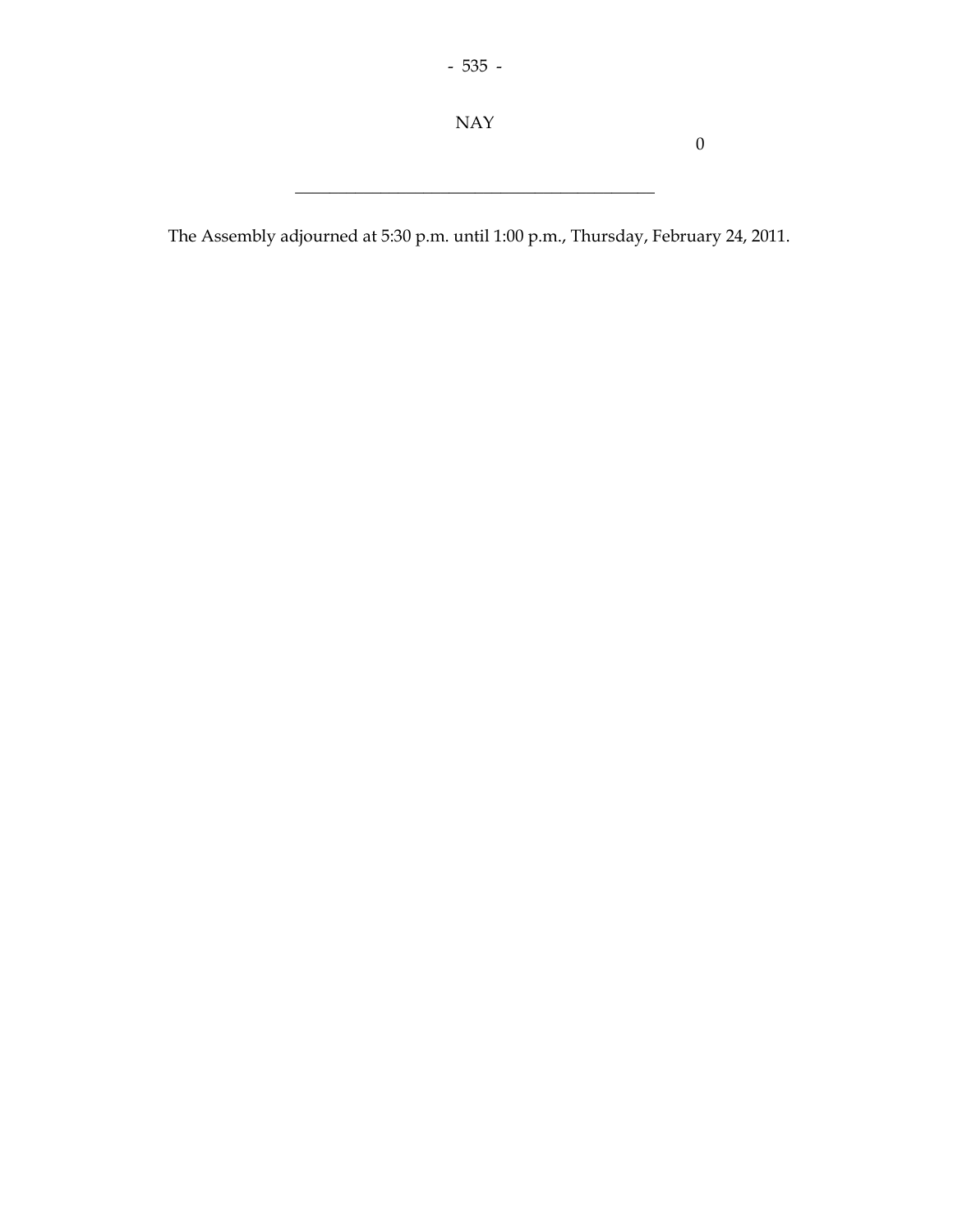NAY

0

The Assembly adjourned at 5:30 p.m. until 1:00 p.m., Thursday, February 24, 2011.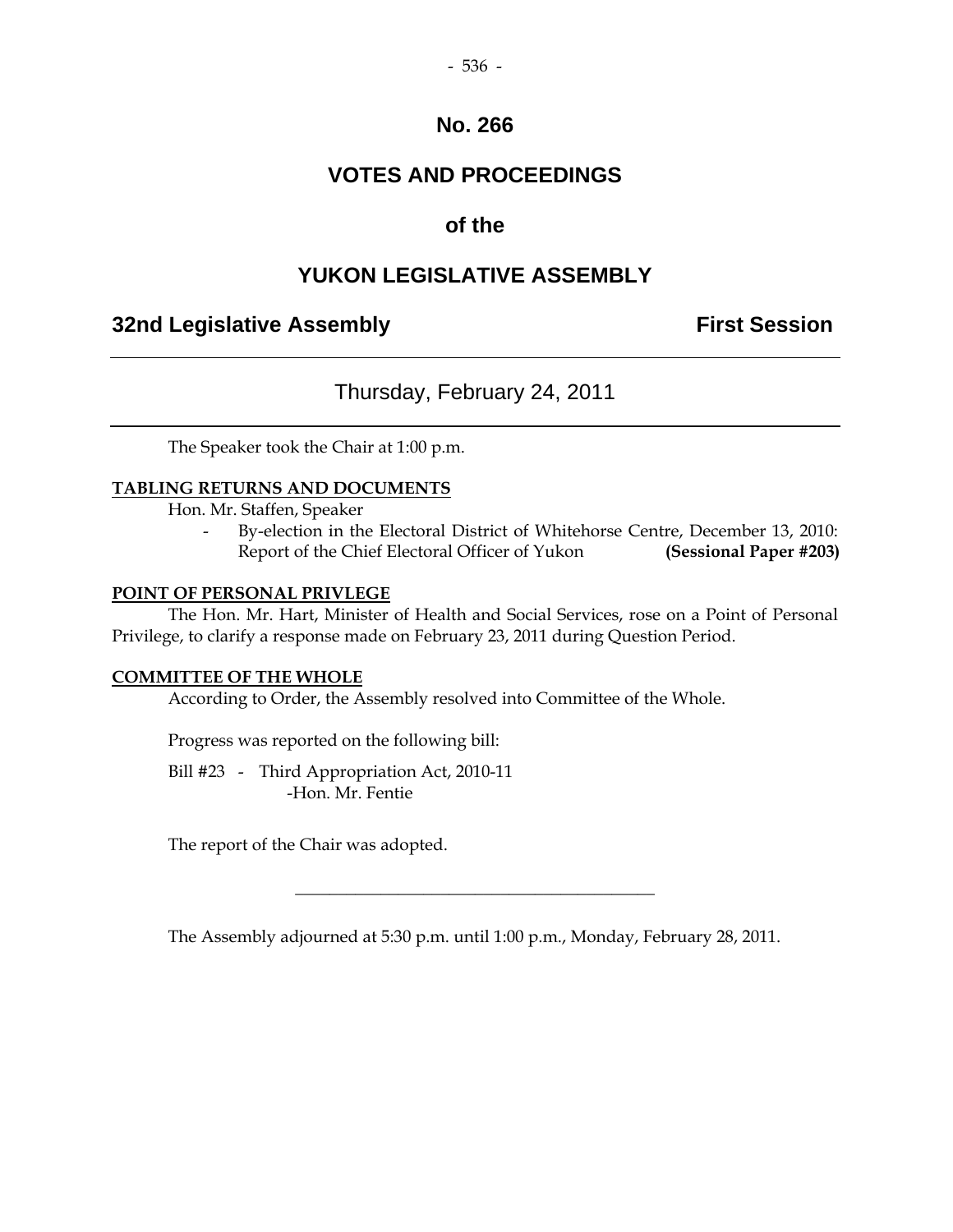## **VOTES AND PROCEEDINGS**

## **of the**

## **YUKON LEGISLATIVE ASSEMBLY**

## **32nd Legislative Assembly Constructed Session**

## Thursday, February 24, 2011

The Speaker took the Chair at 1:00 p.m.

#### **TABLING RETURNS AND DOCUMENTS**

Hon. Mr. Staffen, Speaker

By-election in the Electoral District of Whitehorse Centre, December 13, 2010: Report of the Chief Electoral Officer of Yukon **(Sessional Paper #203)** 

#### **POINT OF PERSONAL PRIVLEGE**

 The Hon. Mr. Hart, Minister of Health and Social Services, rose on a Point of Personal Privilege, to clarify a response made on February 23, 2011 during Question Period.

#### **COMMITTEE OF THE WHOLE**

According to Order, the Assembly resolved into Committee of the Whole.

Progress was reported on the following bill:

 Bill #23 - Third Appropriation Act, 2010-11 -Hon. Mr. Fentie

The report of the Chair was adopted.

The Assembly adjourned at 5:30 p.m. until 1:00 p.m., Monday, February 28, 2011.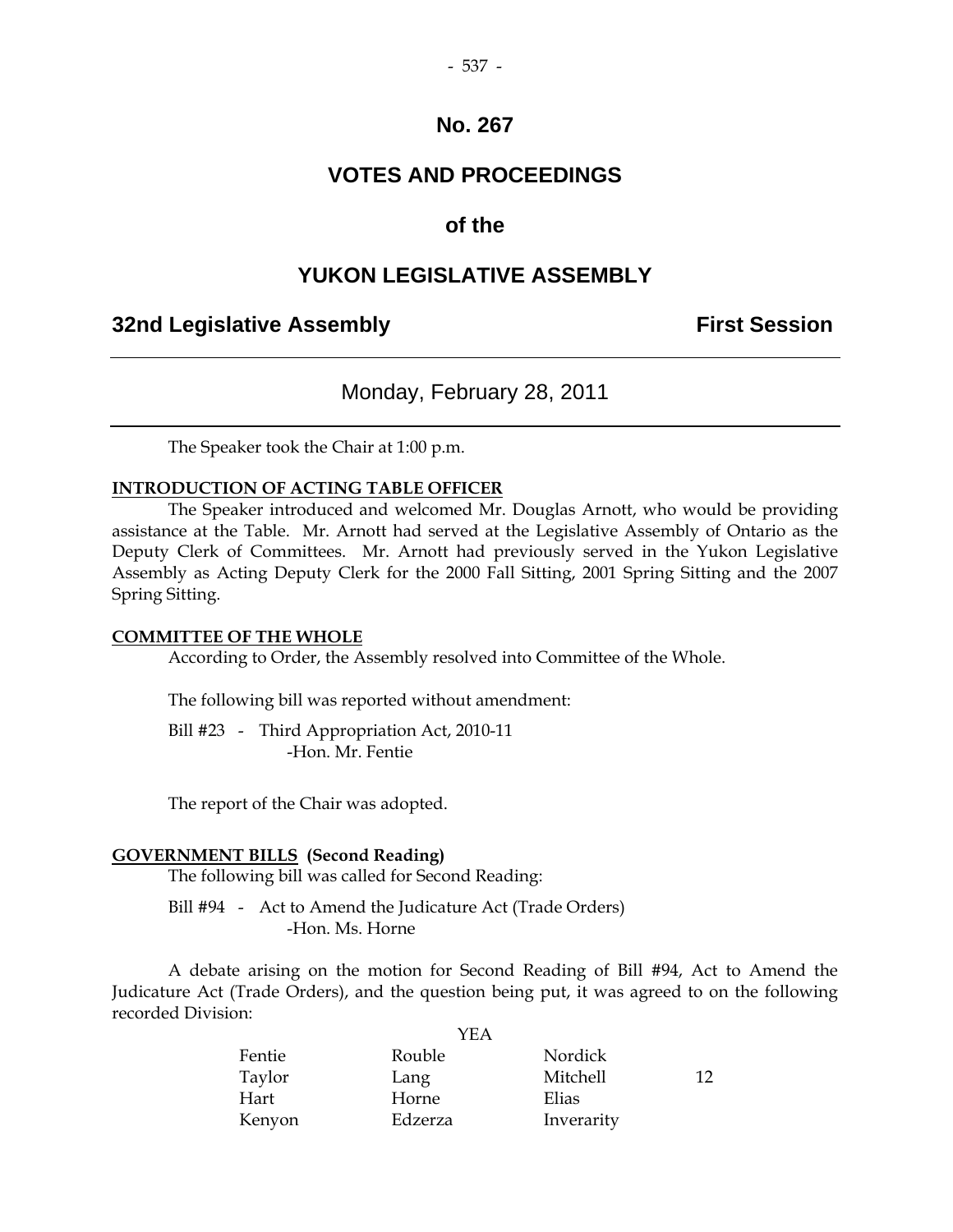## **VOTES AND PROCEEDINGS**

## **of the**

#### **YUKON LEGISLATIVE ASSEMBLY**

#### **32nd Legislative Assembly First Session**

#### Monday, February 28, 2011

The Speaker took the Chair at 1:00 p.m.

#### **INTRODUCTION OF ACTING TABLE OFFICER**

 The Speaker introduced and welcomed Mr. Douglas Arnott, who would be providing assistance at the Table. Mr. Arnott had served at the Legislative Assembly of Ontario as the Deputy Clerk of Committees. Mr. Arnott had previously served in the Yukon Legislative Assembly as Acting Deputy Clerk for the 2000 Fall Sitting, 2001 Spring Sitting and the 2007 Spring Sitting.

#### **COMMITTEE OF THE WHOLE**

According to Order, the Assembly resolved into Committee of the Whole.

The following bill was reported without amendment:

 Bill #23 - Third Appropriation Act, 2010-11 -Hon. Mr. Fentie

The report of the Chair was adopted.

#### **GOVERNMENT BILLS (Second Reading)**

The following bill was called for Second Reading:

Bill #94 - Act to Amend the Judicature Act (Trade Orders) -Hon. Ms. Horne

 A debate arising on the motion for Second Reading of Bill #94, Act to Amend the Judicature Act (Trade Orders), and the question being put, it was agreed to on the following recorded Division:

|        | YEA     |            |     |
|--------|---------|------------|-----|
| Fentie | Rouble  | Nordick    |     |
| Taylor | Lang    | Mitchell   | 12. |
| Hart   | Horne   | Elias      |     |
| Kenyon | Edzerza | Inverarity |     |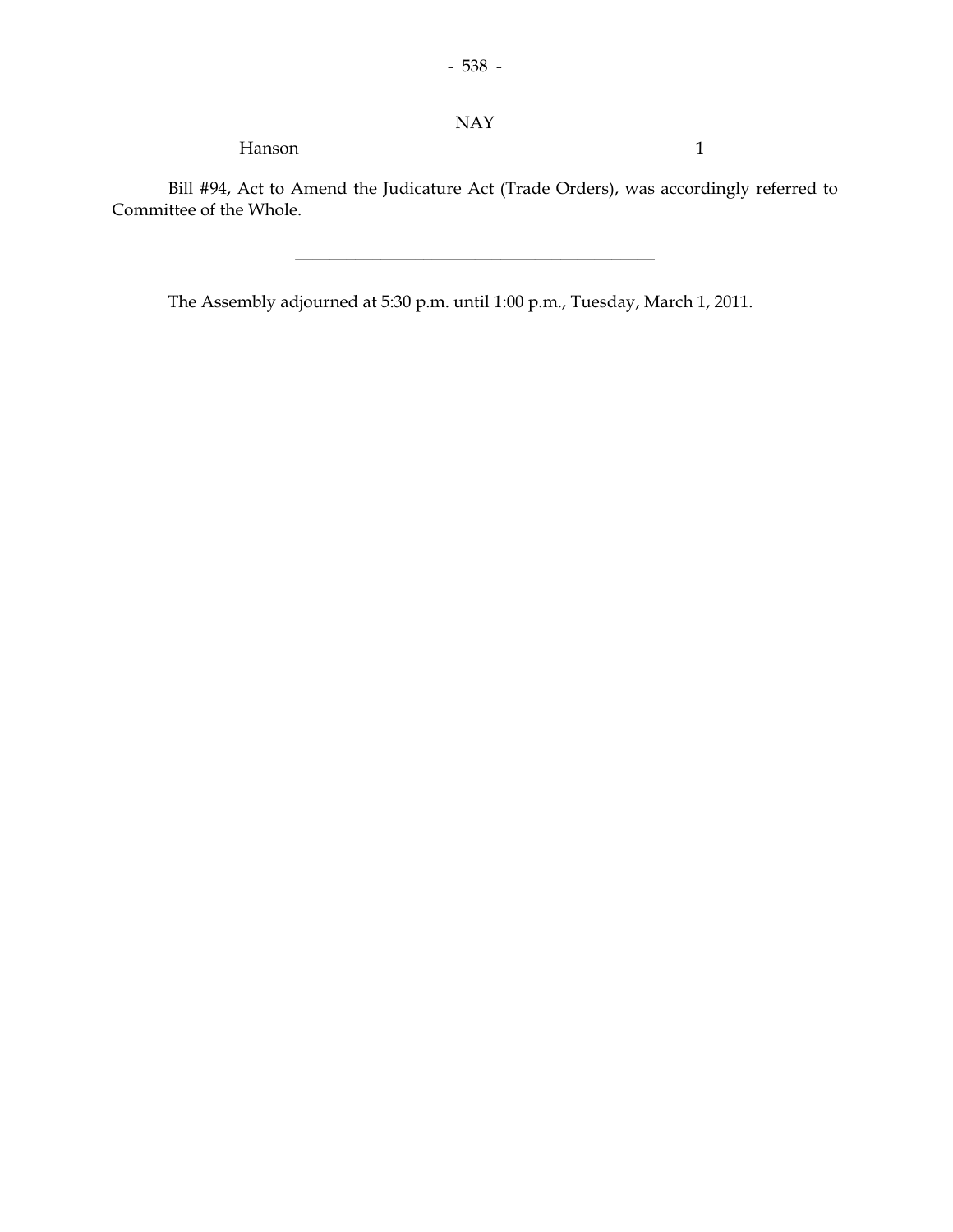#### NAY

Hanson 1

 Bill #94, Act to Amend the Judicature Act (Trade Orders), was accordingly referred to Committee of the Whole.

\_\_\_\_\_\_\_\_\_\_\_\_\_\_\_\_\_\_\_\_\_\_\_\_\_\_\_\_\_\_\_\_\_\_\_\_\_\_\_\_\_\_

The Assembly adjourned at 5:30 p.m. until 1:00 p.m., Tuesday, March 1, 2011.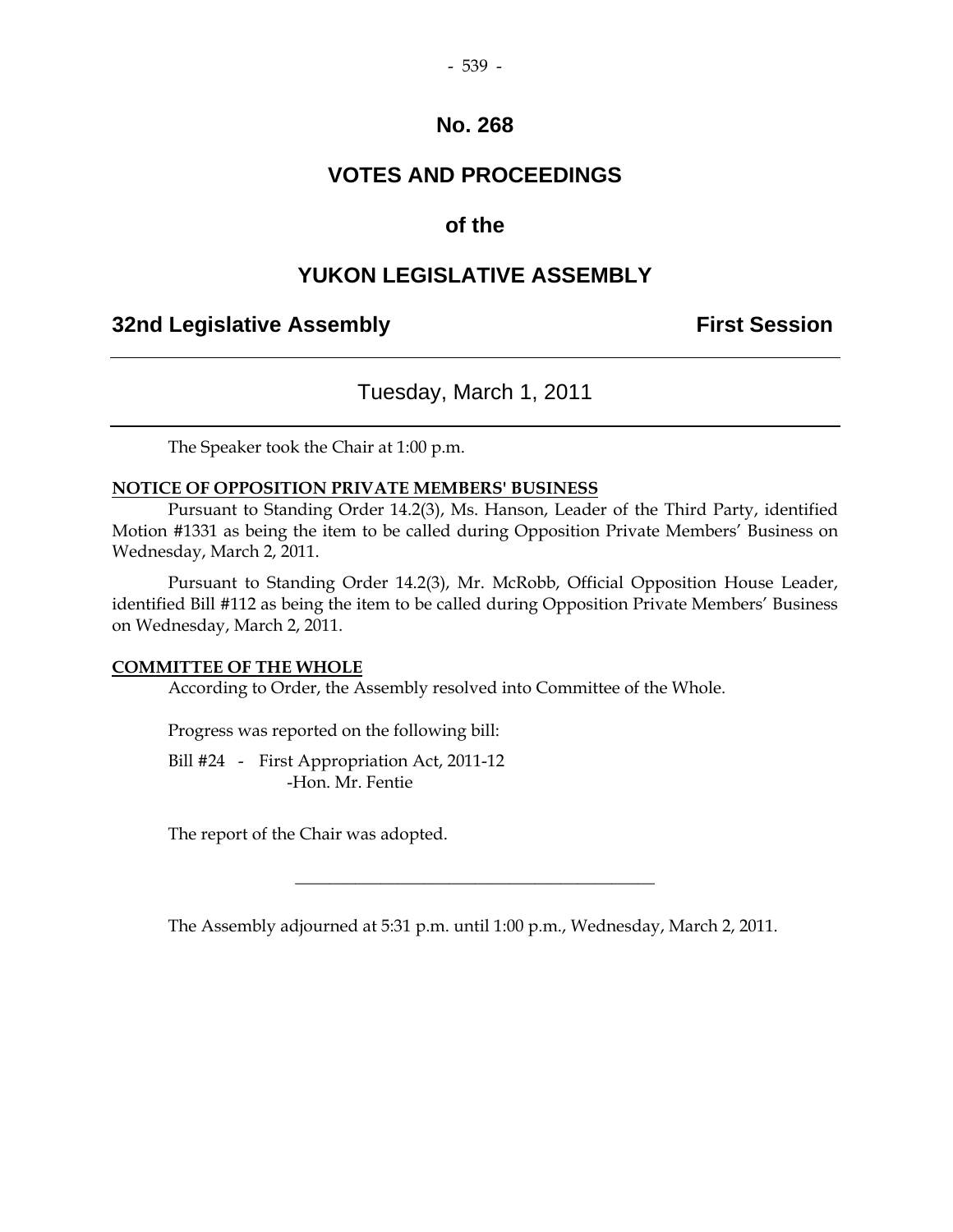## **VOTES AND PROCEEDINGS**

## **of the**

## **YUKON LEGISLATIVE ASSEMBLY**

## **32nd Legislative Assembly First Session**

## Tuesday, March 1, 2011

The Speaker took the Chair at 1:00 p.m.

#### **NOTICE OF OPPOSITION PRIVATE MEMBERS' BUSINESS**

 Pursuant to Standing Order 14.2(3), Ms. Hanson, Leader of the Third Party, identified Motion #1331 as being the item to be called during Opposition Private Members' Business on Wednesday, March 2, 2011.

 Pursuant to Standing Order 14.2(3), Mr. McRobb, Official Opposition House Leader, identified Bill #112 as being the item to be called during Opposition Private Members' Business on Wednesday, March 2, 2011.

#### **COMMITTEE OF THE WHOLE**

According to Order, the Assembly resolved into Committee of the Whole.

Progress was reported on the following bill:

 Bill #24 - First Appropriation Act, 2011-12 -Hon. Mr. Fentie

The report of the Chair was adopted.

The Assembly adjourned at 5:31 p.m. until 1:00 p.m., Wednesday, March 2, 2011.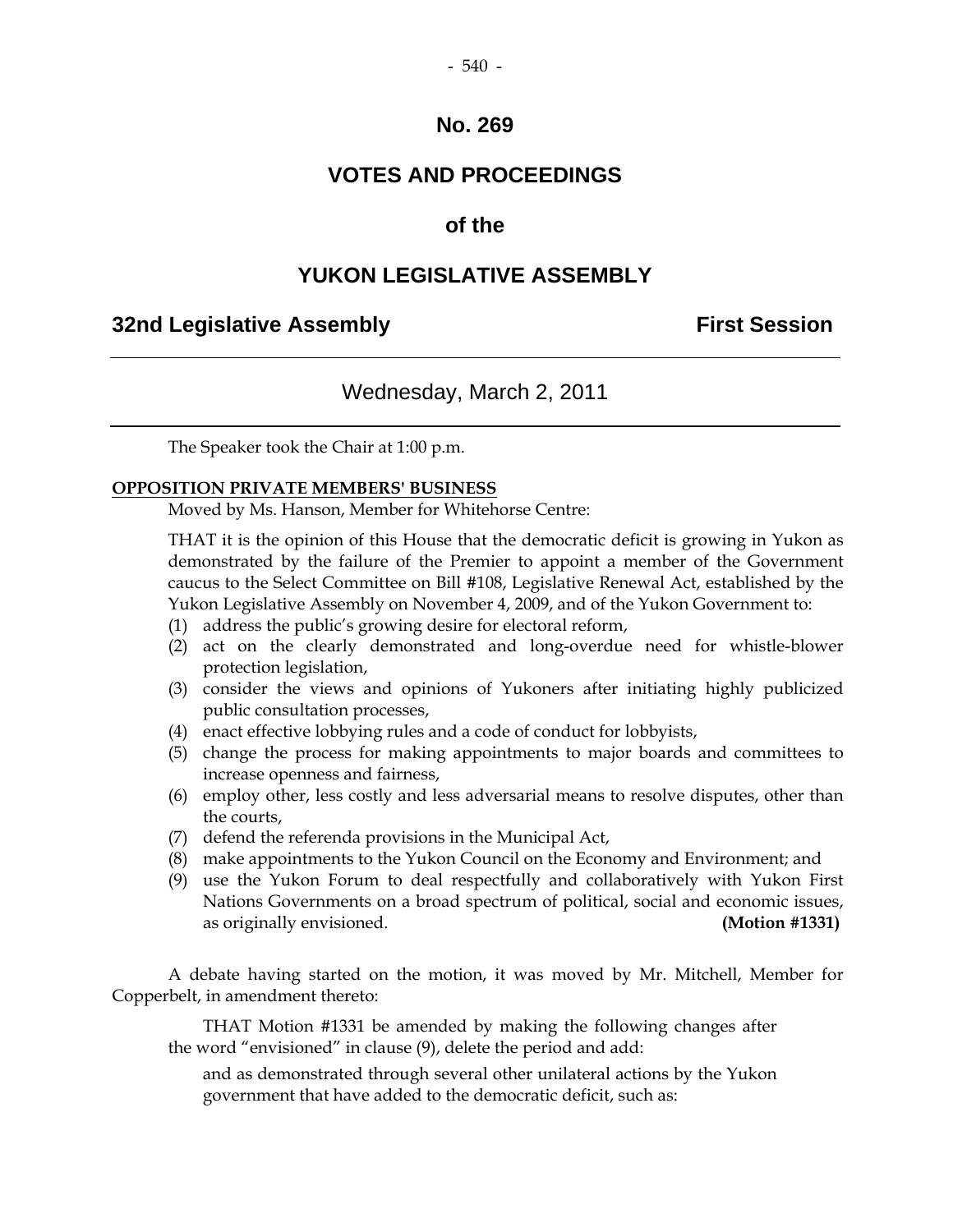## **VOTES AND PROCEEDINGS**

#### **of the**

## **YUKON LEGISLATIVE ASSEMBLY**

#### **32nd Legislative Assembly First Session**

#### Wednesday, March 2, 2011

The Speaker took the Chair at 1:00 p.m.

#### **OPPOSITION PRIVATE MEMBERS' BUSINESS**

Moved by Ms. Hanson, Member for Whitehorse Centre:

 THAT it is the opinion of this House that the democratic deficit is growing in Yukon as demonstrated by the failure of the Premier to appoint a member of the Government caucus to the Select Committee on Bill #108, Legislative Renewal Act, established by the Yukon Legislative Assembly on November 4, 2009, and of the Yukon Government to:

- (1) address the public's growing desire for electoral reform,
- (2) act on the clearly demonstrated and long-overdue need for whistle-blower protection legislation,
- (3) consider the views and opinions of Yukoners after initiating highly publicized public consultation processes,
- (4) enact effective lobbying rules and a code of conduct for lobbyists,
- (5) change the process for making appointments to major boards and committees to increase openness and fairness,
- (6) employ other, less costly and less adversarial means to resolve disputes, other than the courts,
- (7) defend the referenda provisions in the Municipal Act,
- (8) make appointments to the Yukon Council on the Economy and Environment; and
- (9) use the Yukon Forum to deal respectfully and collaboratively with Yukon First Nations Governments on a broad spectrum of political, social and economic issues, as originally envisioned. **(Motion #1331)**

 A debate having started on the motion, it was moved by Mr. Mitchell, Member for Copperbelt, in amendment thereto:

 THAT Motion #1331 be amended by making the following changes after the word "envisioned" in clause (9), delete the period and add:

 and as demonstrated through several other unilateral actions by the Yukon government that have added to the democratic deficit, such as: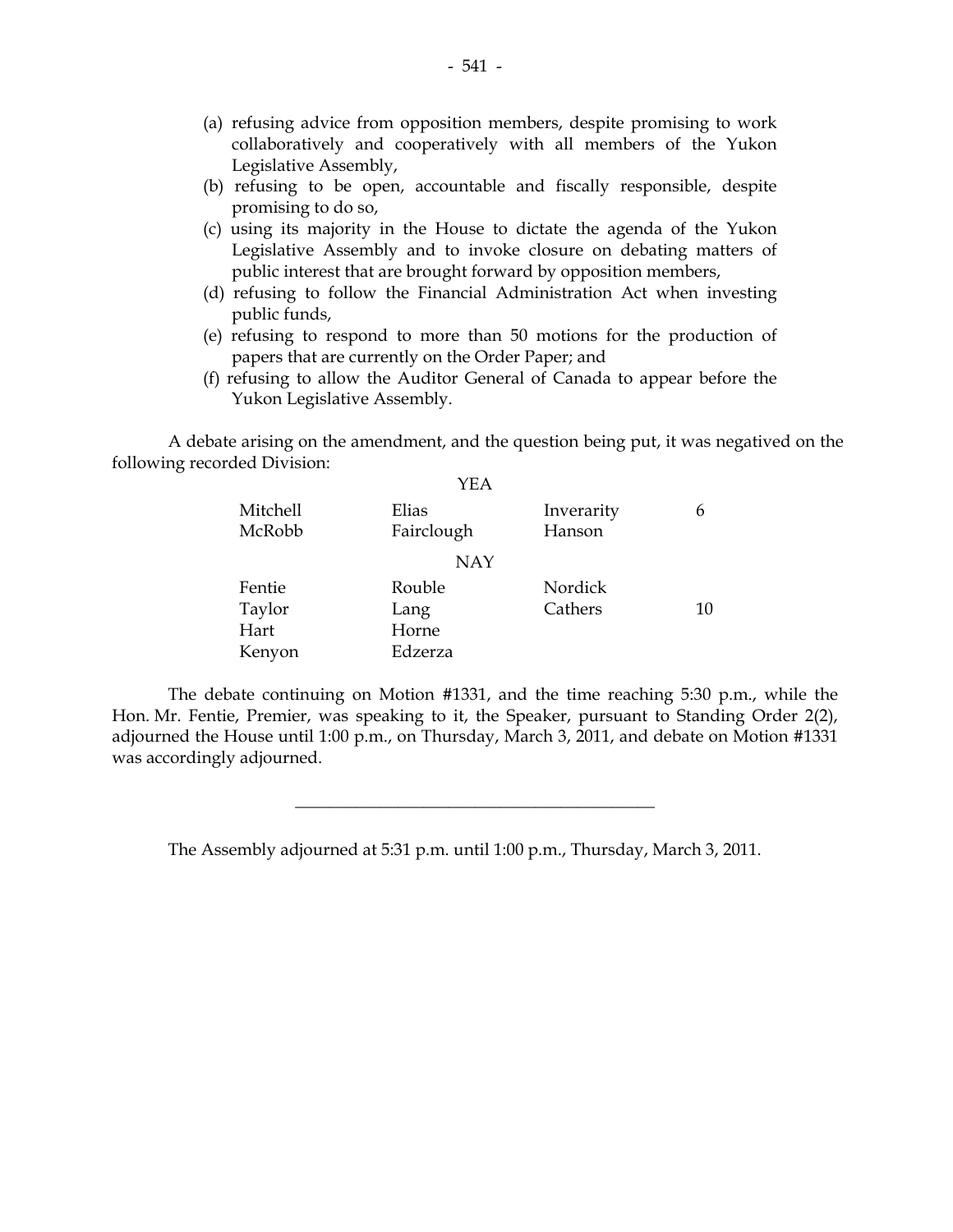- (a) refusing advice from opposition members, despite promising to work collaboratively and cooperatively with all members of the Yukon Legislative Assembly,
- (b) refusing to be open, accountable and fiscally responsible, despite promising to do so,
- (c) using its majority in the House to dictate the agenda of the Yukon Legislative Assembly and to invoke closure on debating matters of public interest that are brought forward by opposition members,
- (d) refusing to follow the Financial Administration Act when investing public funds,
- (e) refusing to respond to more than 50 motions for the production of papers that are currently on the Order Paper; and
- (f) refusing to allow the Auditor General of Canada to appear before the Yukon Legislative Assembly.

 A debate arising on the amendment, and the question being put, it was negatived on the following recorded Division: YEA

| YEA        |            |    |
|------------|------------|----|
| Elias      | Inverarity | 6  |
| Fairclough | Hanson     |    |
| <b>NAY</b> |            |    |
| Rouble     | Nordick    |    |
| Lang       | Cathers    | 10 |
| Horne      |            |    |
| Edzerza    |            |    |
|            |            |    |

 The debate continuing on Motion #1331, and the time reaching 5:30 p.m., while the Hon. Mr. Fentie, Premier, was speaking to it, the Speaker, pursuant to Standing Order 2(2), adjourned the House until 1:00 p.m., on Thursday, March 3, 2011, and debate on Motion #1331 was accordingly adjourned.

\_\_\_\_\_\_\_\_\_\_\_\_\_\_\_\_\_\_\_\_\_\_\_\_\_\_\_\_\_\_\_\_\_\_\_\_\_\_\_\_\_\_

The Assembly adjourned at 5:31 p.m. until 1:00 p.m., Thursday, March 3, 2011.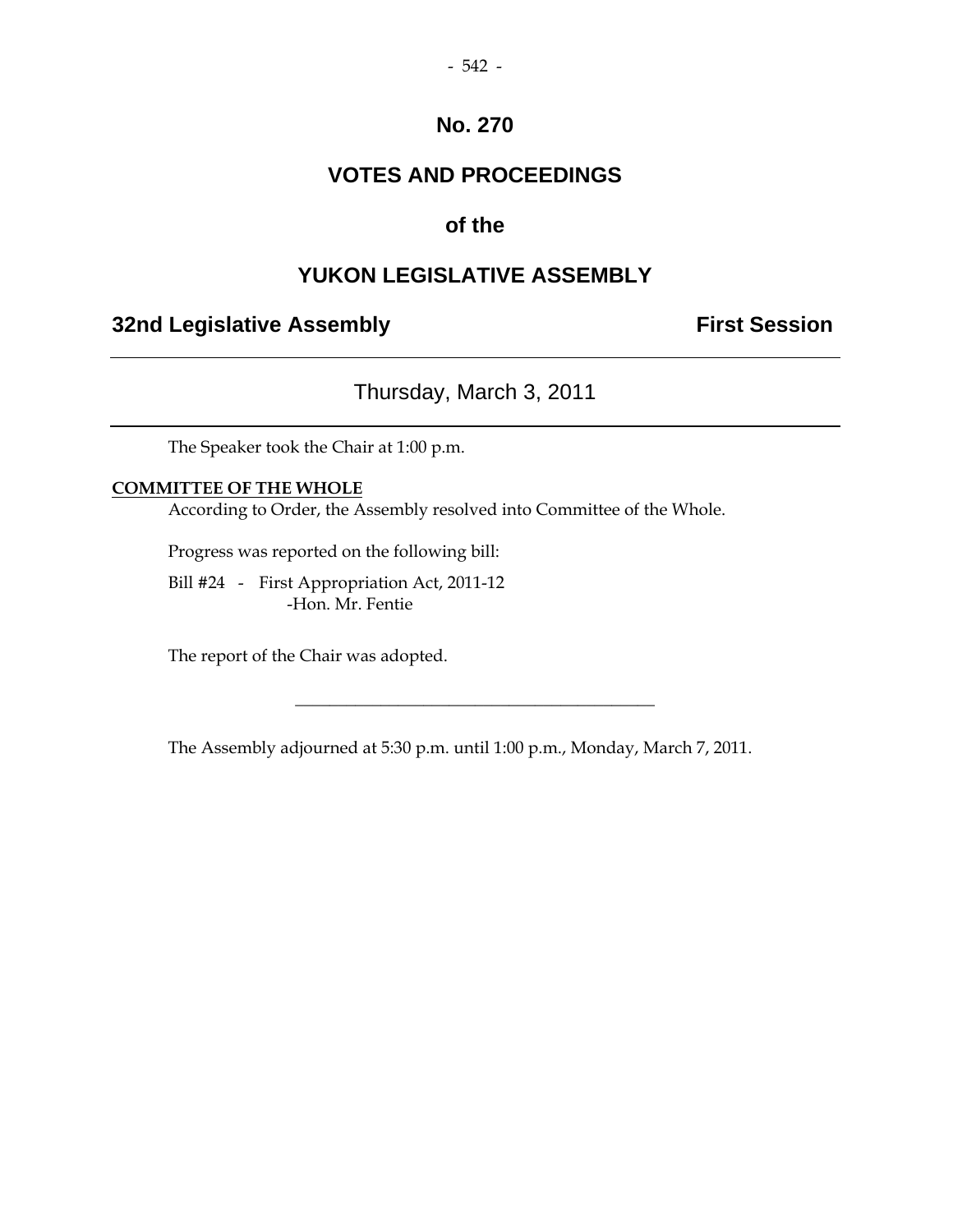## **VOTES AND PROCEEDINGS**

## **of the**

## **YUKON LEGISLATIVE ASSEMBLY**

## **32nd Legislative Assembly The Contract Session**

## Thursday, March 3, 2011

The Speaker took the Chair at 1:00 p.m.

#### **COMMITTEE OF THE WHOLE**

According to Order, the Assembly resolved into Committee of the Whole.

Progress was reported on the following bill:

 Bill #24 - First Appropriation Act, 2011-12 -Hon. Mr. Fentie

The report of the Chair was adopted.

The Assembly adjourned at 5:30 p.m. until 1:00 p.m., Monday, March 7, 2011.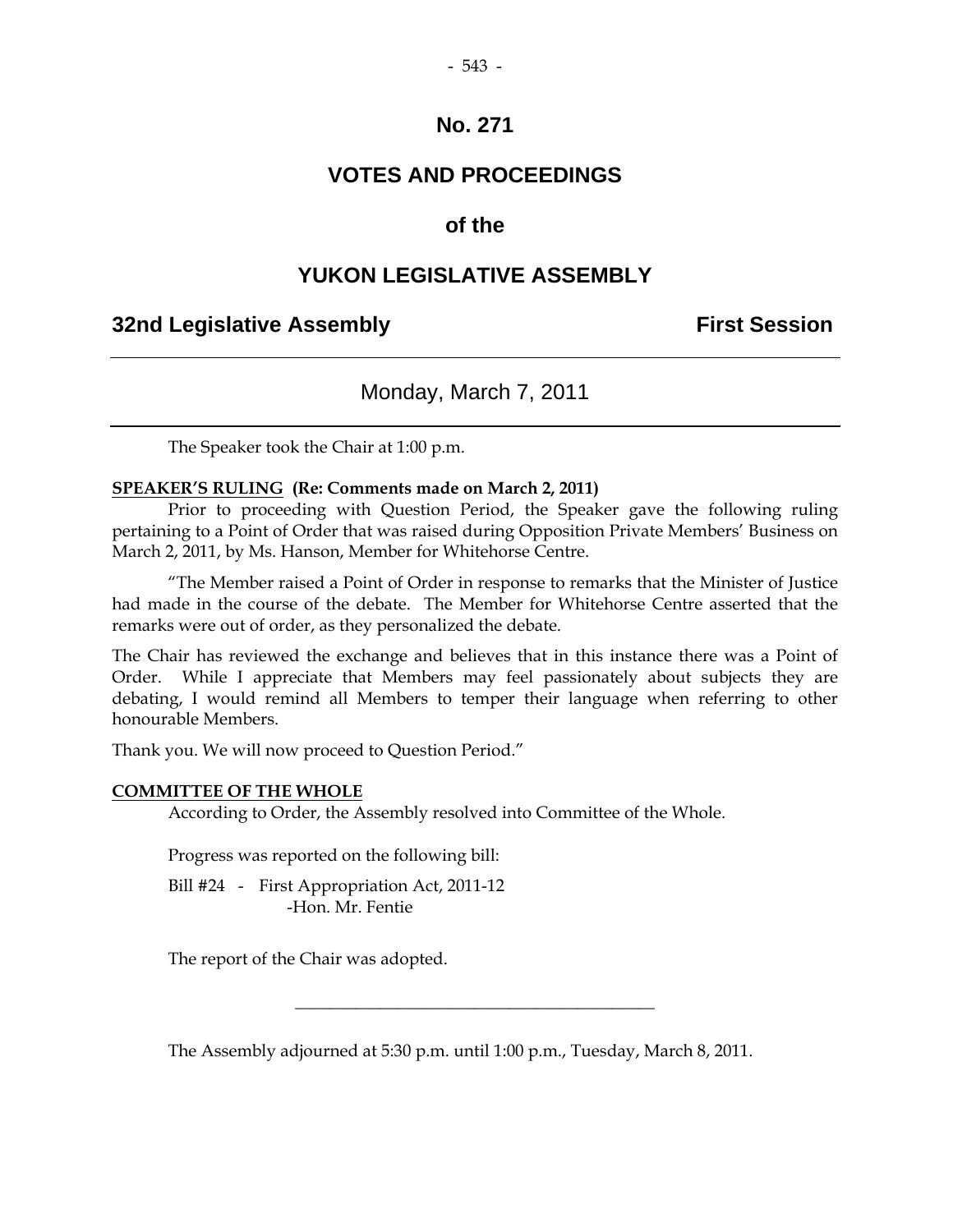## **VOTES AND PROCEEDINGS**

## **of the**

#### **YUKON LEGISLATIVE ASSEMBLY**

## **32nd Legislative Assembly First Session**

#### Monday, March 7, 2011

The Speaker took the Chair at 1:00 p.m.

#### **SPEAKER'S RULING (Re: Comments made on March 2, 2011)**

 Prior to proceeding with Question Period, the Speaker gave the following ruling pertaining to a Point of Order that was raised during Opposition Private Members' Business on March 2, 2011, by Ms. Hanson, Member for Whitehorse Centre.

"The Member raised a Point of Order in response to remarks that the Minister of Justice had made in the course of the debate. The Member for Whitehorse Centre asserted that the remarks were out of order, as they personalized the debate.

The Chair has reviewed the exchange and believes that in this instance there was a Point of Order. While I appreciate that Members may feel passionately about subjects they are debating, I would remind all Members to temper their language when referring to other honourable Members.

Thank you. We will now proceed to Question Period."

#### **COMMITTEE OF THE WHOLE**

According to Order, the Assembly resolved into Committee of the Whole.

Progress was reported on the following bill:

Bill #24 - First Appropriation Act, 2011-12 -Hon. Mr. Fentie

The report of the Chair was adopted.

The Assembly adjourned at 5:30 p.m. until 1:00 p.m., Tuesday, March 8, 2011.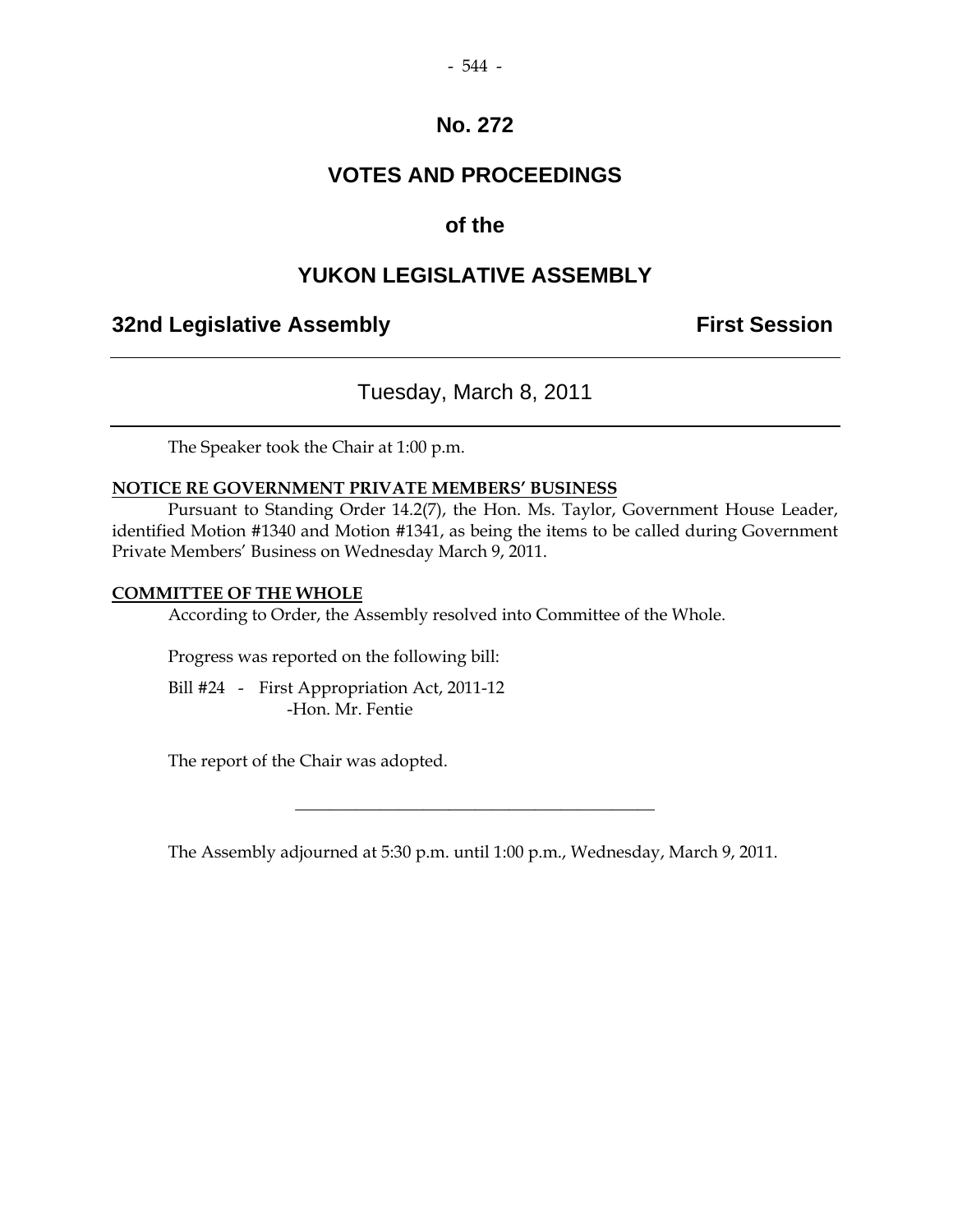## **VOTES AND PROCEEDINGS**

## **of the**

## **YUKON LEGISLATIVE ASSEMBLY**

## **32nd Legislative Assembly Constructed Session**

## Tuesday, March 8, 2011

The Speaker took the Chair at 1:00 p.m.

#### **NOTICE RE GOVERNMENT PRIVATE MEMBERS' BUSINESS**

 Pursuant to Standing Order 14.2(7), the Hon. Ms. Taylor, Government House Leader, identified Motion #1340 and Motion #1341, as being the items to be called during Government Private Members' Business on Wednesday March 9, 2011.

#### **COMMITTEE OF THE WHOLE**

According to Order, the Assembly resolved into Committee of the Whole.

Progress was reported on the following bill:

 Bill #24 - First Appropriation Act, 2011-12 -Hon. Mr. Fentie

The report of the Chair was adopted.

The Assembly adjourned at 5:30 p.m. until 1:00 p.m., Wednesday, March 9, 2011.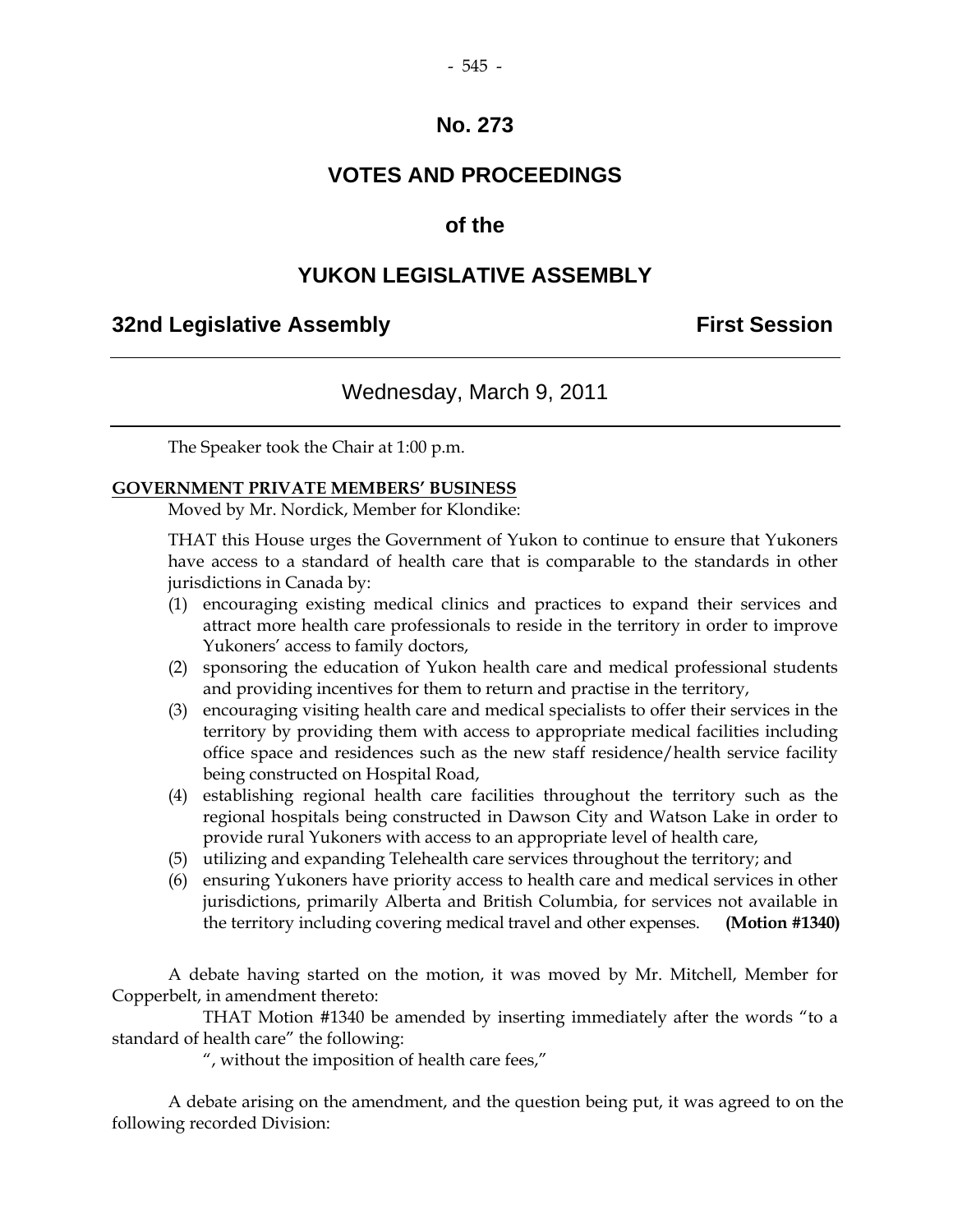## **VOTES AND PROCEEDINGS**

#### **of the**

#### **YUKON LEGISLATIVE ASSEMBLY**

#### **32nd Legislative Assembly First Session**

#### Wednesday, March 9, 2011

The Speaker took the Chair at 1:00 p.m.

#### **GOVERNMENT PRIVATE MEMBERS' BUSINESS**

Moved by Mr. Nordick, Member for Klondike:

THAT this House urges the Government of Yukon to continue to ensure that Yukoners have access to a standard of health care that is comparable to the standards in other jurisdictions in Canada by:

- (1) encouraging existing medical clinics and practices to expand their services and attract more health care professionals to reside in the territory in order to improve Yukoners' access to family doctors,
- (2) sponsoring the education of Yukon health care and medical professional students and providing incentives for them to return and practise in the territory,
- (3) encouraging visiting health care and medical specialists to offer their services in the territory by providing them with access to appropriate medical facilities including office space and residences such as the new staff residence/health service facility being constructed on Hospital Road,
- (4) establishing regional health care facilities throughout the territory such as the regional hospitals being constructed in Dawson City and Watson Lake in order to provide rural Yukoners with access to an appropriate level of health care,
- (5) utilizing and expanding Telehealth care services throughout the territory; and
- (6) ensuring Yukoners have priority access to health care and medical services in other jurisdictions, primarily Alberta and British Columbia, for services not available in the territory including covering medical travel and other expenses. **(Motion #1340)**

A debate having started on the motion, it was moved by Mr. Mitchell, Member for Copperbelt, in amendment thereto:

 THAT Motion #1340 be amended by inserting immediately after the words "to a standard of health care" the following:

", without the imposition of health care fees,"

 A debate arising on the amendment, and the question being put, it was agreed to on the following recorded Division: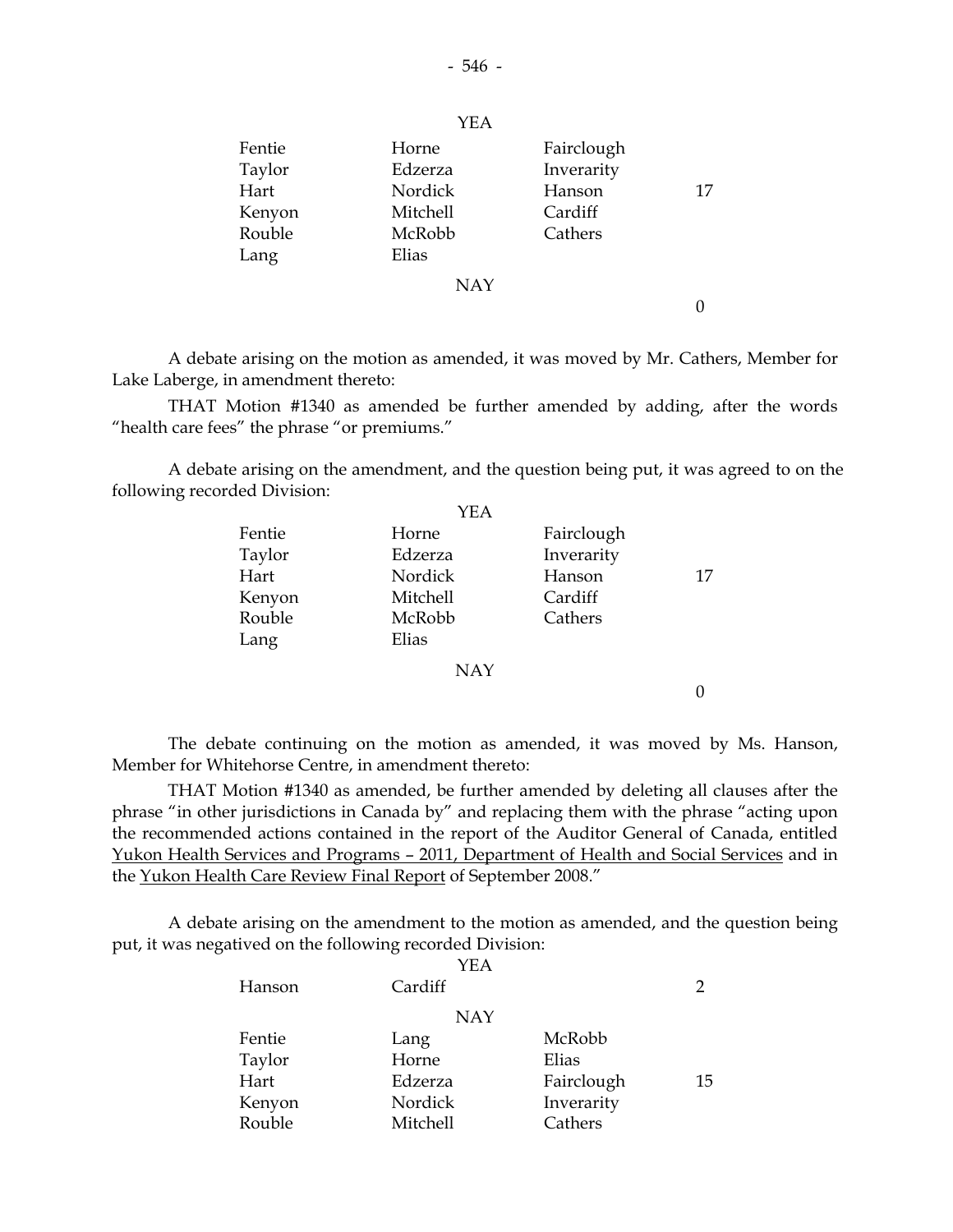| Fentie<br>Taylor<br>Hart<br>Kenyon<br>Rouble<br>Lang | Horne<br>Edzerza<br>Nordick<br><b>Mitchell</b><br>McRobb<br>Elias | Fairclough<br>Inverarity<br>Hanson<br>Cardiff<br>Cathers | 17 |
|------------------------------------------------------|-------------------------------------------------------------------|----------------------------------------------------------|----|
|                                                      | <b>NAY</b>                                                        |                                                          |    |

 A debate arising on the motion as amended, it was moved by Mr. Cathers, Member for Lake Laberge, in amendment thereto:

 THAT Motion #1340 as amended be further amended by adding, after the words "health care fees" the phrase "or premiums."

 A debate arising on the amendment, and the question being put, it was agreed to on the following recorded Division:

| <b>YEA</b> |            |    |
|------------|------------|----|
| Horne      | Fairclough |    |
| Edzerza    | Inverarity |    |
| Nordick    | Hanson     | 17 |
| Mitchell   | Cardiff    |    |
| McRobb     | Cathers    |    |
| Elias      |            |    |
| <b>NAY</b> |            |    |
|            |            |    |
|            |            |    |

 The debate continuing on the motion as amended, it was moved by Ms. Hanson, Member for Whitehorse Centre, in amendment thereto:

 THAT Motion #1340 as amended, be further amended by deleting all clauses after the phrase "in other jurisdictions in Canada by" and replacing them with the phrase "acting upon the recommended actions contained in the report of the Auditor General of Canada, entitled Yukon Health Services and Programs – 2011, Department of Health and Social Services and in the Yukon Health Care Review Final Report of September 2008."

 A debate arising on the amendment to the motion as amended, and the question being put, it was negatived on the following recorded Division:

|        | YEA        |            |    |
|--------|------------|------------|----|
| Hanson | Cardiff    |            | 2  |
|        | <b>NAY</b> |            |    |
| Fentie | Lang       | McRobb     |    |
| Taylor | Horne      | Elias      |    |
| Hart   | Edzerza    | Fairclough | 15 |
| Kenyon | Nordick    | Inverarity |    |
| Rouble | Mitchell   | Cathers    |    |

YEA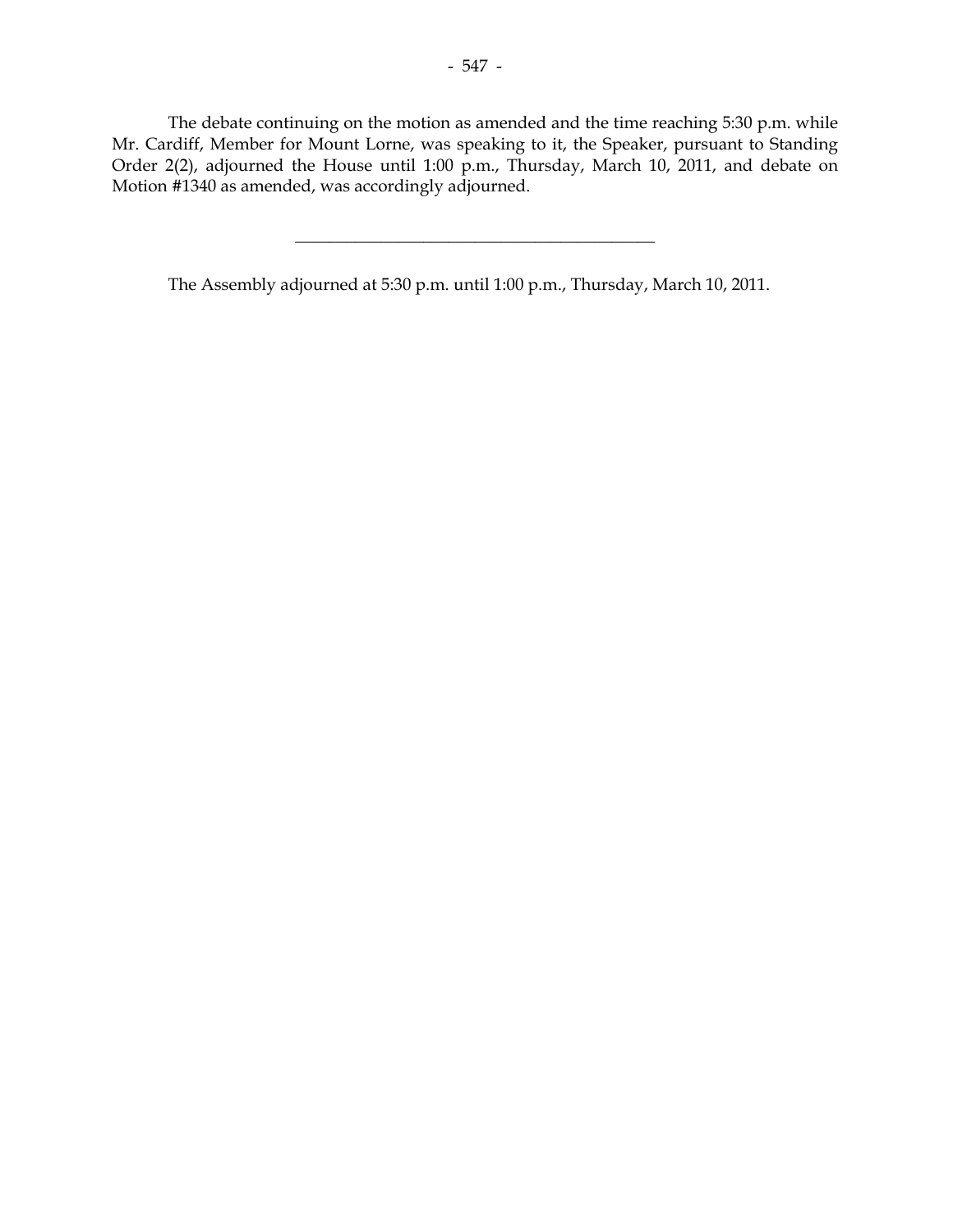The debate continuing on the motion as amended and the time reaching 5:30 p.m. while Mr. Cardiff, Member for Mount Lorne, was speaking to it, the Speaker, pursuant to Standing Order 2(2), adjourned the House until 1:00 p.m., Thursday, March 10, 2011, and debate on Motion #1340 as amended, was accordingly adjourned.

\_\_\_\_\_\_\_\_\_\_\_\_\_\_\_\_\_\_\_\_\_\_\_\_\_\_\_\_\_\_\_\_\_\_\_\_\_\_\_\_\_\_

The Assembly adjourned at 5:30 p.m. until 1:00 p.m., Thursday, March 10, 2011.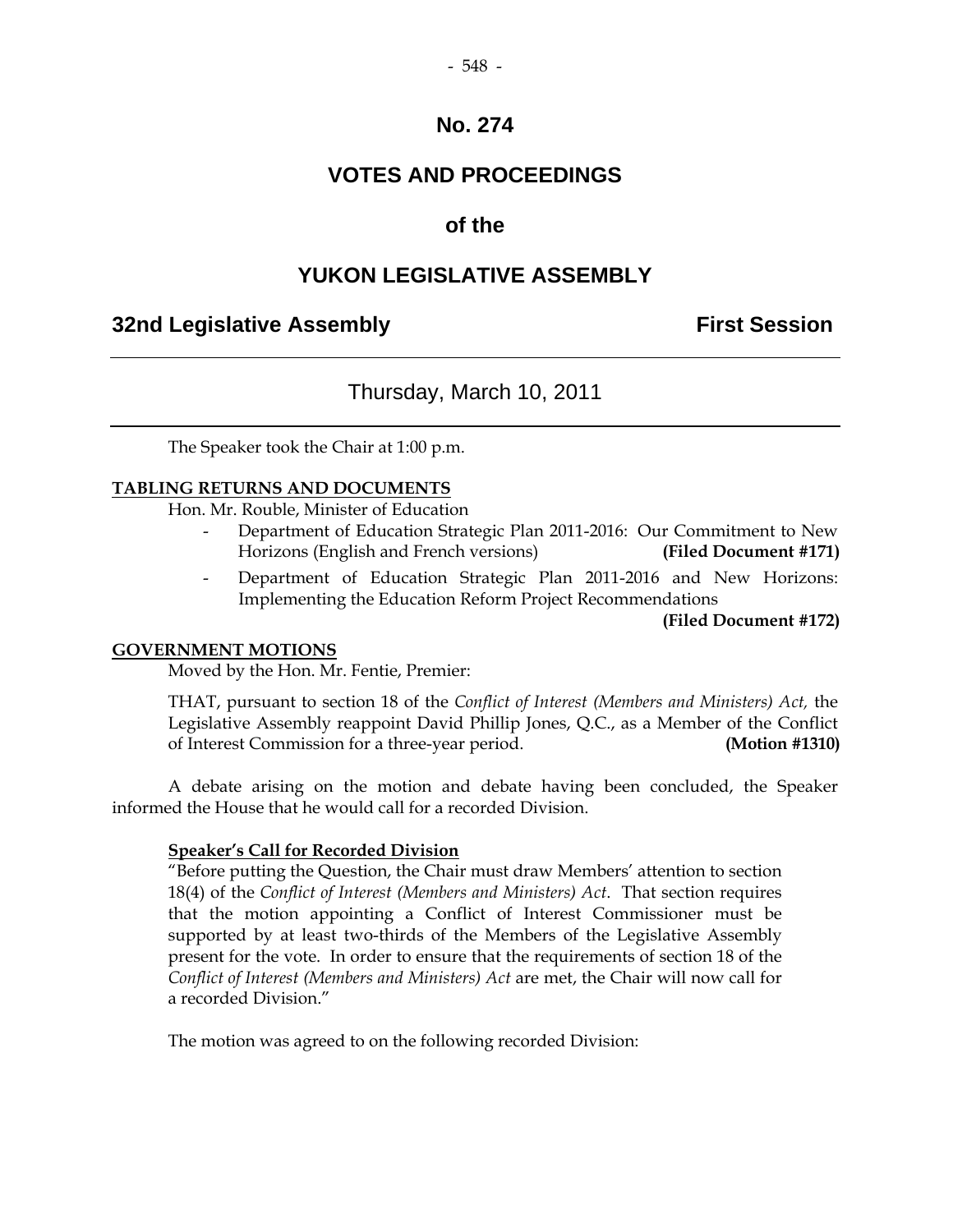## **VOTES AND PROCEEDINGS**

## **of the**

## **YUKON LEGISLATIVE ASSEMBLY**

## **32nd Legislative Assembly First Session**

## Thursday, March 10, 2011

The Speaker took the Chair at 1:00 p.m.

#### **TABLING RETURNS AND DOCUMENTS**

Hon. Mr. Rouble, Minister of Education

- Department of Education Strategic Plan 2011-2016: Our Commitment to New Horizons (English and French versions) **(Filed Document #171)**
- Department of Education Strategic Plan 2011-2016 and New Horizons: Implementing the Education Reform Project Recommendations

**(Filed Document #172)**

#### **GOVERNMENT MOTIONS**

Moved by the Hon. Mr. Fentie, Premier:

 THAT, pursuant to section 18 of the *Conflict of Interest (Members and Ministers) Act,* the Legislative Assembly reappoint David Phillip Jones, Q.C., as a Member of the Conflict of Interest Commission for a three-year period. **(Motion #1310)**

 A debate arising on the motion and debate having been concluded, the Speaker informed the House that he would call for a recorded Division.

#### **Speaker's Call for Recorded Division**

 "Before putting the Question, the Chair must draw Members' attention to section 18(4) of the *Conflict of Interest (Members and Ministers) Act*. That section requires that the motion appointing a Conflict of Interest Commissioner must be supported by at least two-thirds of the Members of the Legislative Assembly present for the vote. In order to ensure that the requirements of section 18 of the *Conflict of Interest (Members and Ministers) Act* are met, the Chair will now call for a recorded Division."

The motion was agreed to on the following recorded Division: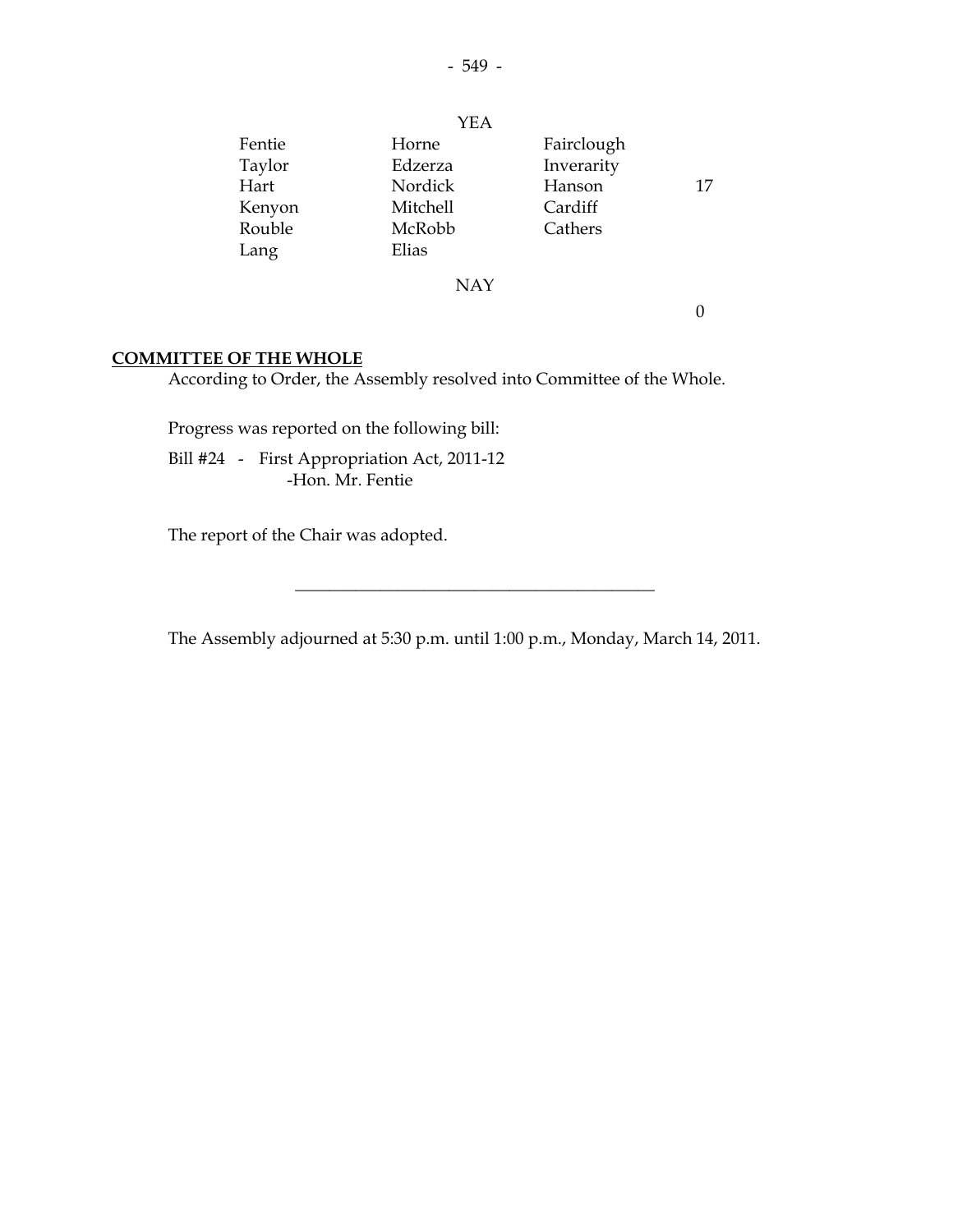|        | <b>YEA</b>      |            |    |
|--------|-----------------|------------|----|
| Fentie | Horne           | Fairclough |    |
| Taylor | Edzerza         | Inverarity |    |
| Hart   | Nordick         | Hanson     | 17 |
| Kenyon | <b>Mitchell</b> | Cardiff    |    |
| Rouble | McRobb          | Cathers    |    |
| Lang   | Elias           |            |    |
|        | <b>NAY</b>      |            |    |

0

#### **COMMITTEE OF THE WHOLE**

According to Order, the Assembly resolved into Committee of the Whole.

Progress was reported on the following bill:

 Bill #24 - First Appropriation Act, 2011-12 -Hon. Mr. Fentie

The report of the Chair was adopted.

The Assembly adjourned at 5:30 p.m. until 1:00 p.m., Monday, March 14, 2011.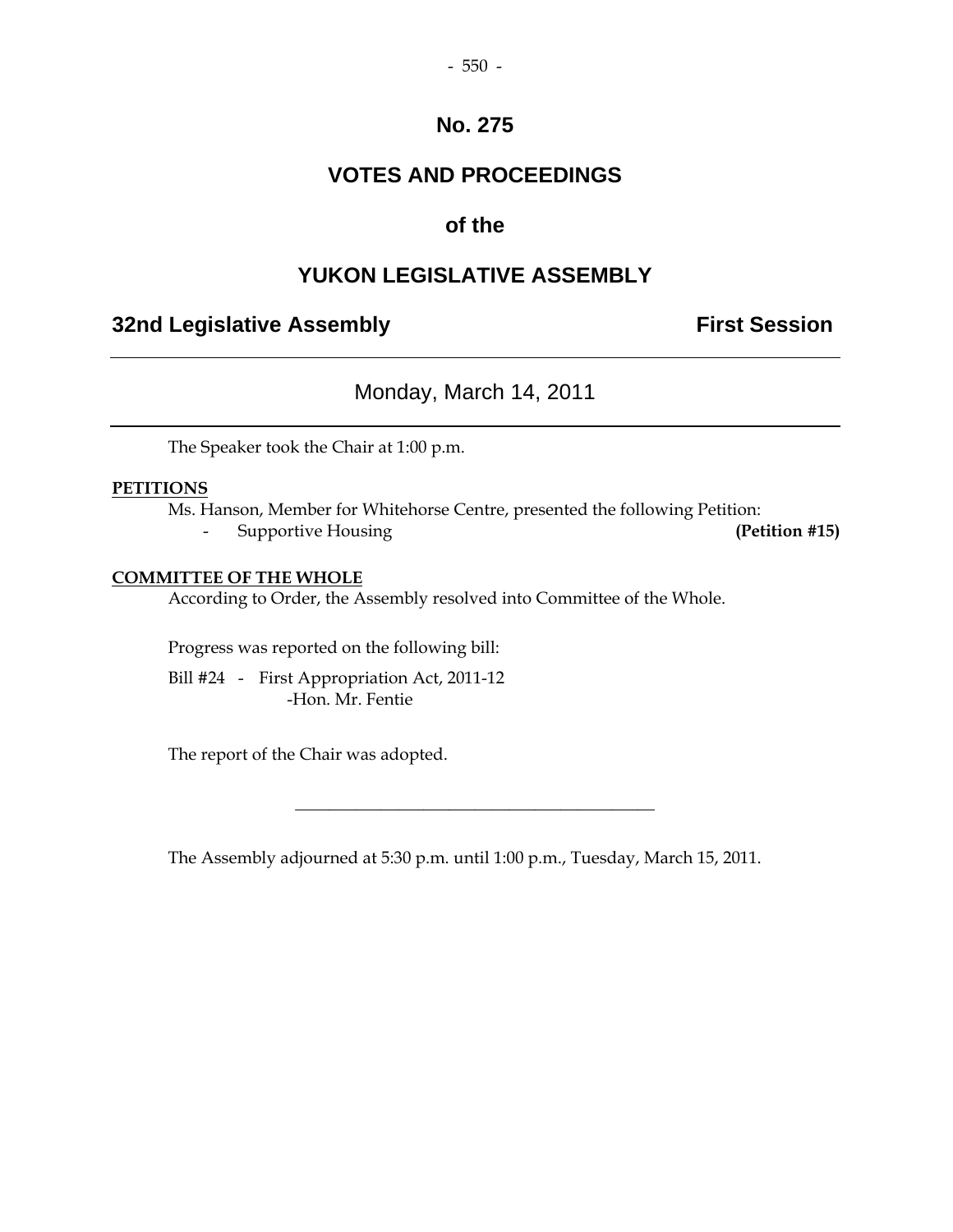## **VOTES AND PROCEEDINGS**

## **of the**

## **YUKON LEGISLATIVE ASSEMBLY**

## **32nd Legislative Assembly First Session**

## Monday, March 14, 2011

The Speaker took the Chair at 1:00 p.m.

#### **PETITIONS**

 Ms. Hanson, Member for Whitehorse Centre, presented the following Petition: - Supportive Housing **(Petition #15)** 

#### **COMMITTEE OF THE WHOLE**

According to Order, the Assembly resolved into Committee of the Whole.

Progress was reported on the following bill:

 Bill #24 - First Appropriation Act, 2011-12 -Hon. Mr. Fentie

The report of the Chair was adopted.

The Assembly adjourned at 5:30 p.m. until 1:00 p.m., Tuesday, March 15, 2011.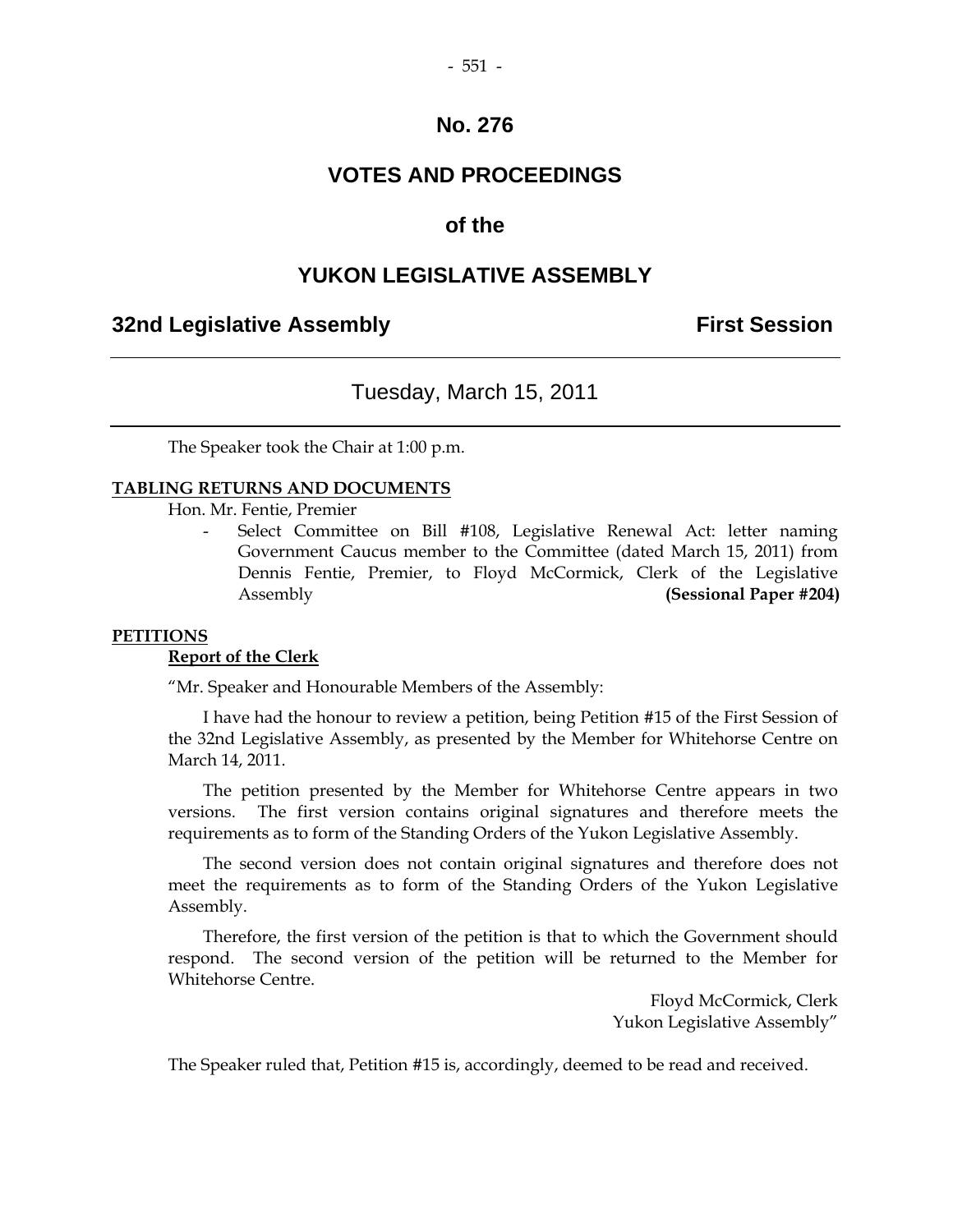## **VOTES AND PROCEEDINGS**

## **of the**

#### **YUKON LEGISLATIVE ASSEMBLY**

#### **32nd Legislative Assembly First Session**

## Tuesday, March 15, 2011

The Speaker took the Chair at 1:00 p.m.

#### **TABLING RETURNS AND DOCUMENTS**

Hon. Mr. Fentie, Premier

Select Committee on Bill #108, Legislative Renewal Act: letter naming Government Caucus member to the Committee (dated March 15, 2011) from Dennis Fentie, Premier, to Floyd McCormick, Clerk of the Legislative Assembly **(Sessional Paper #204)**

#### **PETITIONS**

#### **Report of the Clerk**

"Mr. Speaker and Honourable Members of the Assembly:

 I have had the honour to review a petition, being Petition #15 of the First Session of the 32nd Legislative Assembly, as presented by the Member for Whitehorse Centre on March 14, 2011.

 The petition presented by the Member for Whitehorse Centre appears in two versions. The first version contains original signatures and therefore meets the requirements as to form of the Standing Orders of the Yukon Legislative Assembly.

 The second version does not contain original signatures and therefore does not meet the requirements as to form of the Standing Orders of the Yukon Legislative Assembly.

 Therefore, the first version of the petition is that to which the Government should respond. The second version of the petition will be returned to the Member for Whitehorse Centre.

> Floyd McCormick, Clerk Yukon Legislative Assembly"

The Speaker ruled that, Petition #15 is, accordingly, deemed to be read and received.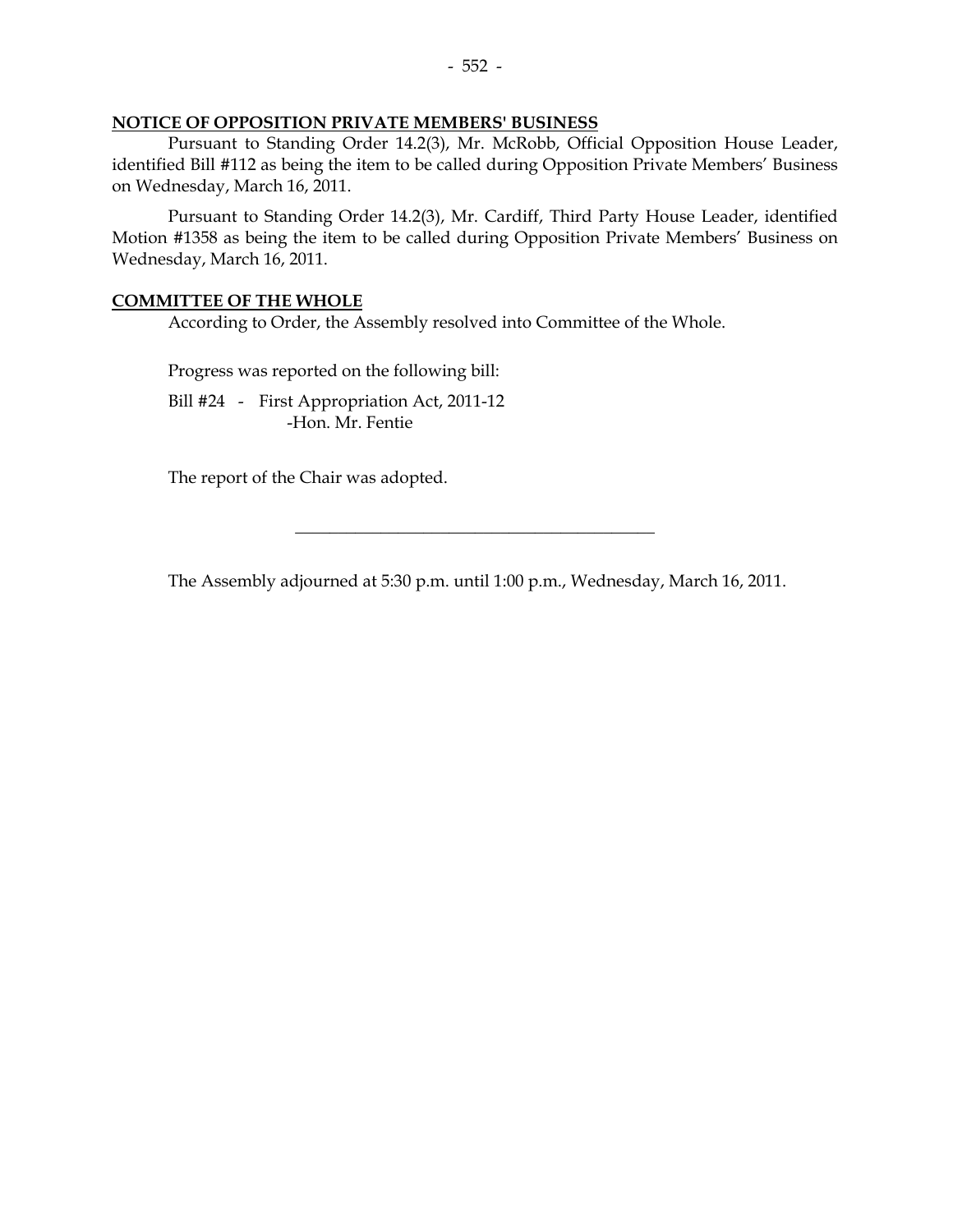#### **NOTICE OF OPPOSITION PRIVATE MEMBERS' BUSINESS**

 Pursuant to Standing Order 14.2(3), Mr. McRobb, Official Opposition House Leader, identified Bill #112 as being the item to be called during Opposition Private Members' Business on Wednesday, March 16, 2011.

 Pursuant to Standing Order 14.2(3), Mr. Cardiff, Third Party House Leader, identified Motion #1358 as being the item to be called during Opposition Private Members' Business on Wednesday, March 16, 2011.

#### **COMMITTEE OF THE WHOLE**

According to Order, the Assembly resolved into Committee of the Whole.

Progress was reported on the following bill:

 Bill #24 - First Appropriation Act, 2011-12 -Hon. Mr. Fentie

The report of the Chair was adopted.

The Assembly adjourned at 5:30 p.m. until 1:00 p.m., Wednesday, March 16, 2011.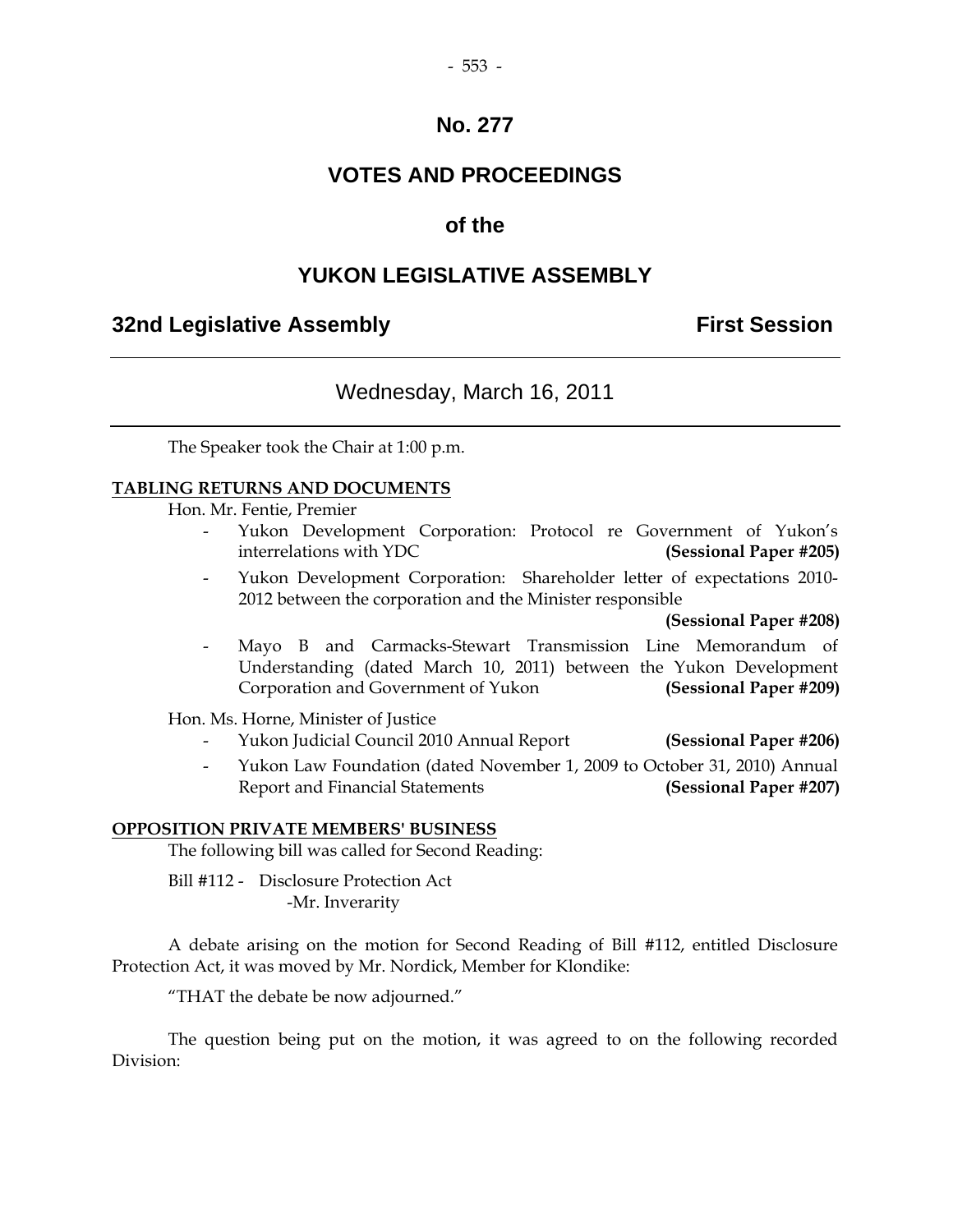## **VOTES AND PROCEEDINGS**

## **of the**

## **YUKON LEGISLATIVE ASSEMBLY**

## **32nd Legislative Assembly First Session**

## Wednesday, March 16, 2011

The Speaker took the Chair at 1:00 p.m.

#### **TABLING RETURNS AND DOCUMENTS**

Hon. Mr. Fentie, Premier

- Yukon Development Corporation: Protocol re Government of Yukon's interrelations with YDC **(Sessional Paper #205)**
- Yukon Development Corporation: Shareholder letter of expectations 2010- 2012 between the corporation and the Minister responsible

**(Sessional Paper #208)**

 - Mayo B and Carmacks-Stewart Transmission Line Memorandum of Understanding (dated March 10, 2011) between the Yukon Development Corporation and Government of Yukon **(Sessional Paper #209)**

Hon. Ms. Horne, Minister of Justice

- Yukon Judicial Council 2010 Annual Report **(Sessional Paper #206)**
- Yukon Law Foundation (dated November 1, 2009 to October 31, 2010) Annual Report and Financial Statements **(Sessional Paper #207)**

#### **OPPOSITION PRIVATE MEMBERS' BUSINESS**

The following bill was called for Second Reading:

 Bill #112 - Disclosure Protection Act -Mr. Inverarity

 A debate arising on the motion for Second Reading of Bill #112, entitled Disclosure Protection Act, it was moved by Mr. Nordick, Member for Klondike:

"THAT the debate be now adjourned."

 The question being put on the motion, it was agreed to on the following recorded Division: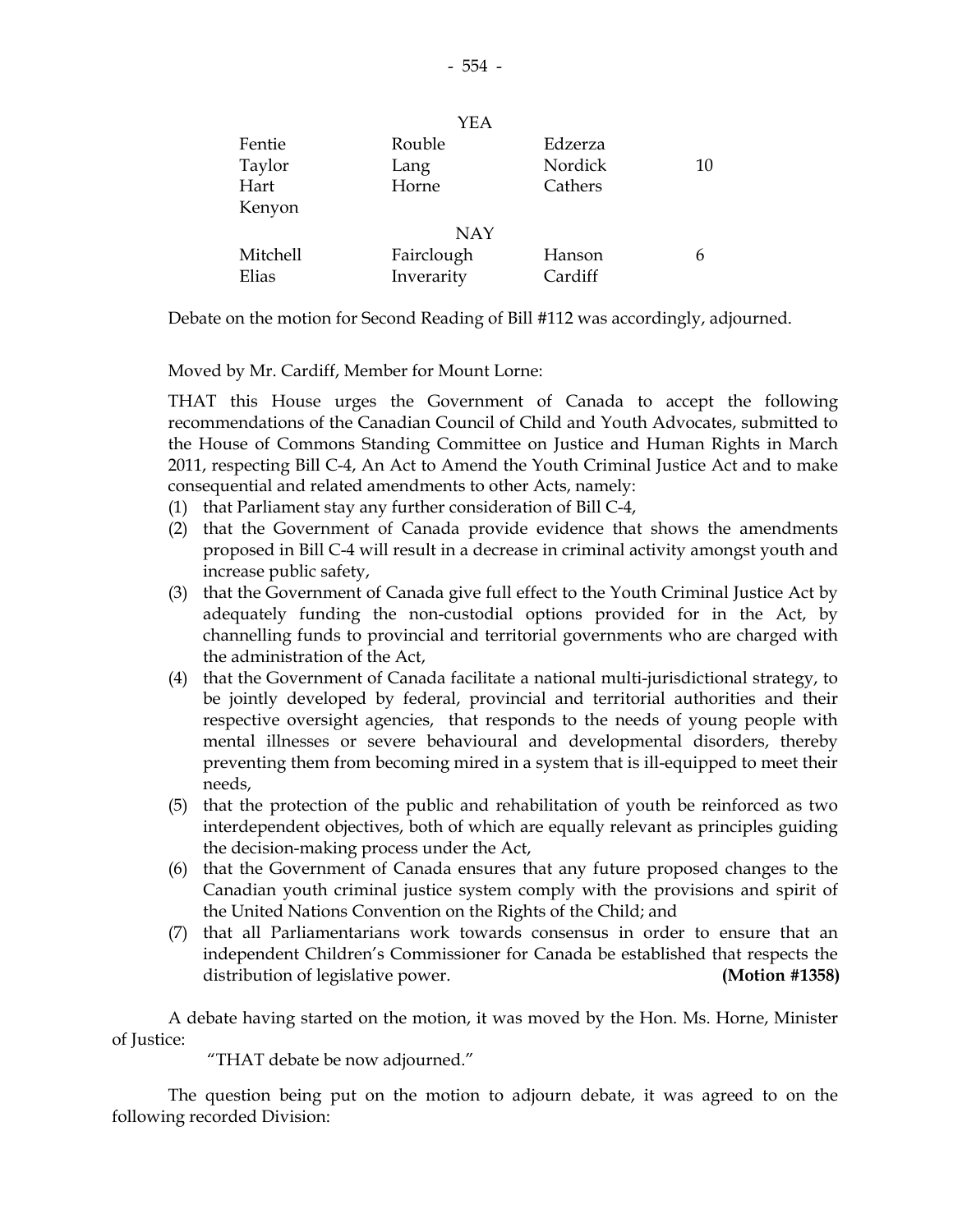| YEA        |         |    |
|------------|---------|----|
| Rouble     | Edzerza |    |
| Lang       | Nordick | 10 |
| Horne      | Cathers |    |
|            |         |    |
| <b>NAY</b> |         |    |
| Fairclough | Hanson  | 6  |
| Inverarity | Cardiff |    |
|            |         |    |

Debate on the motion for Second Reading of Bill #112 was accordingly, adjourned.

Moved by Mr. Cardiff, Member for Mount Lorne:

 THAT this House urges the Government of Canada to accept the following recommendations of the Canadian Council of Child and Youth Advocates, submitted to the House of Commons Standing Committee on Justice and Human Rights in March 2011, respecting Bill C-4, An Act to Amend the Youth Criminal Justice Act and to make consequential and related amendments to other Acts, namely:

- (1) that Parliament stay any further consideration of Bill C-4,
- (2) that the Government of Canada provide evidence that shows the amendments proposed in Bill C-4 will result in a decrease in criminal activity amongst youth and increase public safety,
- (3) that the Government of Canada give full effect to the Youth Criminal Justice Act by adequately funding the non-custodial options provided for in the Act, by channelling funds to provincial and territorial governments who are charged with the administration of the Act,
- (4) that the Government of Canada facilitate a national multi-jurisdictional strategy, to be jointly developed by federal, provincial and territorial authorities and their respective oversight agencies, that responds to the needs of young people with mental illnesses or severe behavioural and developmental disorders, thereby preventing them from becoming mired in a system that is ill-equipped to meet their needs,
- (5) that the protection of the public and rehabilitation of youth be reinforced as two interdependent objectives, both of which are equally relevant as principles guiding the decision-making process under the Act,
- (6) that the Government of Canada ensures that any future proposed changes to the Canadian youth criminal justice system comply with the provisions and spirit of the United Nations Convention on the Rights of the Child; and
- (7) that all Parliamentarians work towards consensus in order to ensure that an independent Children's Commissioner for Canada be established that respects the distribution of legislative power. **(Motion #1358)**

 A debate having started on the motion, it was moved by the Hon. Ms. Horne, Minister of Justice:

"THAT debate be now adjourned."

 The question being put on the motion to adjourn debate, it was agreed to on the following recorded Division:

 $Y$ EA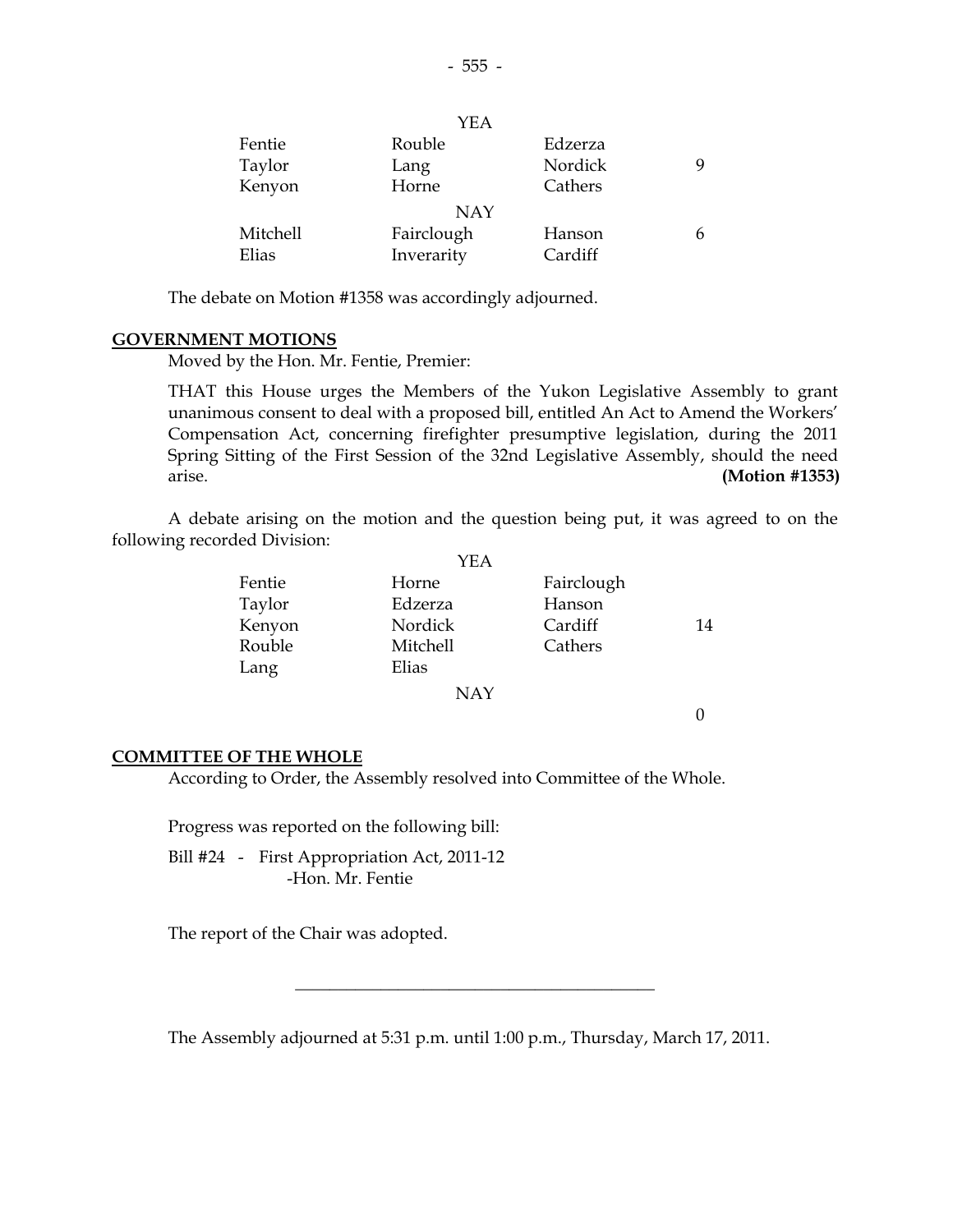|          | I E.A      |         |  |
|----------|------------|---------|--|
| Fentie   | Rouble     | Edzerza |  |
| Taylor   | Lang       | Nordick |  |
| Kenyon   | Horne      | Cathers |  |
|          | <b>NAY</b> |         |  |
| Mitchell | Fairclough | Hanson  |  |
| Elias    | Inverarity | Cardiff |  |

The debate on Motion #1358 was accordingly adjourned.

#### **GOVERNMENT MOTIONS**

Moved by the Hon. Mr. Fentie, Premier:

 THAT this House urges the Members of the Yukon Legislative Assembly to grant unanimous consent to deal with a proposed bill, entitled An Act to Amend the Workers' Compensation Act, concerning firefighter presumptive legislation, during the 2011 Spring Sitting of the First Session of the 32nd Legislative Assembly, should the need arise. **(Motion #1353)** 

 A debate arising on the motion and the question being put, it was agreed to on the following recorded Division:  $\sqrt{2}$ 

|        | YEA        |            |        |
|--------|------------|------------|--------|
| Fentie | Horne      | Fairclough |        |
| Taylor | Edzerza    | Hanson     |        |
| Kenyon | Nordick    | Cardiff    | 14     |
| Rouble | Mitchell   | Cathers    |        |
| Lang   | Elias      |            |        |
|        | <b>NAY</b> |            |        |
|        |            |            | $\sim$ |

#### 0

#### **COMMITTEE OF THE WHOLE**

According to Order, the Assembly resolved into Committee of the Whole.

Progress was reported on the following bill:

Bill #24 - First Appropriation Act, 2011-12 -Hon. Mr. Fentie

The report of the Chair was adopted.

The Assembly adjourned at 5:31 p.m. until 1:00 p.m., Thursday, March 17, 2011.

\_\_\_\_\_\_\_\_\_\_\_\_\_\_\_\_\_\_\_\_\_\_\_\_\_\_\_\_\_\_\_\_\_\_\_\_\_\_\_\_\_\_

 $Y$ EA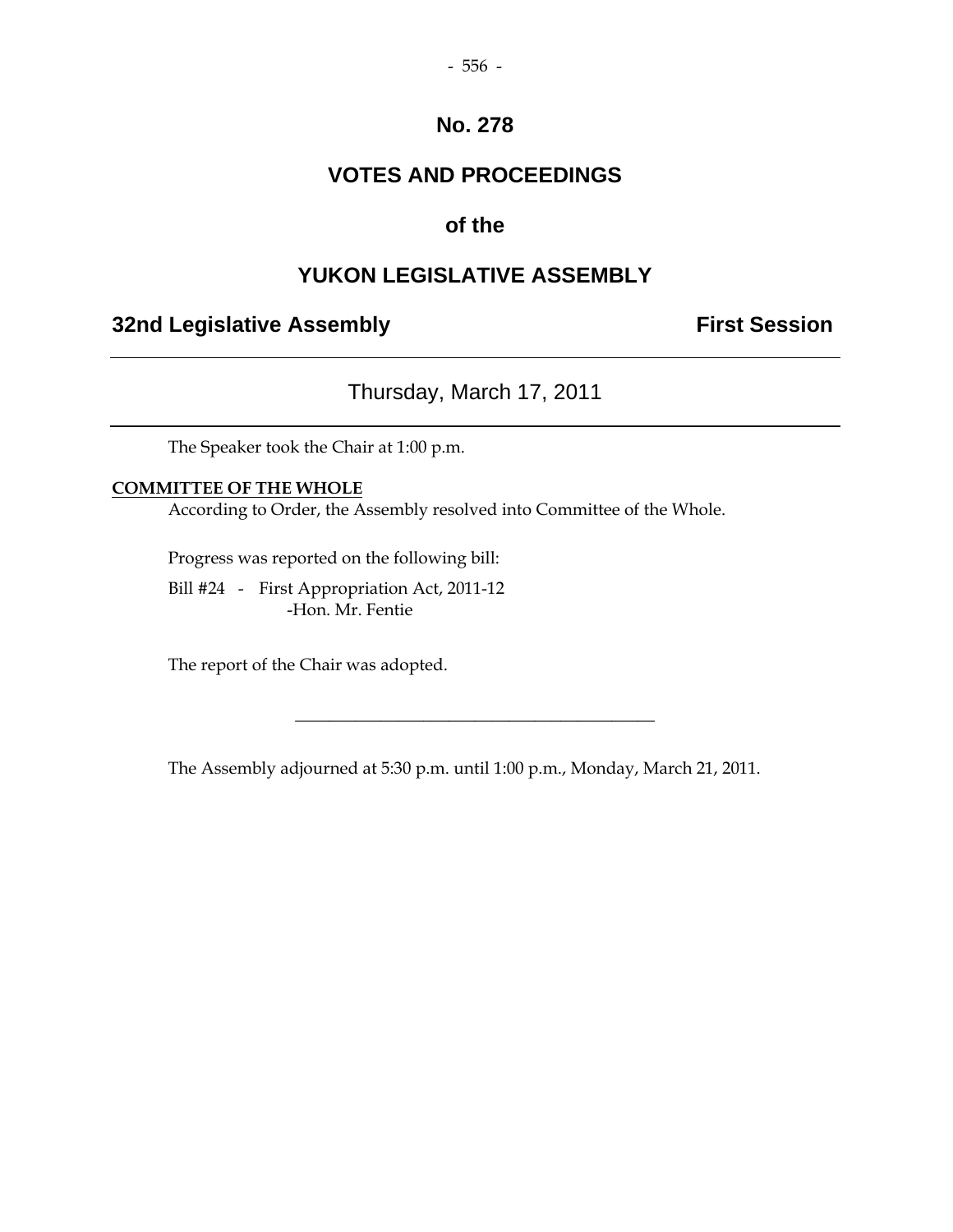## **VOTES AND PROCEEDINGS**

## **of the**

## **YUKON LEGISLATIVE ASSEMBLY**

## **32nd Legislative Assembly First Session**

Thursday, March 17, 2011

The Speaker took the Chair at 1:00 p.m.

#### **COMMITTEE OF THE WHOLE**

According to Order, the Assembly resolved into Committee of the Whole.

Progress was reported on the following bill:

 Bill #24 - First Appropriation Act, 2011-12 -Hon. Mr. Fentie

The report of the Chair was adopted.

The Assembly adjourned at 5:30 p.m. until 1:00 p.m., Monday, March 21, 2011.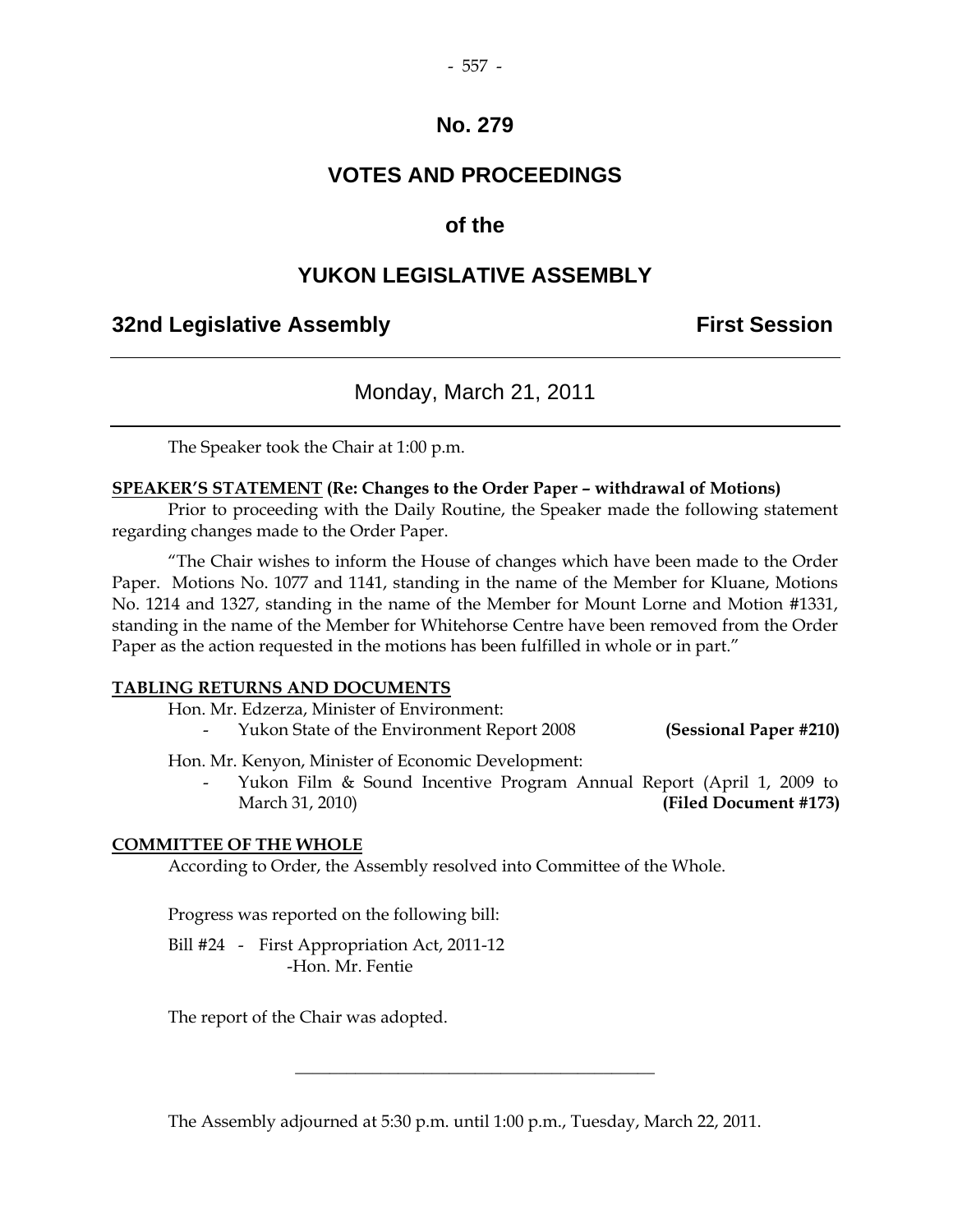## **VOTES AND PROCEEDINGS**

#### **of the**

## **YUKON LEGISLATIVE ASSEMBLY**

#### **32nd Legislative Assembly First Session**

#### Monday, March 21, 2011

The Speaker took the Chair at 1:00 p.m.

#### **SPEAKER'S STATEMENT (Re: Changes to the Order Paper – withdrawal of Motions)**

 Prior to proceeding with the Daily Routine, the Speaker made the following statement regarding changes made to the Order Paper.

 "The Chair wishes to inform the House of changes which have been made to the Order Paper. Motions No. 1077 and 1141, standing in the name of the Member for Kluane, Motions No. 1214 and 1327, standing in the name of the Member for Mount Lorne and Motion #1331, standing in the name of the Member for Whitehorse Centre have been removed from the Order Paper as the action requested in the motions has been fulfilled in whole or in part."

#### **TABLING RETURNS AND DOCUMENTS**

Hon. Mr. Edzerza, Minister of Environment:

- Yukon State of the Environment Report 2008 **(Sessional Paper #210)** 

Hon. Mr. Kenyon, Minister of Economic Development:

Yukon Film & Sound Incentive Program Annual Report (April 1, 2009 to March 31, 2010) **(Filed Document #173)** 

#### **COMMITTEE OF THE WHOLE**

According to Order, the Assembly resolved into Committee of the Whole.

Progress was reported on the following bill:

Bill #24 - First Appropriation Act, 2011-12 -Hon. Mr. Fentie

The report of the Chair was adopted.

The Assembly adjourned at 5:30 p.m. until 1:00 p.m., Tuesday, March 22, 2011.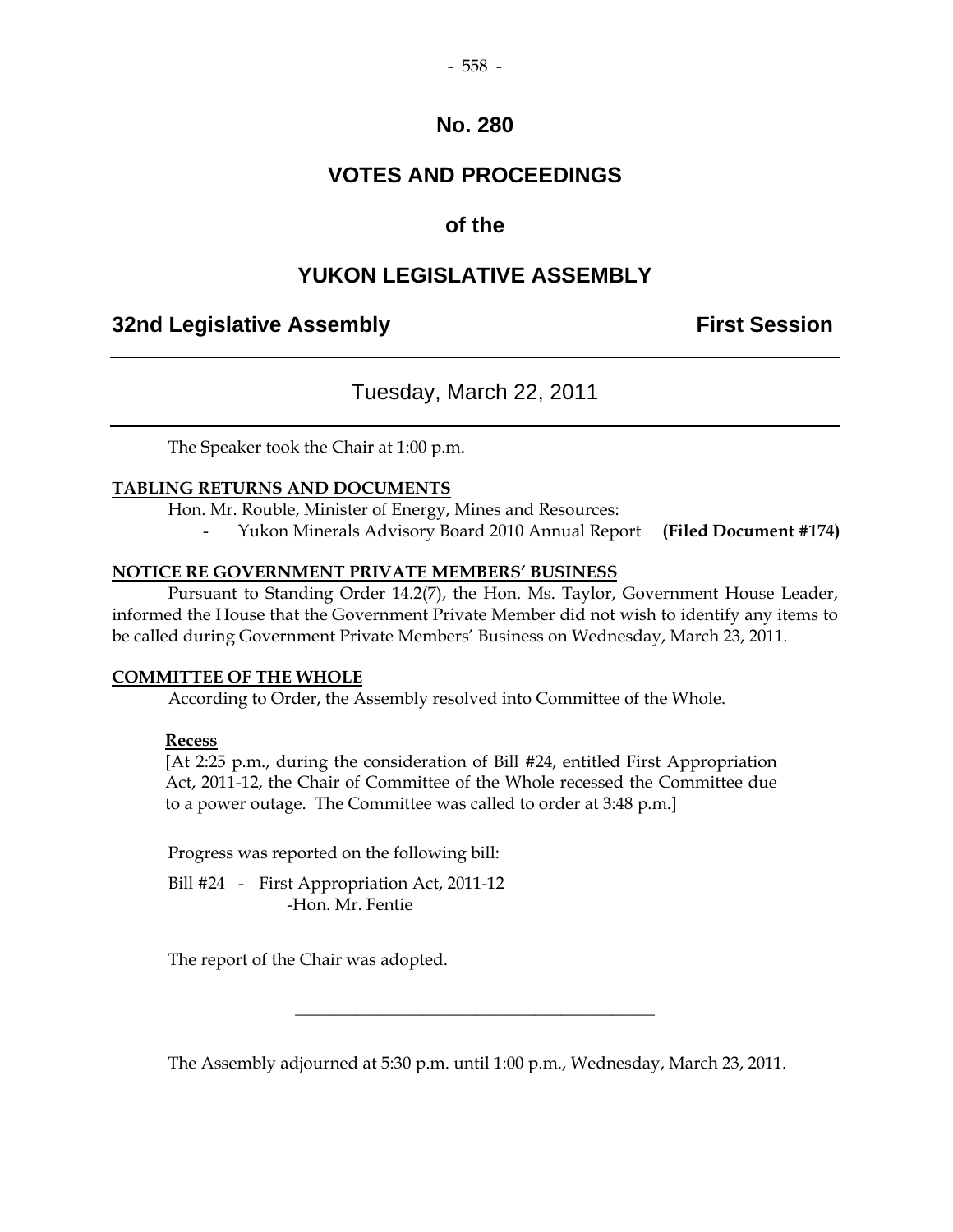## **VOTES AND PROCEEDINGS**

## **of the**

## **YUKON LEGISLATIVE ASSEMBLY**

## **32nd Legislative Assembly First Session**

## Tuesday, March 22, 2011

The Speaker took the Chair at 1:00 p.m.

#### **TABLING RETURNS AND DOCUMENTS**

Hon. Mr. Rouble, Minister of Energy, Mines and Resources:

- Yukon Minerals Advisory Board 2010 Annual Report **(Filed Document #174)** 

#### **NOTICE RE GOVERNMENT PRIVATE MEMBERS' BUSINESS**

 Pursuant to Standing Order 14.2(7), the Hon. Ms. Taylor, Government House Leader, informed the House that the Government Private Member did not wish to identify any items to be called during Government Private Members' Business on Wednesday, March 23, 2011.

#### **COMMITTEE OF THE WHOLE**

According to Order, the Assembly resolved into Committee of the Whole.

#### **Recess**

 [At 2:25 p.m., during the consideration of Bill #24, entitled First Appropriation Act, 2011-12, the Chair of Committee of the Whole recessed the Committee due to a power outage. The Committee was called to order at 3:48 p.m.]

Progress was reported on the following bill:

Bill #24 - First Appropriation Act, 2011-12 -Hon. Mr. Fentie

The report of the Chair was adopted.

The Assembly adjourned at 5:30 p.m. until 1:00 p.m., Wednesday, March 23, 2011.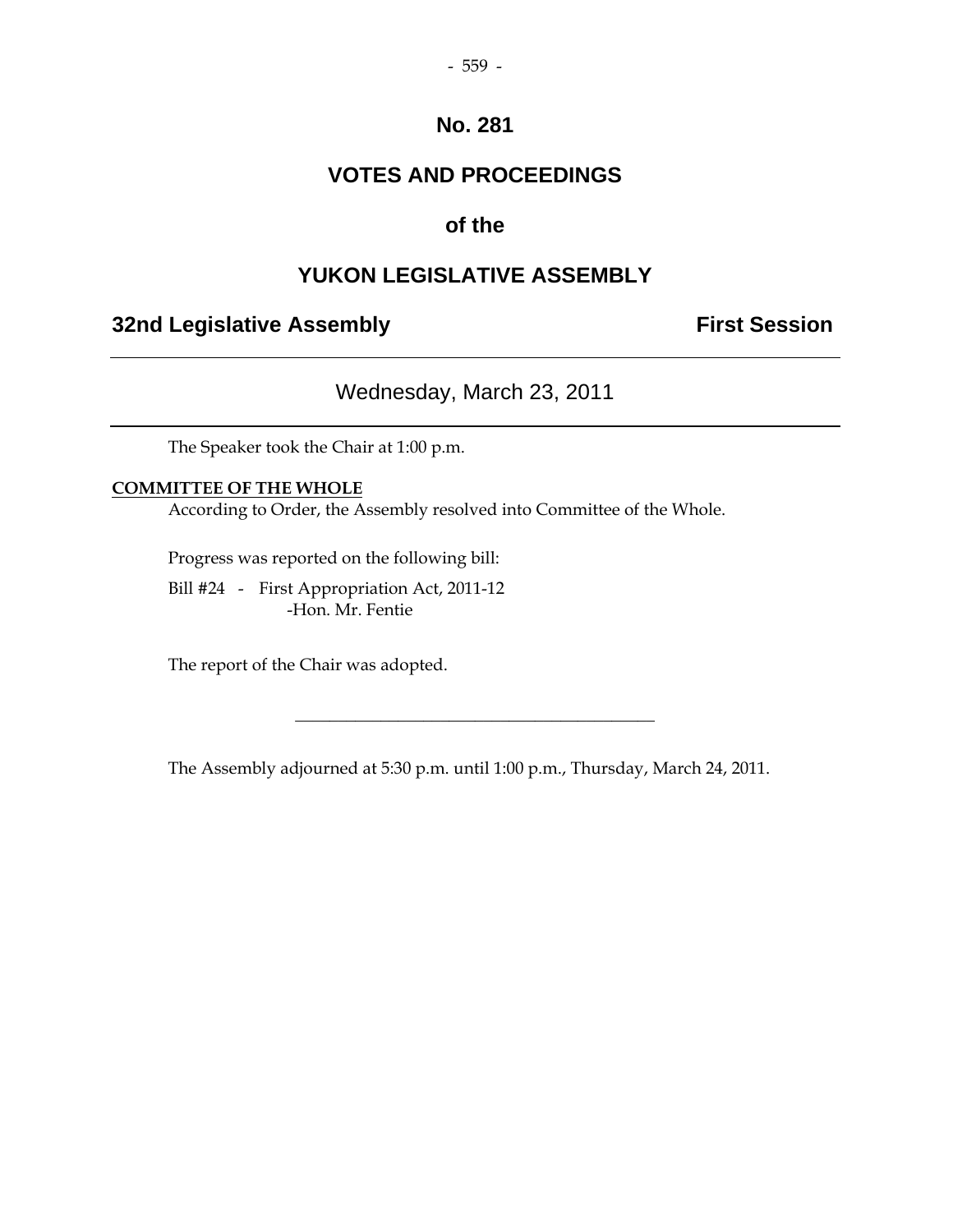## **VOTES AND PROCEEDINGS**

## **of the**

## **YUKON LEGISLATIVE ASSEMBLY**

## **32nd Legislative Assembly First Session**

## Wednesday, March 23, 2011

The Speaker took the Chair at 1:00 p.m.

#### **COMMITTEE OF THE WHOLE**

According to Order, the Assembly resolved into Committee of the Whole.

Progress was reported on the following bill:

 Bill #24 - First Appropriation Act, 2011-12 -Hon. Mr. Fentie

The report of the Chair was adopted.

The Assembly adjourned at 5:30 p.m. until 1:00 p.m., Thursday, March 24, 2011.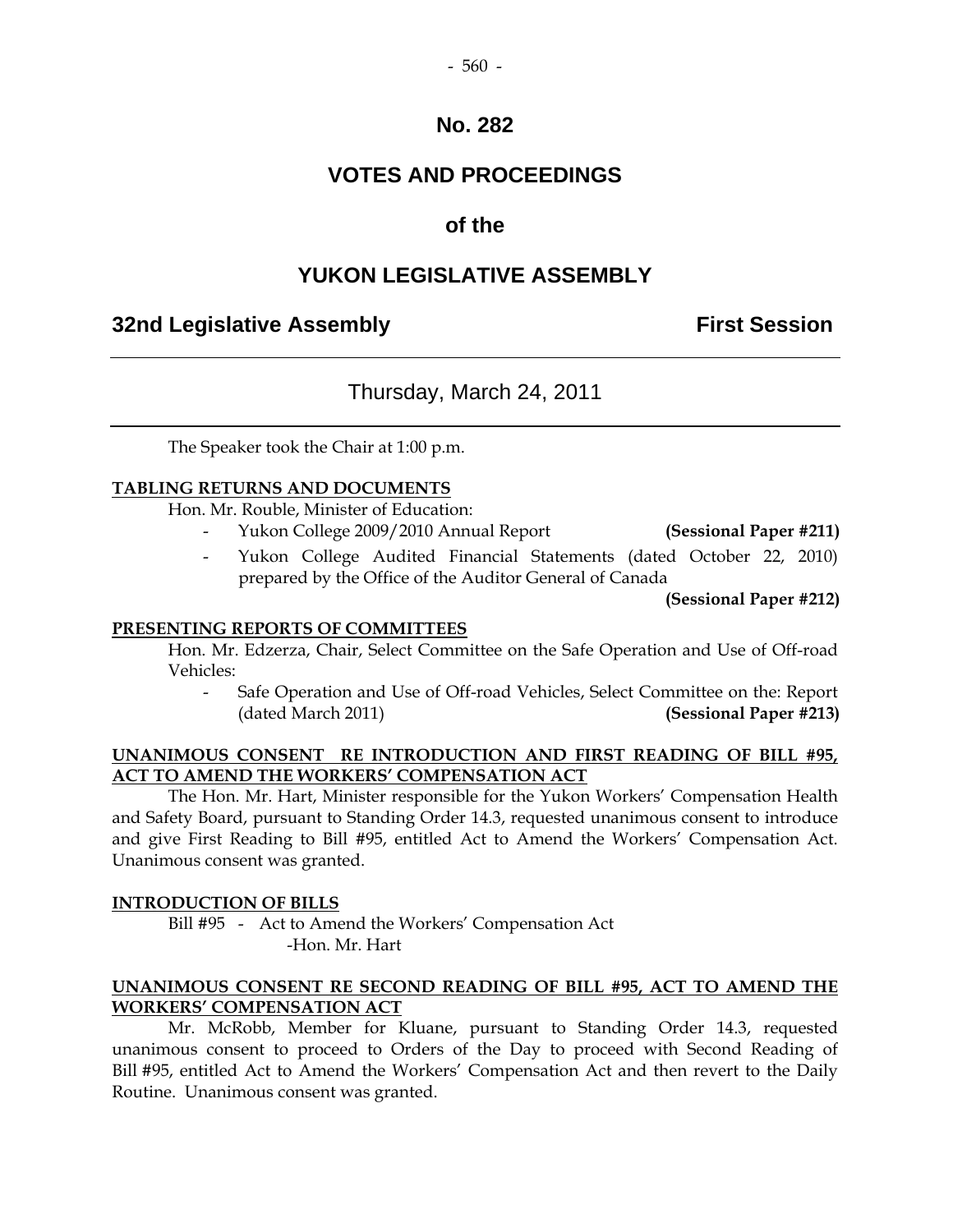#### - 560 -

#### **No. 282**

## **VOTES AND PROCEEDINGS**

## **of the**

## **YUKON LEGISLATIVE ASSEMBLY**

## **32nd Legislative Assembly First Session**

## Thursday, March 24, 2011

The Speaker took the Chair at 1:00 p.m.

#### **TABLING RETURNS AND DOCUMENTS**

Hon. Mr. Rouble, Minister of Education:

- Yukon College 2009/2010 Annual Report **(Sessional Paper #211)**
- Yukon College Audited Financial Statements (dated October 22, 2010) prepared by the Office of the Auditor General of Canada

**(Sessional Paper #212)**

#### **PRESENTING REPORTS OF COMMITTEES**

 Hon. Mr. Edzerza, Chair, Select Committee on the Safe Operation and Use of Off-road Vehicles:

 - Safe Operation and Use of Off-road Vehicles, Select Committee on the: Report (dated March 2011) **(Sessional Paper #213)** 

#### **UNANIMOUS CONSENT RE INTRODUCTION AND FIRST READING OF BILL #95, ACT TO AMEND THE WORKERS' COMPENSATION ACT**

 The Hon. Mr. Hart, Minister responsible for the Yukon Workers' Compensation Health and Safety Board, pursuant to Standing Order 14.3, requested unanimous consent to introduce and give First Reading to Bill #95, entitled Act to Amend the Workers' Compensation Act. Unanimous consent was granted.

#### **INTRODUCTION OF BILLS**

 Bill #95 - Act to Amend the Workers' Compensation Act -Hon. Mr. Hart

#### **UNANIMOUS CONSENT RE SECOND READING OF BILL #95, ACT TO AMEND THE WORKERS' COMPENSATION ACT**

 Mr. McRobb, Member for Kluane, pursuant to Standing Order 14.3, requested unanimous consent to proceed to Orders of the Day to proceed with Second Reading of Bill #95, entitled Act to Amend the Workers' Compensation Act and then revert to the Daily Routine. Unanimous consent was granted.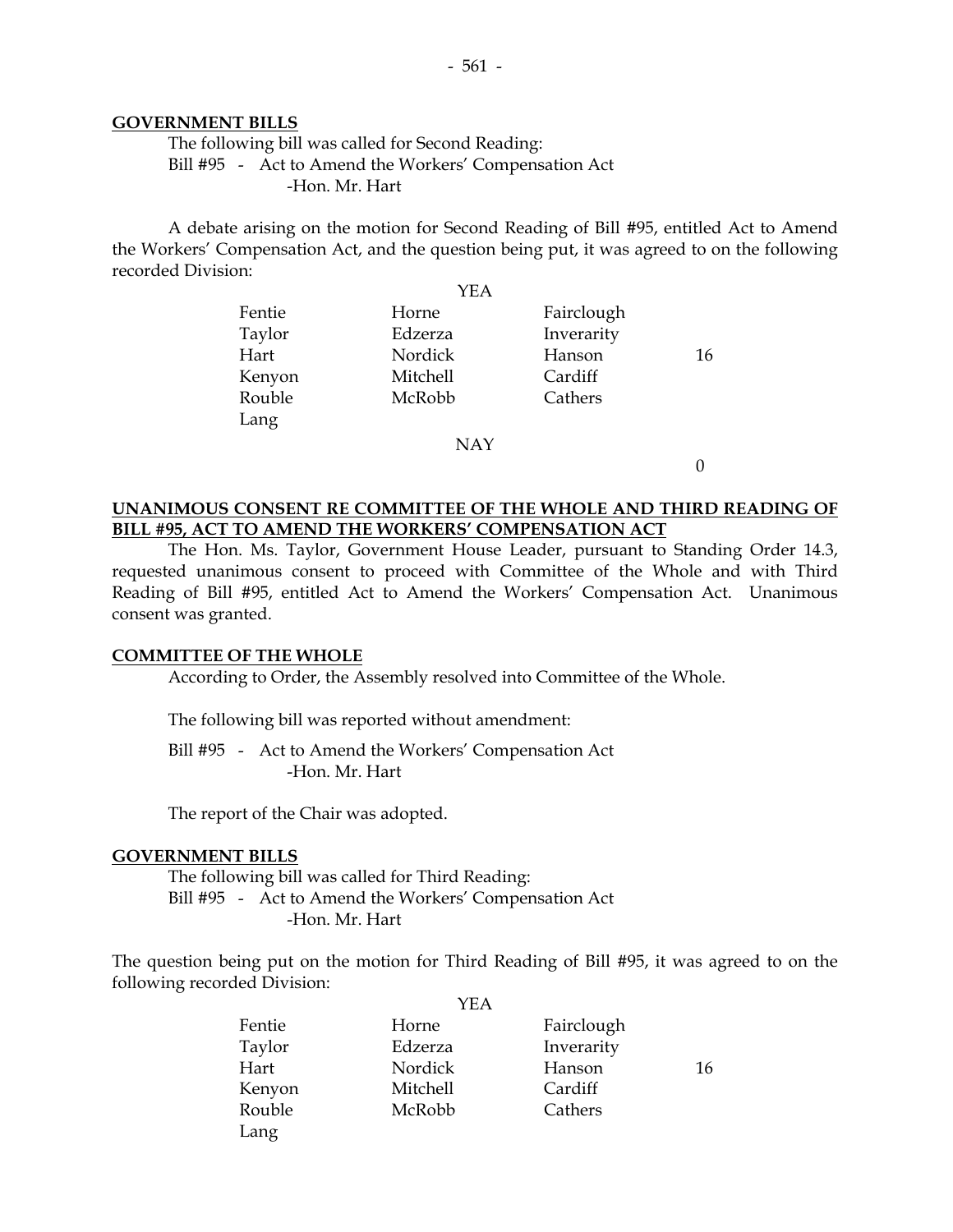#### **GOVERNMENT BILLS**

 The following bill was called for Second Reading: Bill #95 - Act to Amend the Workers' Compensation Act -Hon. Mr. Hart

 A debate arising on the motion for Second Reading of Bill #95, entitled Act to Amend the Workers' Compensation Act, and the question being put, it was agreed to on the following recorded Division:

| YEA    |                 |            |    |
|--------|-----------------|------------|----|
| Fentie | Horne           | Fairclough |    |
| Taylor | Edzerza         | Inverarity |    |
| Hart   | Nordick         | Hanson     | 16 |
| Kenyon | <b>Mitchell</b> | Cardiff    |    |
| Rouble | McRobb          | Cathers    |    |
| Lang   |                 |            |    |

NAY

0

#### **UNANIMOUS CONSENT RE COMMITTEE OF THE WHOLE AND THIRD READING OF BILL #95, ACT TO AMEND THE WORKERS' COMPENSATION ACT**

 The Hon. Ms. Taylor, Government House Leader, pursuant to Standing Order 14.3, requested unanimous consent to proceed with Committee of the Whole and with Third Reading of Bill #95, entitled Act to Amend the Workers' Compensation Act. Unanimous consent was granted.

#### **COMMITTEE OF THE WHOLE**

According to Order, the Assembly resolved into Committee of the Whole.

The following bill was reported without amendment:

 Bill #95 - Act to Amend the Workers' Compensation Act -Hon. Mr. Hart

The report of the Chair was adopted.

#### **GOVERNMENT BILLS**

 The following bill was called for Third Reading: Bill #95 - Act to Amend the Workers' Compensation Act -Hon. Mr. Hart

The question being put on the motion for Third Reading of Bill #95, it was agreed to on the following recorded Division:  $Y<sub>E</sub>$ 

|        | YEA      |            |    |
|--------|----------|------------|----|
| Fentie | Horne    | Fairclough |    |
| Taylor | Edzerza  | Inverarity |    |
| Hart   | Nordick  | Hanson     | 16 |
| Kenyon | Mitchell | Cardiff    |    |
| Rouble | McRobb   | Cathers    |    |
| Lang   |          |            |    |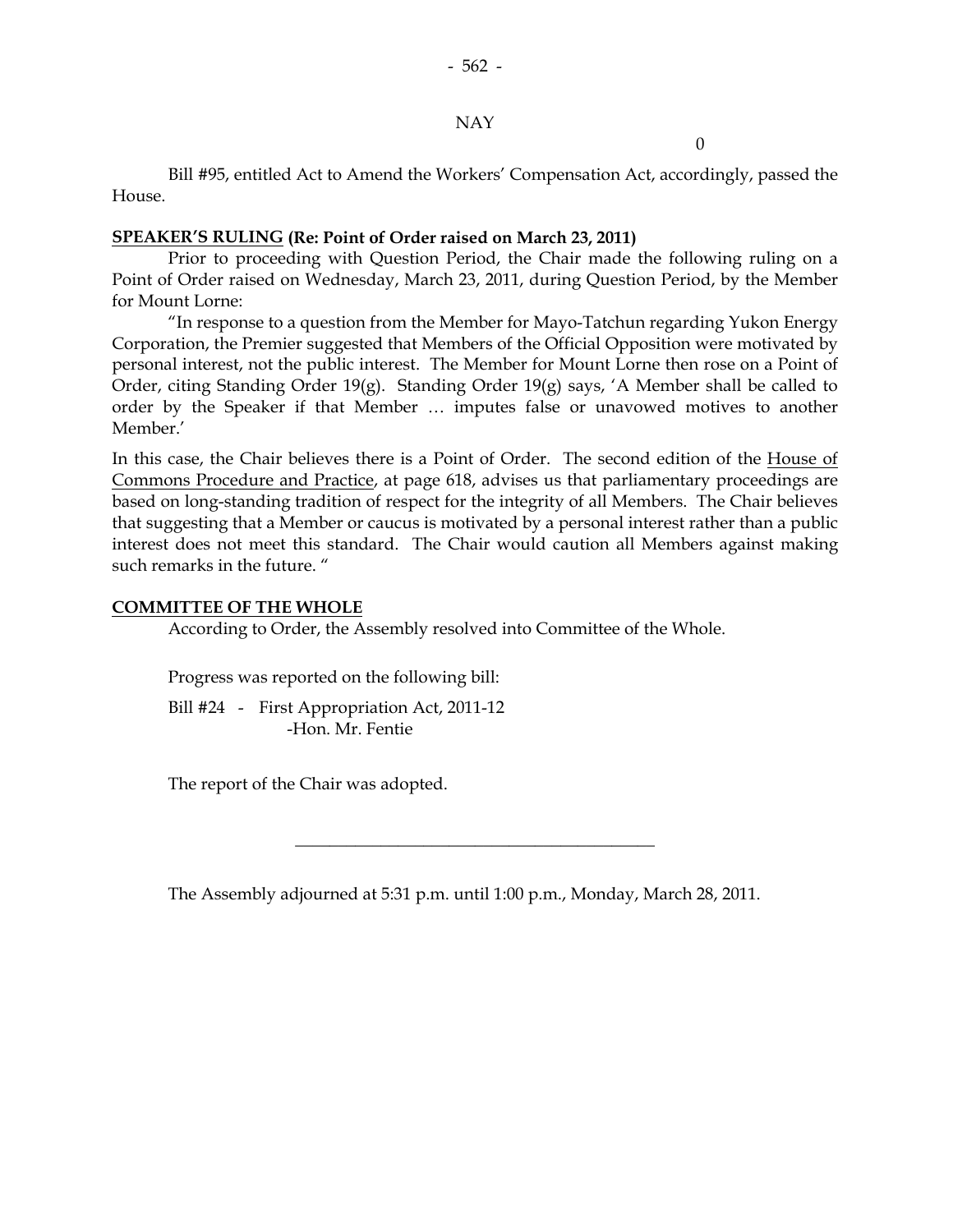#### NAY

 $\theta$ 

 Bill #95, entitled Act to Amend the Workers' Compensation Act, accordingly, passed the House.

#### **SPEAKER'S RULING (Re: Point of Order raised on March 23, 2011)**

 Prior to proceeding with Question Period, the Chair made the following ruling on a Point of Order raised on Wednesday, March 23, 2011, during Question Period, by the Member for Mount Lorne:

"In response to a question from the Member for Mayo-Tatchun regarding Yukon Energy Corporation, the Premier suggested that Members of the Official Opposition were motivated by personal interest, not the public interest. The Member for Mount Lorne then rose on a Point of Order, citing Standing Order 19(g). Standing Order 19(g) says, 'A Member shall be called to order by the Speaker if that Member … imputes false or unavowed motives to another Member.'

In this case, the Chair believes there is a Point of Order. The second edition of the House of Commons Procedure and Practice, at page 618, advises us that parliamentary proceedings are based on long-standing tradition of respect for the integrity of all Members. The Chair believes that suggesting that a Member or caucus is motivated by a personal interest rather than a public interest does not meet this standard. The Chair would caution all Members against making such remarks in the future. "

#### **COMMITTEE OF THE WHOLE**

According to Order, the Assembly resolved into Committee of the Whole.

Progress was reported on the following bill:

Bill #24 - First Appropriation Act, 2011-12 -Hon. Mr. Fentie

The report of the Chair was adopted.

The Assembly adjourned at 5:31 p.m. until 1:00 p.m., Monday, March 28, 2011.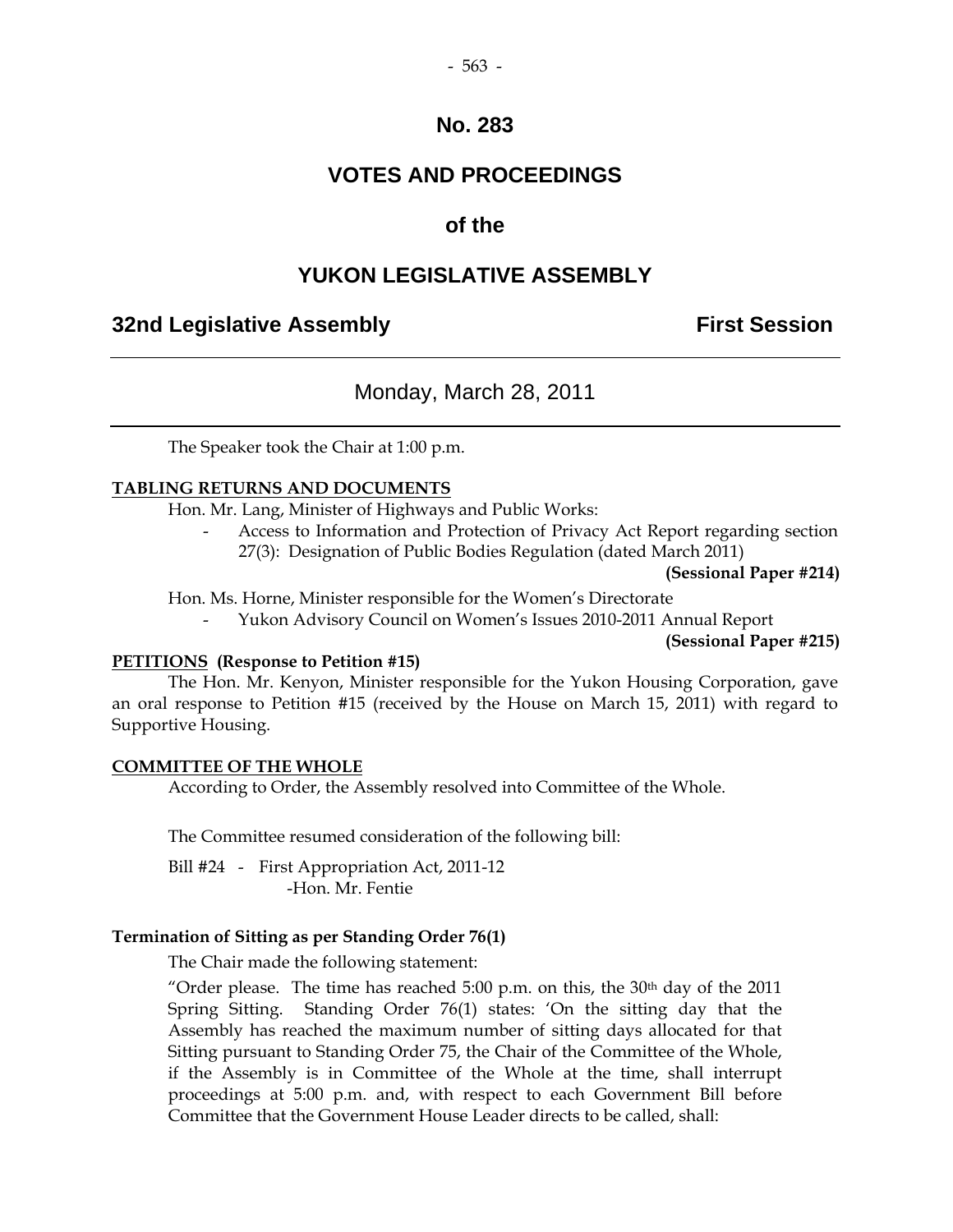## **VOTES AND PROCEEDINGS**

## **of the**

#### **YUKON LEGISLATIVE ASSEMBLY**

#### **32nd Legislative Assembly First Session**

#### Monday, March 28, 2011

The Speaker took the Chair at 1:00 p.m.

#### **TABLING RETURNS AND DOCUMENTS**

Hon. Mr. Lang, Minister of Highways and Public Works:

Access to Information and Protection of Privacy Act Report regarding section 27(3): Designation of Public Bodies Regulation (dated March 2011)

**(Sessional Paper #214)** 

Hon. Ms. Horne, Minister responsible for the Women's Directorate

- Yukon Advisory Council on Women's Issues 2010-2011 Annual Report

**(Sessional Paper #215)**

#### **PETITIONS (Response to Petition #15)**

 The Hon. Mr. Kenyon, Minister responsible for the Yukon Housing Corporation, gave an oral response to Petition #15 (received by the House on March 15, 2011) with regard to Supportive Housing.

#### **COMMITTEE OF THE WHOLE**

According to Order, the Assembly resolved into Committee of the Whole.

The Committee resumed consideration of the following bill:

Bill #24 - First Appropriation Act, 2011-12 -Hon. Mr. Fentie

#### **Termination of Sitting as per Standing Order 76(1)**

The Chair made the following statement:

"Order please. The time has reached  $5:00$  p.m. on this, the  $30<sup>th</sup>$  day of the  $2011$ Spring Sitting. Standing Order 76(1) states: 'On the sitting day that the Assembly has reached the maximum number of sitting days allocated for that Sitting pursuant to Standing Order 75, the Chair of the Committee of the Whole, if the Assembly is in Committee of the Whole at the time, shall interrupt proceedings at 5:00 p.m. and, with respect to each Government Bill before Committee that the Government House Leader directs to be called, shall: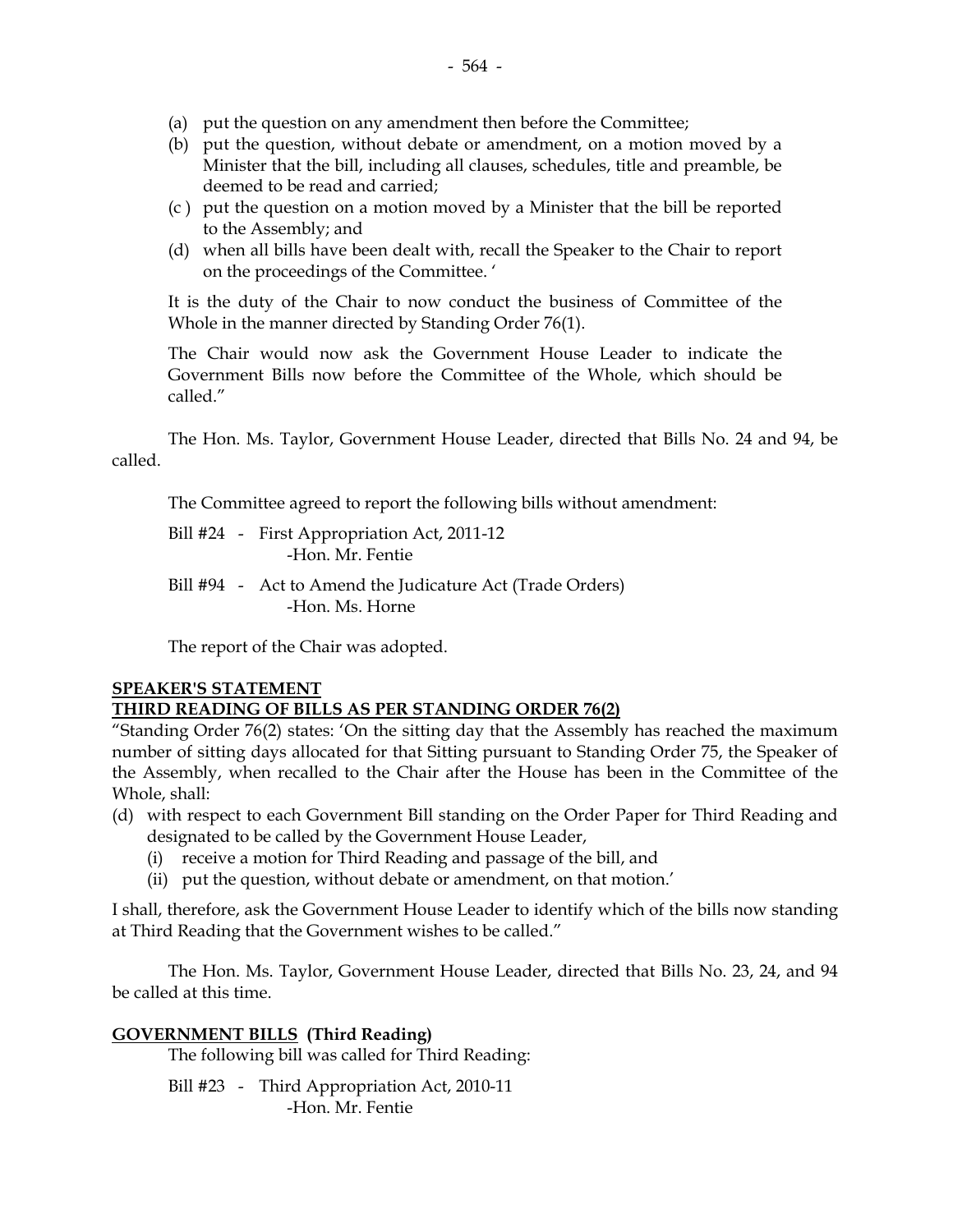- (a) put the question on any amendment then before the Committee;
- (b) put the question, without debate or amendment, on a motion moved by a Minister that the bill, including all clauses, schedules, title and preamble, be deemed to be read and carried;
- (c ) put the question on a motion moved by a Minister that the bill be reported to the Assembly; and
- (d) when all bills have been dealt with, recall the Speaker to the Chair to report on the proceedings of the Committee. '

It is the duty of the Chair to now conduct the business of Committee of the Whole in the manner directed by Standing Order 76(1).

The Chair would now ask the Government House Leader to indicate the Government Bills now before the Committee of the Whole, which should be called."

The Hon. Ms. Taylor, Government House Leader, directed that Bills No. 24 and 94, be called.

The Committee agreed to report the following bills without amendment:

- Bill #24 First Appropriation Act, 2011-12 -Hon. Mr. Fentie
- Bill #94 Act to Amend the Judicature Act (Trade Orders) -Hon. Ms. Horne

The report of the Chair was adopted.

## **SPEAKER'S STATEMENT**

## **THIRD READING OF BILLS AS PER STANDING ORDER 76(2)**

"Standing Order 76(2) states: 'On the sitting day that the Assembly has reached the maximum number of sitting days allocated for that Sitting pursuant to Standing Order 75, the Speaker of the Assembly, when recalled to the Chair after the House has been in the Committee of the Whole, shall:

- (d) with respect to each Government Bill standing on the Order Paper for Third Reading and designated to be called by the Government House Leader,
	- (i) receive a motion for Third Reading and passage of the bill, and
	- (ii) put the question, without debate or amendment, on that motion.'

I shall, therefore, ask the Government House Leader to identify which of the bills now standing at Third Reading that the Government wishes to be called."

The Hon. Ms. Taylor, Government House Leader, directed that Bills No. 23, 24, and 94 be called at this time.

## **GOVERNMENT BILLS (Third Reading)**

The following bill was called for Third Reading:

 Bill #23 - Third Appropriation Act, 2010-11 -Hon. Mr. Fentie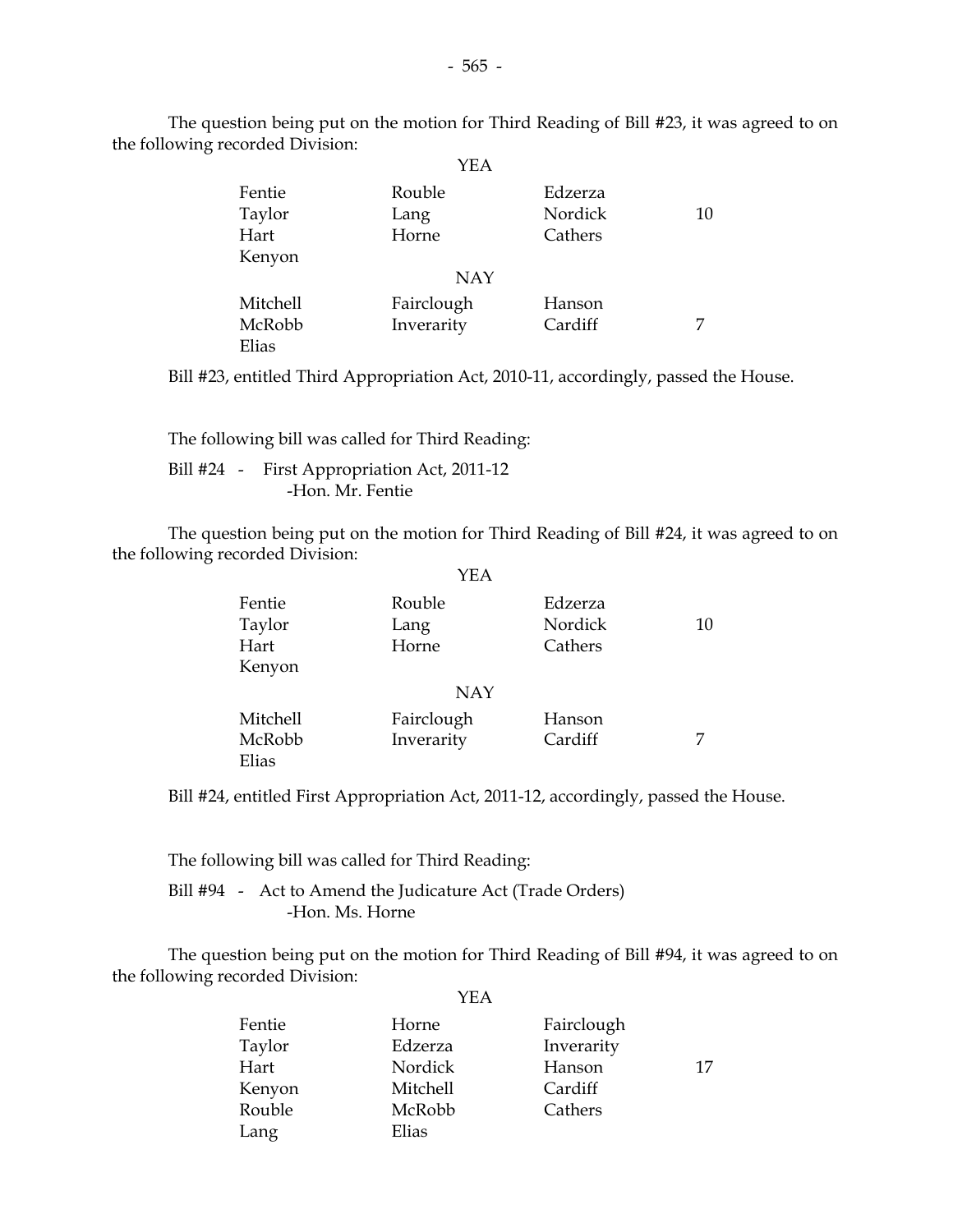|          | YEA        |         |    |
|----------|------------|---------|----|
| Fentie   | Rouble     | Edzerza |    |
| Taylor   | Lang       | Nordick | 10 |
| Hart     | Horne      | Cathers |    |
| Kenyon   |            |         |    |
|          | <b>NAY</b> |         |    |
| Mitchell | Fairclough | Hanson  |    |
| McRobb   | Inverarity | Cardiff | 7  |
| Elias    |            |         |    |

The question being put on the motion for Third Reading of Bill #23, it was agreed to on the following recorded Division:

Bill #23, entitled Third Appropriation Act, 2010-11, accordingly, passed the House.

 The following bill was called for Third Reading: Bill #24 - First Appropriation Act, 2011-12 -Hon. Mr. Fentie

 The question being put on the motion for Third Reading of Bill #24, it was agreed to on the following recorded Division:

|          | YEA        |         |    |
|----------|------------|---------|----|
| Fentie   | Rouble     | Edzerza |    |
| Taylor   | Lang       | Nordick | 10 |
| Hart     | Horne      | Cathers |    |
| Kenyon   |            |         |    |
|          | <b>NAY</b> |         |    |
| Mitchell | Fairclough | Hanson  |    |
| McRobb   | Inverarity | Cardiff |    |
| Elias    |            |         |    |

Bill #24, entitled First Appropriation Act, 2011-12, accordingly, passed the House.

The following bill was called for Third Reading:

 Bill #94 - Act to Amend the Judicature Act (Trade Orders) -Hon. Ms. Horne

 The question being put on the motion for Third Reading of Bill #94, it was agreed to on the following recorded Division: YEA

| Fentie | Horne           | Fairclough |    |
|--------|-----------------|------------|----|
| Taylor | Edzerza         | Inverarity |    |
| Hart   | Nordick         | Hanson     | 17 |
| Kenyon | <b>Mitchell</b> | Cardiff    |    |
| Rouble | McRobb          | Cathers    |    |
| Lang   | Elias           |            |    |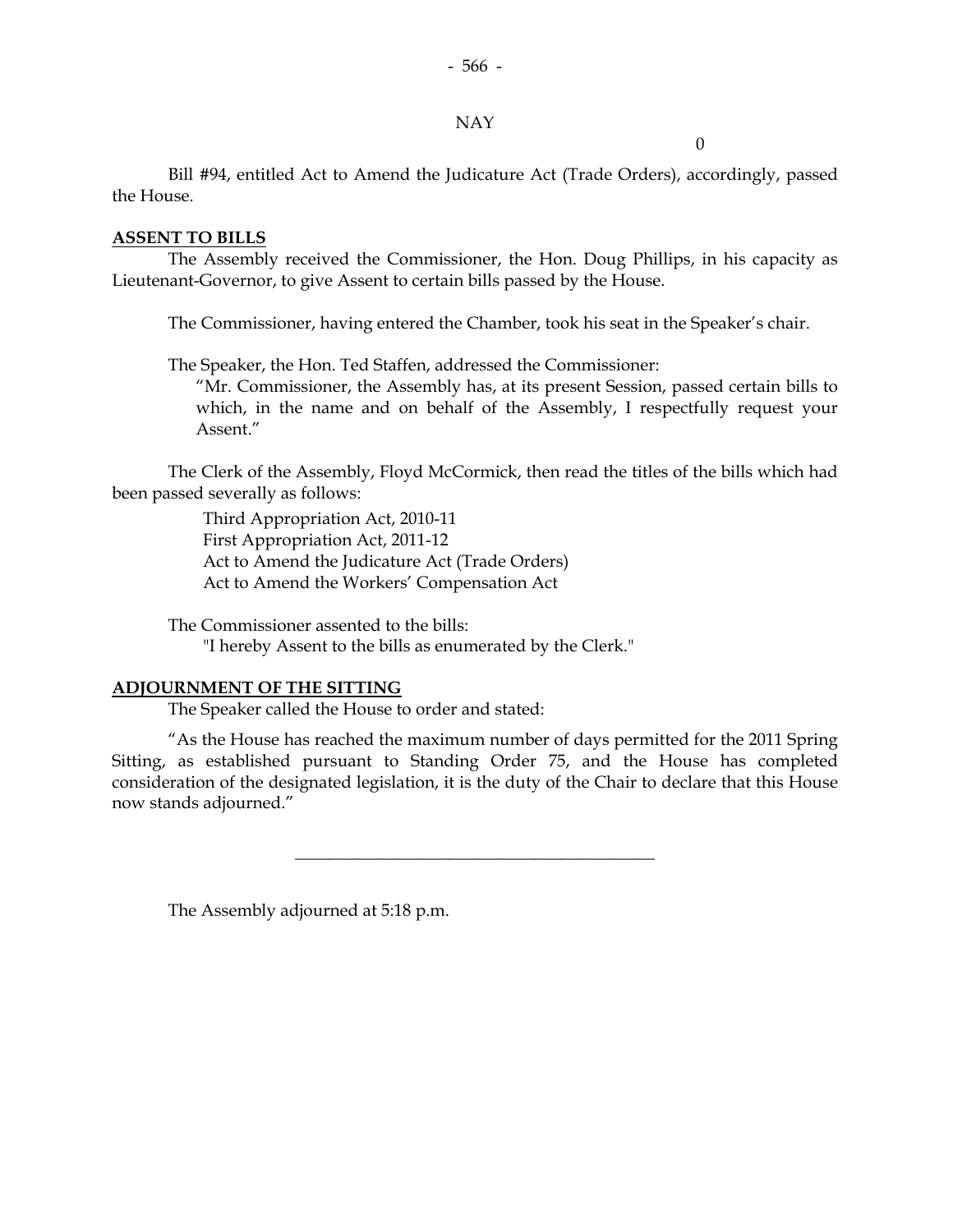#### NAY

 $\theta$ 

 Bill #94, entitled Act to Amend the Judicature Act (Trade Orders), accordingly, passed the House.

#### **ASSENT TO BILLS**

 The Assembly received the Commissioner, the Hon. Doug Phillips, in his capacity as Lieutenant-Governor, to give Assent to certain bills passed by the House.

The Commissioner, having entered the Chamber, took his seat in the Speaker's chair.

The Speaker, the Hon. Ted Staffen, addressed the Commissioner:

 "Mr. Commissioner, the Assembly has, at its present Session, passed certain bills to which, in the name and on behalf of the Assembly, I respectfully request your Assent."

 The Clerk of the Assembly, Floyd McCormick, then read the titles of the bills which had been passed severally as follows:

> Third Appropriation Act, 2010-11 First Appropriation Act, 2011-12 Act to Amend the Judicature Act (Trade Orders) Act to Amend the Workers' Compensation Act

 The Commissioner assented to the bills: "I hereby Assent to the bills as enumerated by the Clerk."

#### **ADJOURNMENT OF THE SITTING**

The Speaker called the House to order and stated:

 "As the House has reached the maximum number of days permitted for the 2011 Spring Sitting, as established pursuant to Standing Order 75, and the House has completed consideration of the designated legislation, it is the duty of the Chair to declare that this House now stands adjourned."

\_\_\_\_\_\_\_\_\_\_\_\_\_\_\_\_\_\_\_\_\_\_\_\_\_\_\_\_\_\_\_\_\_\_\_\_\_\_\_\_\_\_

The Assembly adjourned at 5:18 p.m.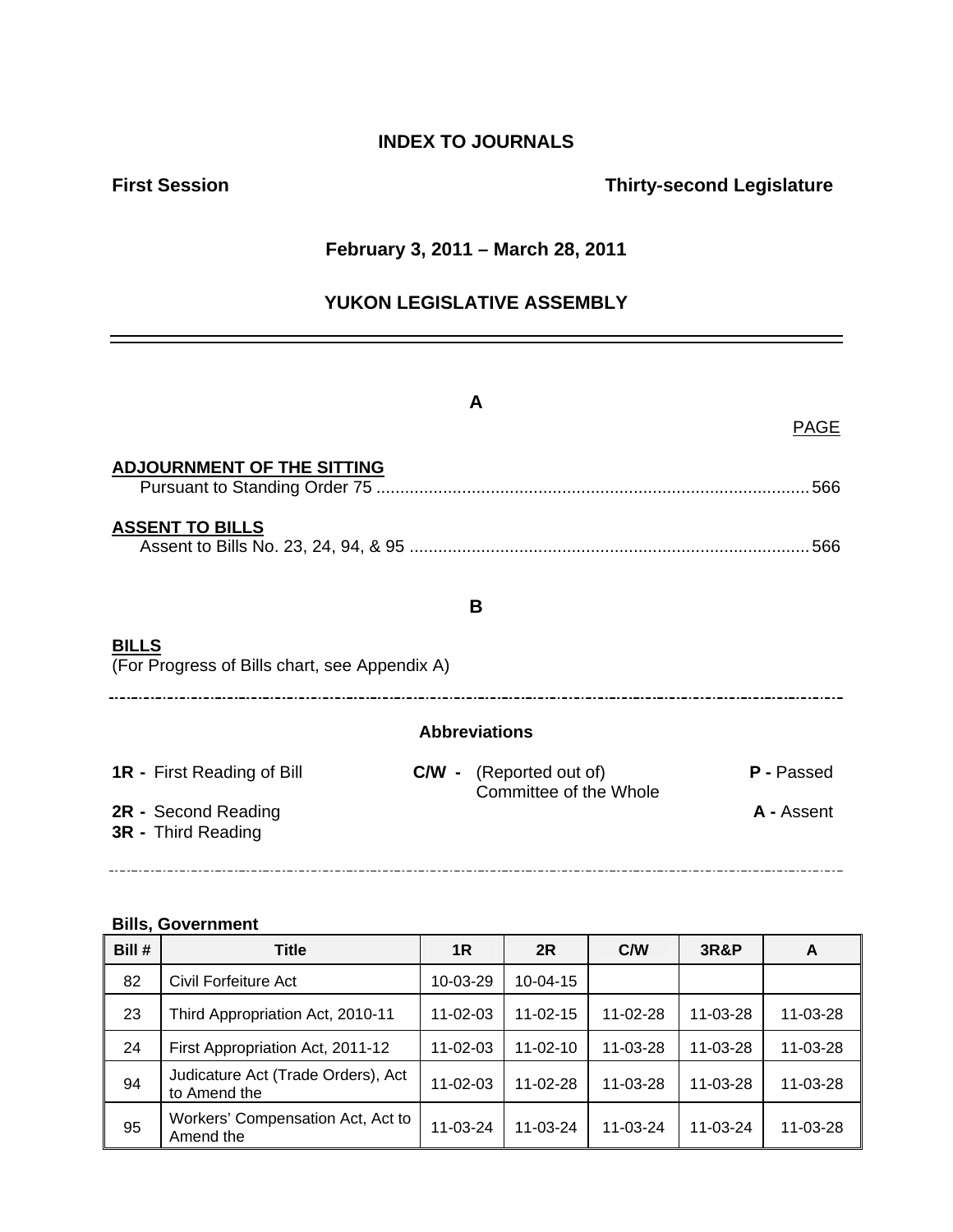## **INDEX TO JOURNALS**

## **First Session Contract Session Contract Session Contract Contract Contract Contract Contract Contract Contract Contract Contract Contract Contract Contract Contract Contract Contract Contract Contract Contract Contract Co**

#### **February 3, 2011 – March 28, 2011**

## **YUKON LEGISLATIVE ASSEMBLY**

|                                           |                                               | A                                                        | <b>PAGE</b> |  |
|-------------------------------------------|-----------------------------------------------|----------------------------------------------------------|-------------|--|
| <b>ADJOURNMENT OF THE SITTING</b>         |                                               |                                                          | 566         |  |
| <b>ASSENT TO BILLS</b>                    |                                               |                                                          | 566         |  |
|                                           |                                               | B                                                        |             |  |
| <u>BILLS</u>                              | (For Progress of Bills chart, see Appendix A) |                                                          |             |  |
|                                           |                                               | <b>Abbreviations</b>                                     |             |  |
| <b>1R</b> - First Reading of Bill         |                                               | <b>C/W</b> - (Reported out of)<br>Committee of the Whole | P - Passed  |  |
| 2R - Second Reading<br>3R - Third Reading |                                               |                                                          | A - Assent  |  |

#### **Bills, Government**

| Bill # | <b>Title</b>                                       | 1 <sub>R</sub> | 2R             | C/W      | 3R&P           | A        |
|--------|----------------------------------------------------|----------------|----------------|----------|----------------|----------|
| 82     | Civil Forfeiture Act                               | 10-03-29       | $10 - 04 - 15$ |          |                |          |
| 23     | Third Appropriation Act, 2010-11                   | $11 - 02 - 03$ | $11 - 02 - 15$ | 11-02-28 | $11 - 03 - 28$ | 11-03-28 |
| 24     | First Appropriation Act, 2011-12                   | $11 - 02 - 03$ | $11 - 02 - 10$ | 11-03-28 | 11-03-28       | 11-03-28 |
| 94     | Judicature Act (Trade Orders), Act<br>to Amend the | $11 - 02 - 03$ | $11 - 02 - 28$ | 11-03-28 | 11-03-28       | 11-03-28 |
| 95     | Workers' Compensation Act, Act to<br>Amend the     | $11 - 03 - 24$ | $11 - 03 - 24$ | 11-03-24 | $11 - 03 - 24$ | 11-03-28 |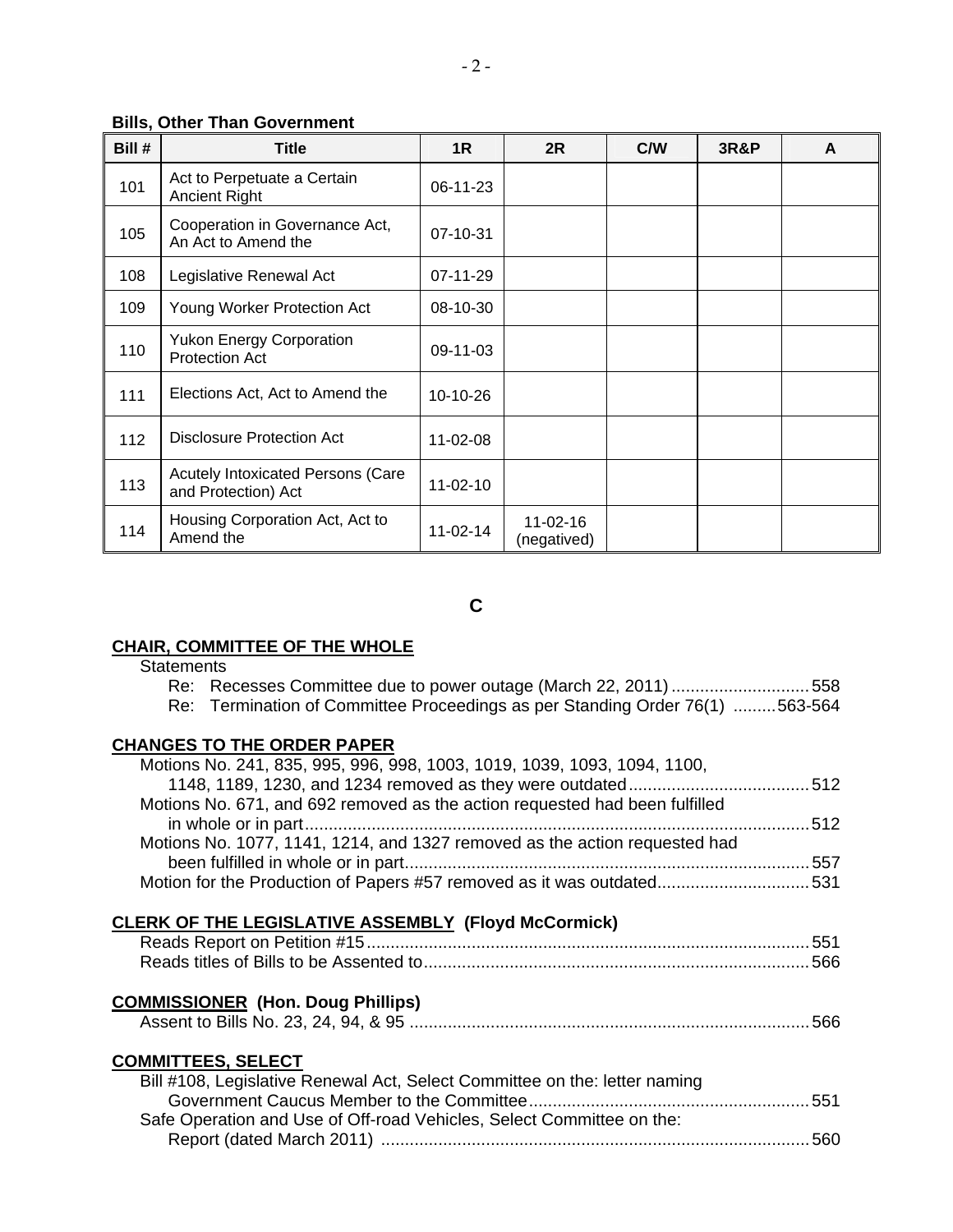#### **Bills, Other Than Government**

| Bill # | <b>Title</b>                                                    | 1R         | 2R                            | C/W | <b>3R&amp;P</b> | A |
|--------|-----------------------------------------------------------------|------------|-------------------------------|-----|-----------------|---|
| 101    | Act to Perpetuate a Certain<br><b>Ancient Right</b>             | 06-11-23   |                               |     |                 |   |
| 105    | Cooperation in Governance Act,<br>An Act to Amend the           | 07-10-31   |                               |     |                 |   |
| 108    | Legislative Renewal Act                                         | $07-11-29$ |                               |     |                 |   |
| 109    | Young Worker Protection Act                                     | 08-10-30   |                               |     |                 |   |
| 110    | <b>Yukon Energy Corporation</b><br><b>Protection Act</b>        | 09-11-03   |                               |     |                 |   |
| 111    | Elections Act, Act to Amend the                                 | 10-10-26   |                               |     |                 |   |
| 112    | Disclosure Protection Act                                       | 11-02-08   |                               |     |                 |   |
| 113    | <b>Acutely Intoxicated Persons (Care</b><br>and Protection) Act | $11-02-10$ |                               |     |                 |   |
| 114    | Housing Corporation Act, Act to<br>Amend the                    | $11-02-14$ | $11 - 02 - 16$<br>(negatived) |     |                 |   |

**C** 

## **CHAIR, COMMITTEE OF THE WHOLE**

| <b>Statements</b> |
|-------------------|
|-------------------|

| Re: Recesses Committee due to power outage (March 22, 2011) 558              |     |
|------------------------------------------------------------------------------|-----|
| Re: Termination of Committee Proceedings as per Standing Order 76(1) 563-564 |     |
| <b>CHANGES TO THE ORDER PAPER</b>                                            |     |
| Motions No. 241, 835, 995, 996, 998, 1003, 1019, 1039, 1093, 1094, 1100,     |     |
|                                                                              |     |
| Motions No. 671, and 692 removed as the action requested had been fulfilled  |     |
|                                                                              |     |
| Motions No. 1077, 1141, 1214, and 1327 removed as the action requested had   |     |
|                                                                              |     |
| Motion for the Production of Papers #57 removed as it was outdated531        |     |
|                                                                              |     |
| <b>CLERK OF THE LEGISLATIVE ASSEMBLY (Floyd McCormick)</b>                   |     |
|                                                                              |     |
|                                                                              |     |
|                                                                              |     |
| <b>COMMISSIONER (Hon. Doug Phillips)</b>                                     |     |
|                                                                              |     |
|                                                                              |     |
| <b>COMMITTEES, SELECT</b>                                                    |     |
| Bill #108, Legislative Renewal Act, Select Committee on the: letter naming   |     |
|                                                                              |     |
| Safe Operation and Use of Off-road Vehicles, Select Committee on the:        |     |
|                                                                              | 560 |
|                                                                              |     |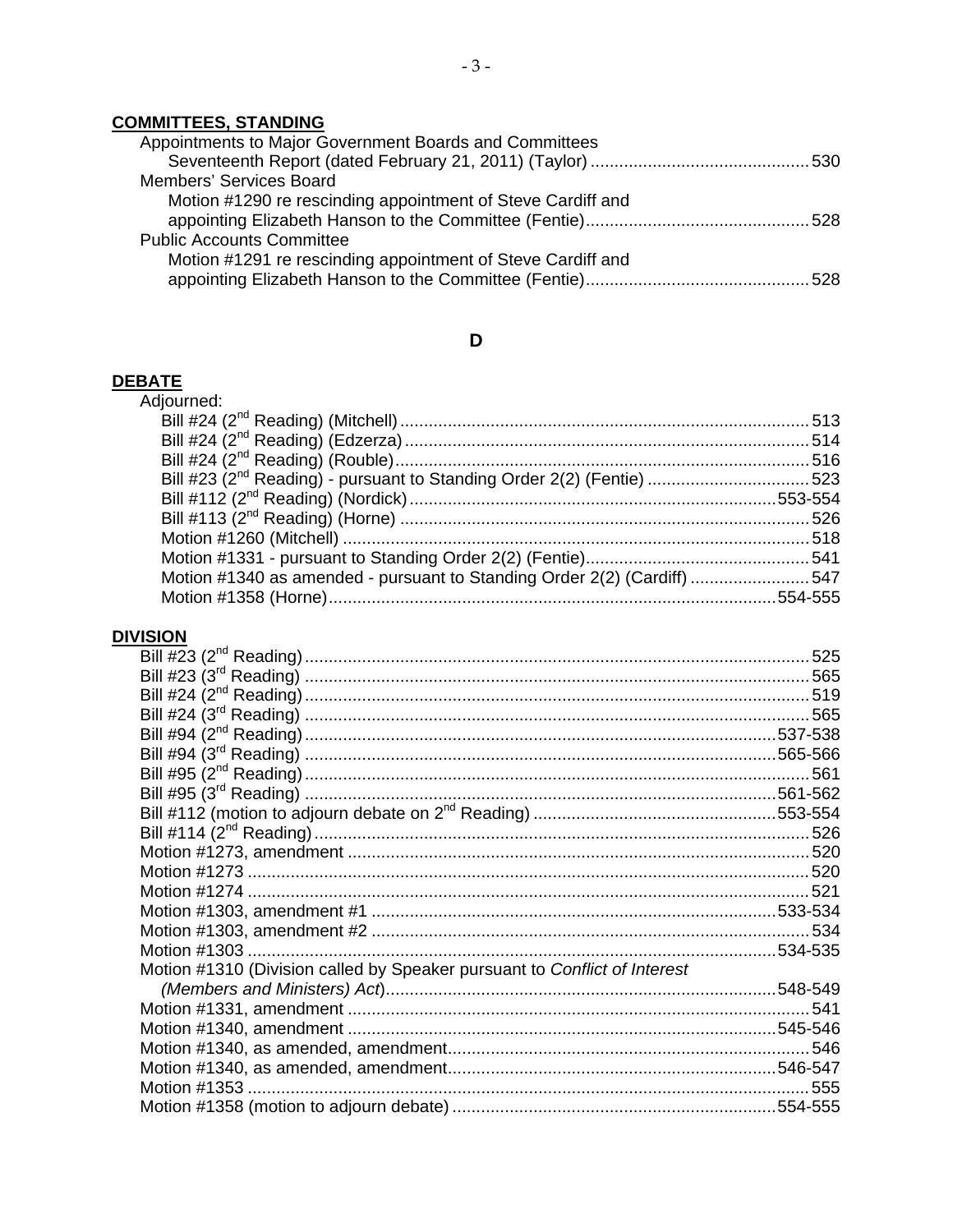## **COMMITTEES, STANDING**

| Appointments to Major Government Boards and Committees      |  |
|-------------------------------------------------------------|--|
|                                                             |  |
| Members' Services Board                                     |  |
| Motion #1290 re rescinding appointment of Steve Cardiff and |  |
|                                                             |  |
| <b>Public Accounts Committee</b>                            |  |
| Motion #1291 re rescinding appointment of Steve Cardiff and |  |
|                                                             |  |

## $\mathbf D$

# DEBATE<br>Adjouri

| AIC                                                                               |  |
|-----------------------------------------------------------------------------------|--|
| djourned:                                                                         |  |
|                                                                                   |  |
|                                                                                   |  |
|                                                                                   |  |
| Bill #23 (2 <sup>nd</sup> Reading) - pursuant to Standing Order 2(2) (Fentie) 523 |  |
|                                                                                   |  |
|                                                                                   |  |
|                                                                                   |  |
|                                                                                   |  |
| Motion #1340 as amended - pursuant to Standing Order 2(2) (Cardiff) 547           |  |
|                                                                                   |  |
|                                                                                   |  |

## **DIVISION**

| Bill #24 (3 <sup>rd</sup> Reading) ……………………………………………………………………………………………565 |          |
|---------------------------------------------------------------------------|----------|
|                                                                           |          |
|                                                                           |          |
| Bill #95 (2 <sup>nd</sup> Reading) ……………………………………………………………………………………………561 |          |
|                                                                           |          |
|                                                                           |          |
|                                                                           |          |
|                                                                           |          |
|                                                                           |          |
|                                                                           |          |
|                                                                           |          |
|                                                                           |          |
|                                                                           | .534-535 |
| Motion #1310 (Division called by Speaker pursuant to Conflict of Interest |          |
|                                                                           |          |
|                                                                           | 541      |
|                                                                           |          |
|                                                                           |          |
|                                                                           |          |
|                                                                           |          |
|                                                                           |          |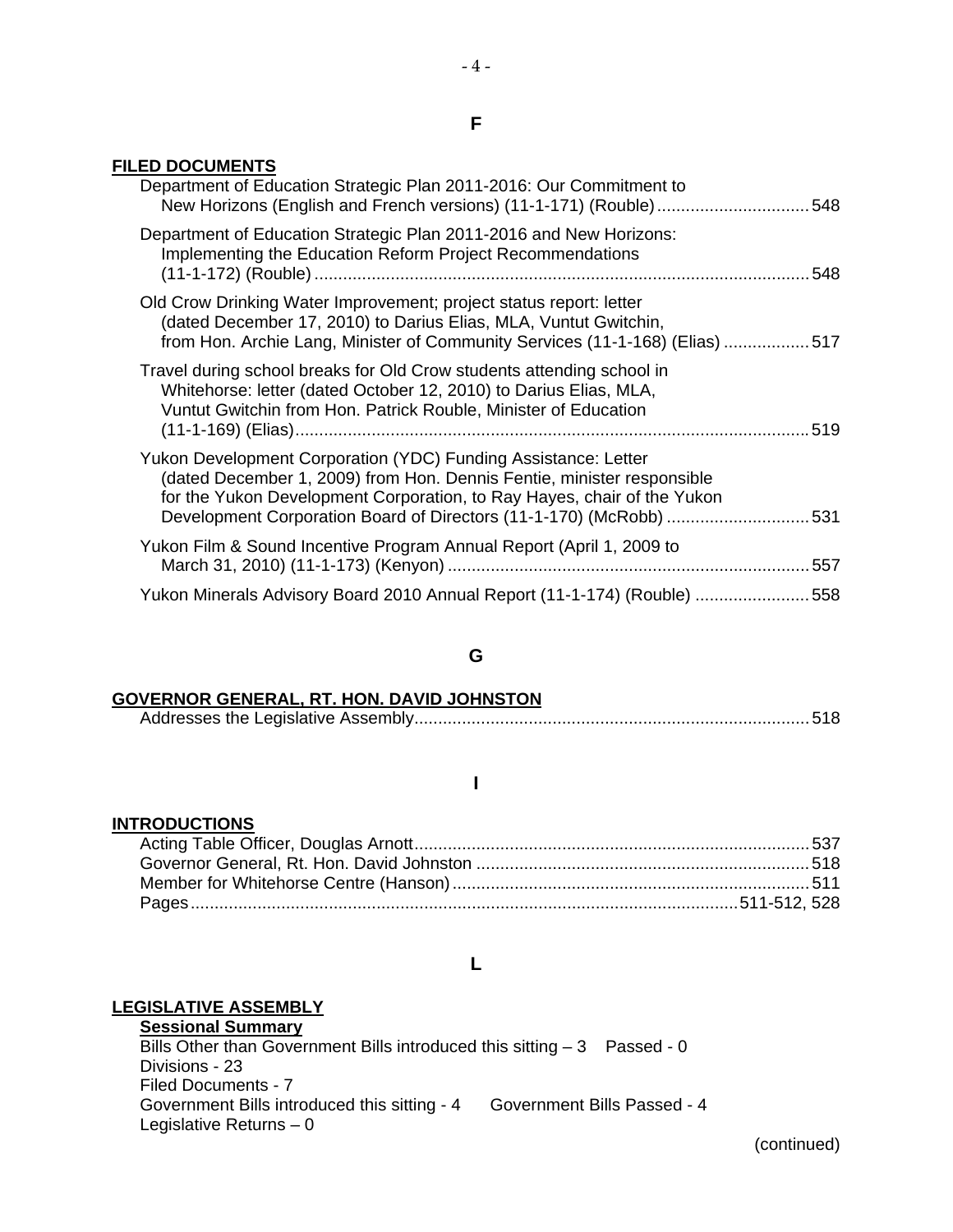#### **FILED DOCUMENTS**

| Department of Education Strategic Plan 2011-2016: Our Commitment to<br>New Horizons (English and French versions) (11-1-171) (Rouble)548                                                                                                                                                 |     |
|------------------------------------------------------------------------------------------------------------------------------------------------------------------------------------------------------------------------------------------------------------------------------------------|-----|
| Department of Education Strategic Plan 2011-2016 and New Horizons:<br>Implementing the Education Reform Project Recommendations                                                                                                                                                          | 548 |
| Old Crow Drinking Water Improvement; project status report: letter<br>(dated December 17, 2010) to Darius Elias, MLA, Vuntut Gwitchin,<br>from Hon. Archie Lang, Minister of Community Services (11-1-168) (Elias) 517                                                                   |     |
| Travel during school breaks for Old Crow students attending school in<br>Whitehorse: letter (dated October 12, 2010) to Darius Elias, MLA,<br>Vuntut Gwitchin from Hon. Patrick Rouble, Minister of Education                                                                            |     |
| Yukon Development Corporation (YDC) Funding Assistance: Letter<br>dated December 1, 2009) from Hon. Dennis Fentie, minister responsible<br>for the Yukon Development Corporation, to Ray Hayes, chair of the Yukon<br>Development Corporation Board of Directors (11-1-170) (McRobb) 531 |     |
| Yukon Film & Sound Incentive Program Annual Report (April 1, 2009 to                                                                                                                                                                                                                     |     |
| Yukon Minerals Advisory Board 2010 Annual Report (11-1-174) (Rouble) ……………………558                                                                                                                                                                                                         |     |

#### **G**

#### **GOVERNOR GENERAL, RT. HON. DAVID JOHNSTON**

|--|--|

#### **I**

#### **INTRODUCTIONS**

#### **L**

#### **LEGISLATIVE ASSEMBLY**

**Sessional Summary** Bills Other than Government Bills introduced this sitting  $-3$  Passed - 0 Divisions - 23 Filed Documents - 7 Government Bills introduced this sitting - 4 Government Bills Passed - 4 Legislative Returns – 0

(continued)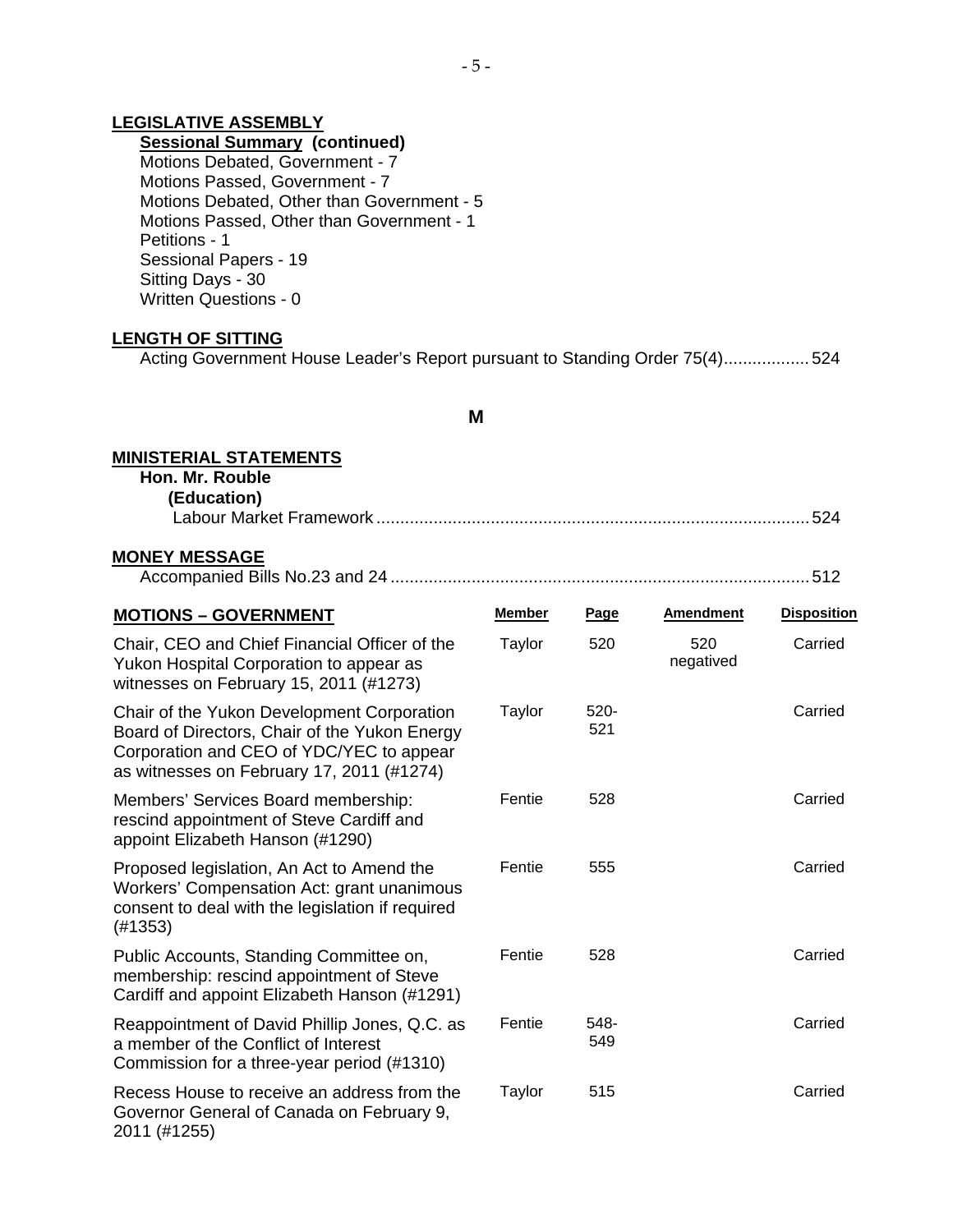#### **LEGISLATIVE ASSEMBLY**

#### **Sessional Summary (continued)**

 Motions Debated, Government - 7 Motions Passed, Government - 7 Motions Debated, Other than Government - 5 Motions Passed, Other than Government - 1 Petitions - 1 Sessional Papers - 19 Sitting Days - 30 Written Questions - 0

#### **LENGTH OF SITTING**

Acting Government House Leader's Report pursuant to Standing Order 75(4)..................524

#### **M**

#### **MINISTERIAL STATEMENTS**

 **Hon. Mr. Rouble (Education)** 

| I LUULaliVIII           |  |
|-------------------------|--|
| ∟abour Market Framework |  |

#### **MONEY MESSAGE**

| <b>MOTIONS - GOVERNMENT</b>                                                                                                                                                          | <b>Member</b> | <u>Page</u>    | <b>Amendment</b> | <b>Disposition</b> |
|--------------------------------------------------------------------------------------------------------------------------------------------------------------------------------------|---------------|----------------|------------------|--------------------|
| Chair, CEO and Chief Financial Officer of the<br>Yukon Hospital Corporation to appear as<br>witnesses on February 15, 2011 (#1273)                                                   | Taylor        | 520            | 520<br>negatived | Carried            |
| Chair of the Yukon Development Corporation<br>Board of Directors, Chair of the Yukon Energy<br>Corporation and CEO of YDC/YEC to appear<br>as witnesses on February 17, 2011 (#1274) | Taylor        | $520 -$<br>521 |                  | Carried            |
| Members' Services Board membership:<br>rescind appointment of Steve Cardiff and<br>appoint Elizabeth Hanson (#1290)                                                                  | Fentie        | 528            |                  | Carried            |
| Proposed legislation, An Act to Amend the<br>Workers' Compensation Act: grant unanimous<br>consent to deal with the legislation if required<br>(#1353)                               | Fentie        | 555            |                  | Carried            |
| Public Accounts, Standing Committee on,<br>membership: rescind appointment of Steve<br>Cardiff and appoint Elizabeth Hanson (#1291)                                                  | Fentie        | 528            |                  | Carried            |
| Reappointment of David Phillip Jones, Q.C. as<br>a member of the Conflict of Interest<br>Commission for a three-year period (#1310)                                                  | Fentie        | 548-<br>549    |                  | Carried            |
| Recess House to receive an address from the<br>Governor General of Canada on February 9,<br>2011 (#1255)                                                                             | Taylor        | 515            |                  | Carried            |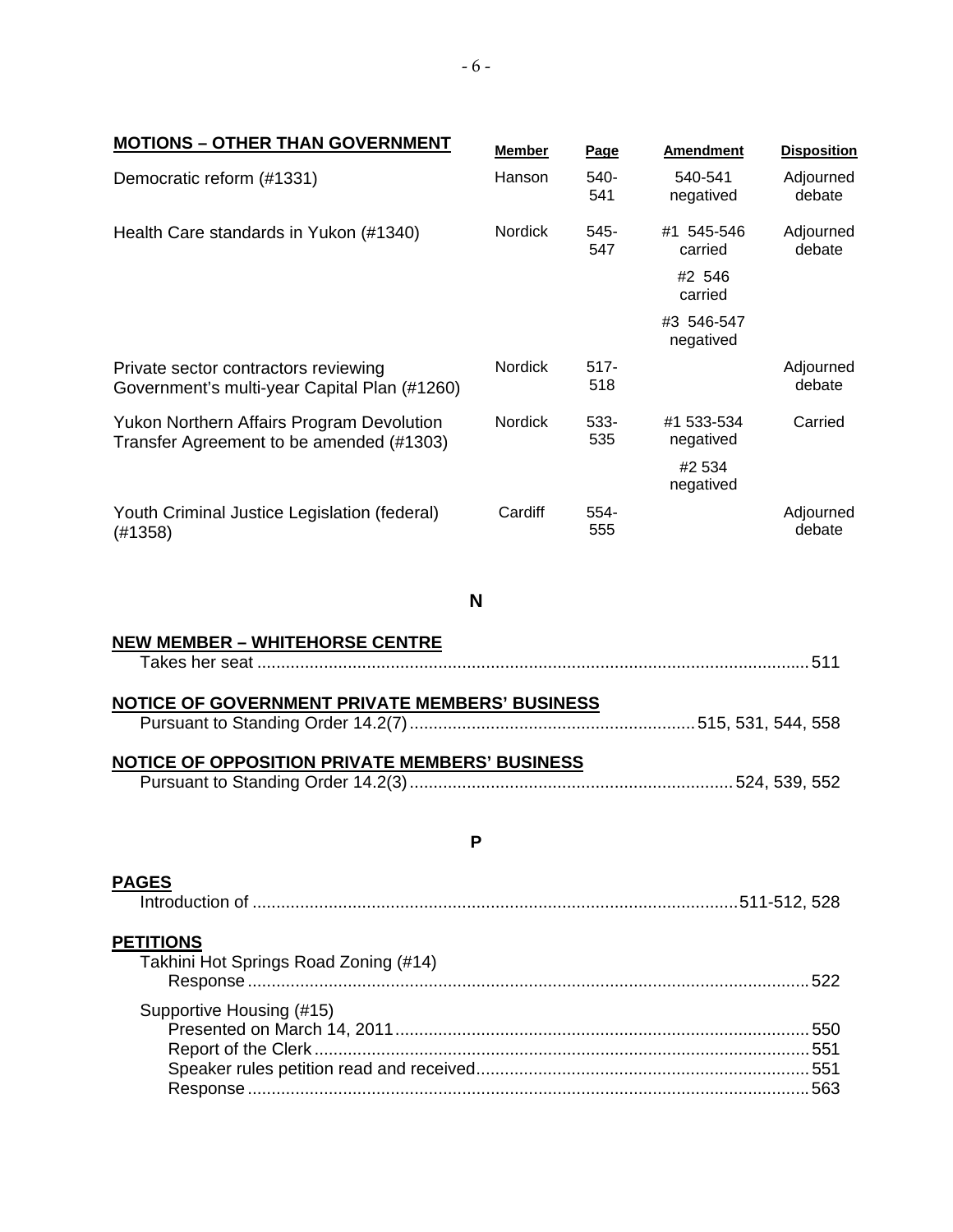| <b>MOTIONS - OTHER THAN GOVERNMENT</b>                                                       | <b>Member</b>  | <b>Page</b>    | <b>Amendment</b>        | <b>Disposition</b>  |
|----------------------------------------------------------------------------------------------|----------------|----------------|-------------------------|---------------------|
| Democratic reform (#1331)                                                                    | Hanson         | 540-<br>541    | 540-541<br>negatived    | Adjourned<br>debate |
| Health Care standards in Yukon (#1340)                                                       | <b>Nordick</b> | 545-<br>547    | #1 545-546<br>carried   | Adjourned<br>debate |
|                                                                                              |                |                | #2 546<br>carried       |                     |
|                                                                                              |                |                | #3 546-547<br>negatived |                     |
| Private sector contractors reviewing<br>Government's multi-year Capital Plan (#1260)         | Nordick        | $517 -$<br>518 |                         | Adjourned<br>debate |
| <b>Yukon Northern Affairs Program Devolution</b><br>Transfer Agreement to be amended (#1303) | <b>Nordick</b> | 533-<br>535    | #1 533-534<br>negatived | Carried             |
|                                                                                              |                |                | #2 534<br>negatived     |                     |
| Youth Criminal Justice Legislation (federal)<br>(H1358)                                      | Cardiff        | 554-<br>555    |                         | Adjourned<br>debate |
| N                                                                                            |                |                |                         |                     |
| <u>NEW MEMBER – WHITEHORSE CENTRE</u>                                                        |                |                |                         |                     |
| NOTICE OF GOVERNMENT PRIVATE MEMBERS' BUSINESS                                               |                |                |                         |                     |
|                                                                                              |                |                |                         |                     |
| NOTICE OF OPPOSITION PRIVATE MEMBERS' BUSINESS                                               |                |                |                         |                     |
| Ρ                                                                                            |                |                |                         |                     |
| <b>PAGES</b>                                                                                 |                |                |                         |                     |
| <b>PETITIONS</b><br>Takhini Hot Springs Road Zoning (#14)                                    |                |                |                         |                     |
| Supportive Housing (#15)                                                                     |                |                |                         |                     |
|                                                                                              |                |                |                         |                     |
|                                                                                              |                |                |                         |                     |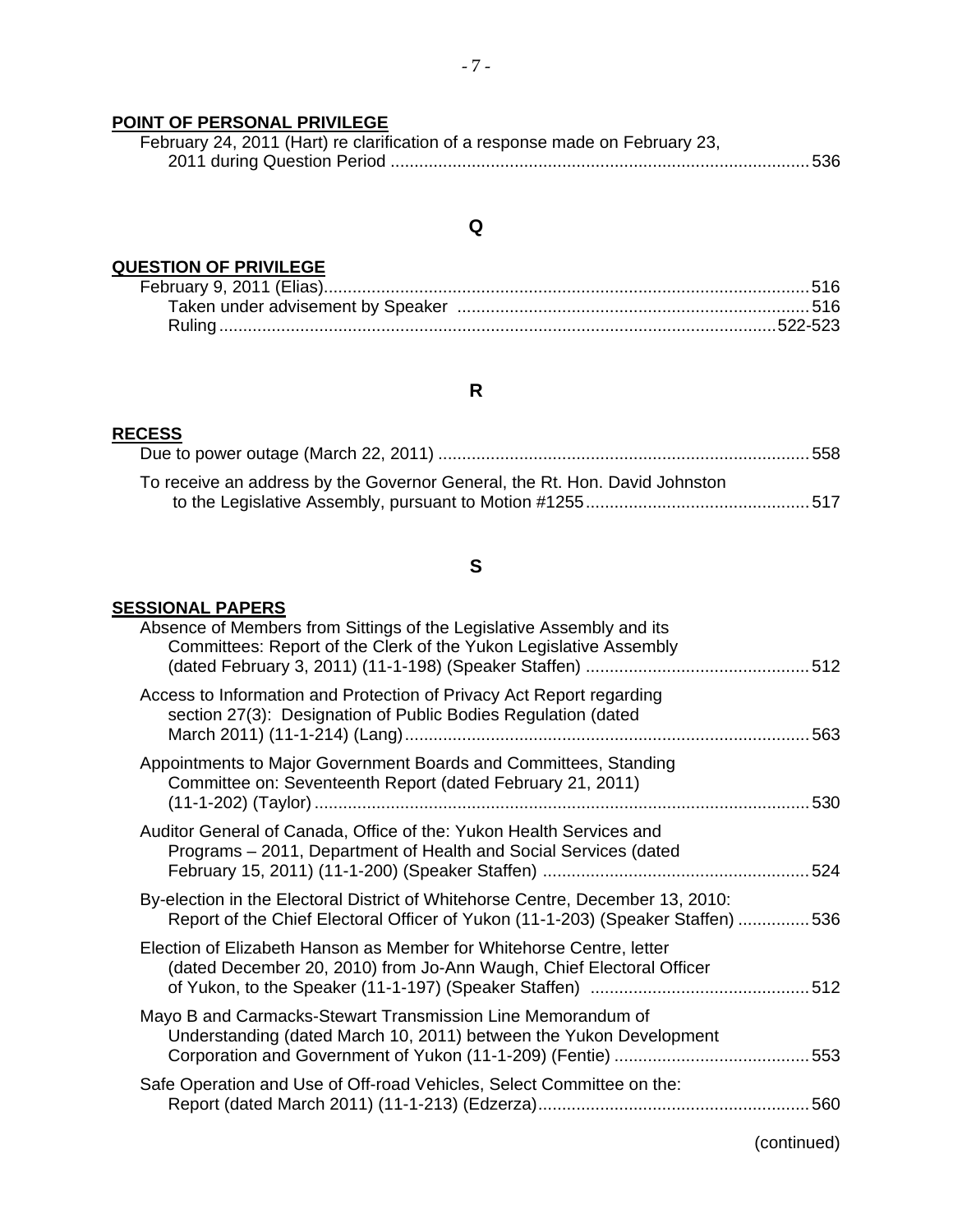## **POINT OF PERSONAL PRIVILEGE**

| February 24, 2011 (Hart) re clarification of a response made on February 23, |  |
|------------------------------------------------------------------------------|--|
|                                                                              |  |

## **Q**

# **QUESTION OF PRIVILEGE**<br>February 9, 2011 (Elias).

## **R**

#### **RECESS**

| To receive an address by the Governor General, the Rt. Hon. David Johnston |
|----------------------------------------------------------------------------|
|                                                                            |

## **S**

#### **SESSIONAL PAPERS**

| Absence of Members from Sittings of the Legislative Assembly and its<br>Committees: Report of the Clerk of the Yukon Legislative Assembly                                                   |     |
|---------------------------------------------------------------------------------------------------------------------------------------------------------------------------------------------|-----|
| Access to Information and Protection of Privacy Act Report regarding<br>section 27(3): Designation of Public Bodies Regulation (dated                                                       |     |
| Appointments to Major Government Boards and Committees, Standing<br>Committee on: Seventeenth Report (dated February 21, 2011)<br>(11-1-202) (Taylor) …………………………………………………………………………………………530 |     |
| Auditor General of Canada, Office of the: Yukon Health Services and<br>Programs – 2011, Department of Health and Social Services (dated                                                     |     |
| By-election in the Electoral District of Whitehorse Centre, December 13, 2010:<br>Report of the Chief Electoral Officer of Yukon (11-1-203) (Speaker Staffen) 536                           |     |
| Election of Elizabeth Hanson as Member for Whitehorse Centre, letter<br>(dated December 20, 2010) from Jo-Ann Waugh, Chief Electoral Officer                                                |     |
| Mayo B and Carmacks-Stewart Transmission Line Memorandum of<br>Understanding (dated March 10, 2011) between the Yukon Development                                                           |     |
| Safe Operation and Use of Off-road Vehicles, Select Committee on the:                                                                                                                       | 560 |
|                                                                                                                                                                                             |     |

(continued)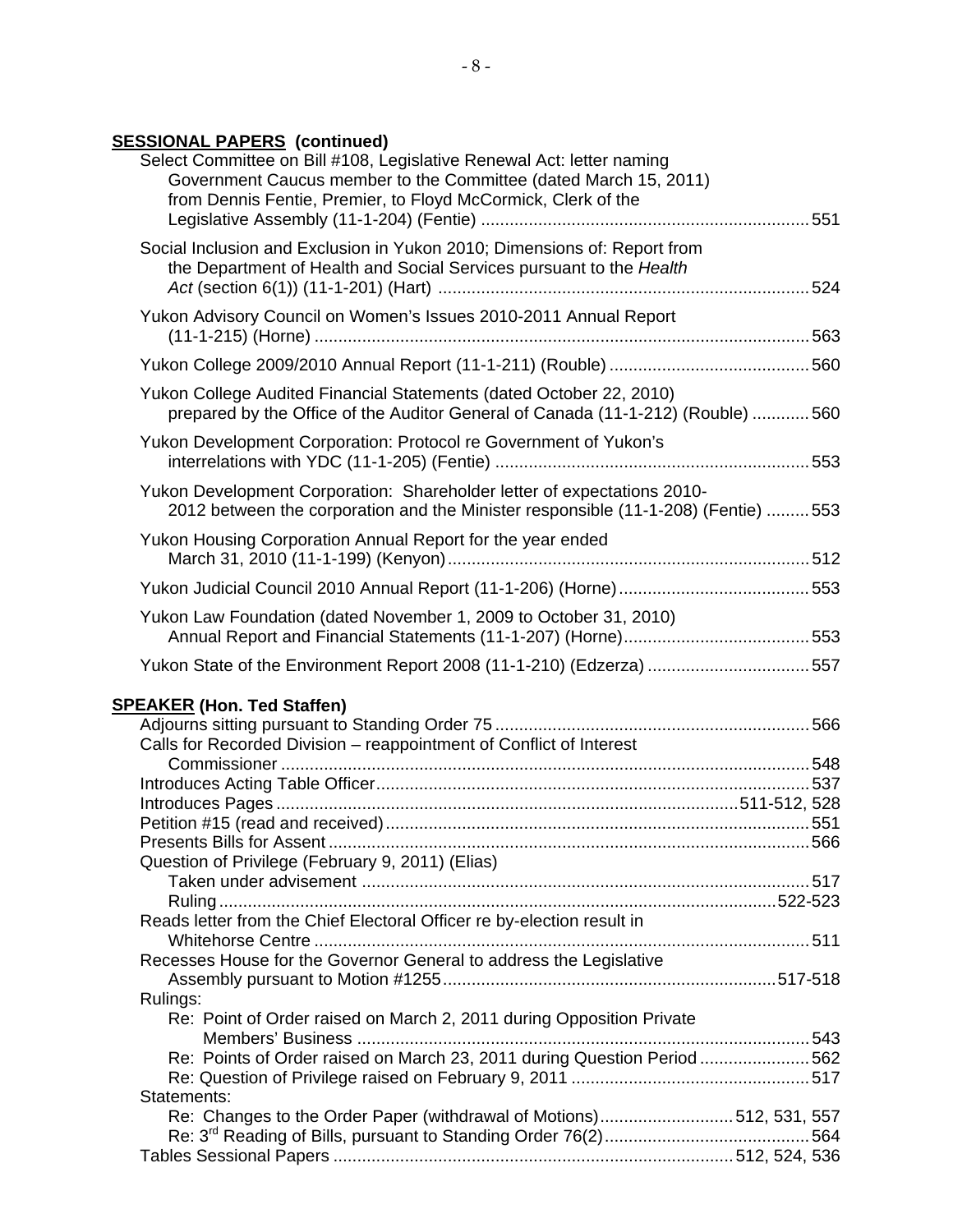## **SESSIONAL PAPERS (continued)**

| Select Committee on Bill #108, Legislative Renewal Act: letter naming<br>Government Caucus member to the Committee (dated March 15, 2011)<br>from Dennis Fentie, Premier, to Floyd McCormick, Clerk of the |  |
|------------------------------------------------------------------------------------------------------------------------------------------------------------------------------------------------------------|--|
| Social Inclusion and Exclusion in Yukon 2010; Dimensions of: Report from<br>the Department of Health and Social Services pursuant to the Health                                                            |  |
| Yukon Advisory Council on Women's Issues 2010-2011 Annual Report<br>(11-1-215) (Horne) ……………………………………………………………………………………………563                                                                              |  |
|                                                                                                                                                                                                            |  |
| Yukon College Audited Financial Statements (dated October 22, 2010)<br>prepared by the Office of the Auditor General of Canada (11-1-212) (Rouble) 560                                                     |  |
| Yukon Development Corporation: Protocol re Government of Yukon's                                                                                                                                           |  |
| Yukon Development Corporation: Shareholder letter of expectations 2010-<br>2012 between the corporation and the Minister responsible (11-1-208) (Fentie) 553                                               |  |
| Yukon Housing Corporation Annual Report for the year ended                                                                                                                                                 |  |
|                                                                                                                                                                                                            |  |
| Yukon Law Foundation (dated November 1, 2009 to October 31, 2010)                                                                                                                                          |  |
| Yukon State of the Environment Report 2008 (11-1-210) (Edzerza) 557                                                                                                                                        |  |
|                                                                                                                                                                                                            |  |
| <b>SPEAKER (Hon. Ted Staffen)</b>                                                                                                                                                                          |  |
| Calls for Recorded Division - reappointment of Conflict of Interest                                                                                                                                        |  |
|                                                                                                                                                                                                            |  |
|                                                                                                                                                                                                            |  |
|                                                                                                                                                                                                            |  |
|                                                                                                                                                                                                            |  |
|                                                                                                                                                                                                            |  |
| Question of Privilege (February 9, 2011) (Elias)                                                                                                                                                           |  |
|                                                                                                                                                                                                            |  |
| Reads letter from the Chief Electoral Officer re by-election result in                                                                                                                                     |  |
|                                                                                                                                                                                                            |  |
| Recesses House for the Governor General to address the Legislative                                                                                                                                         |  |
|                                                                                                                                                                                                            |  |
| Rulings:                                                                                                                                                                                                   |  |
| Re: Point of Order raised on March 2, 2011 during Opposition Private                                                                                                                                       |  |
|                                                                                                                                                                                                            |  |
| Re: Points of Order raised on March 23, 2011 during Question Period 562                                                                                                                                    |  |
|                                                                                                                                                                                                            |  |
| Statements:                                                                                                                                                                                                |  |
| Re: Changes to the Order Paper (withdrawal of Motions)512, 531, 557                                                                                                                                        |  |
|                                                                                                                                                                                                            |  |
|                                                                                                                                                                                                            |  |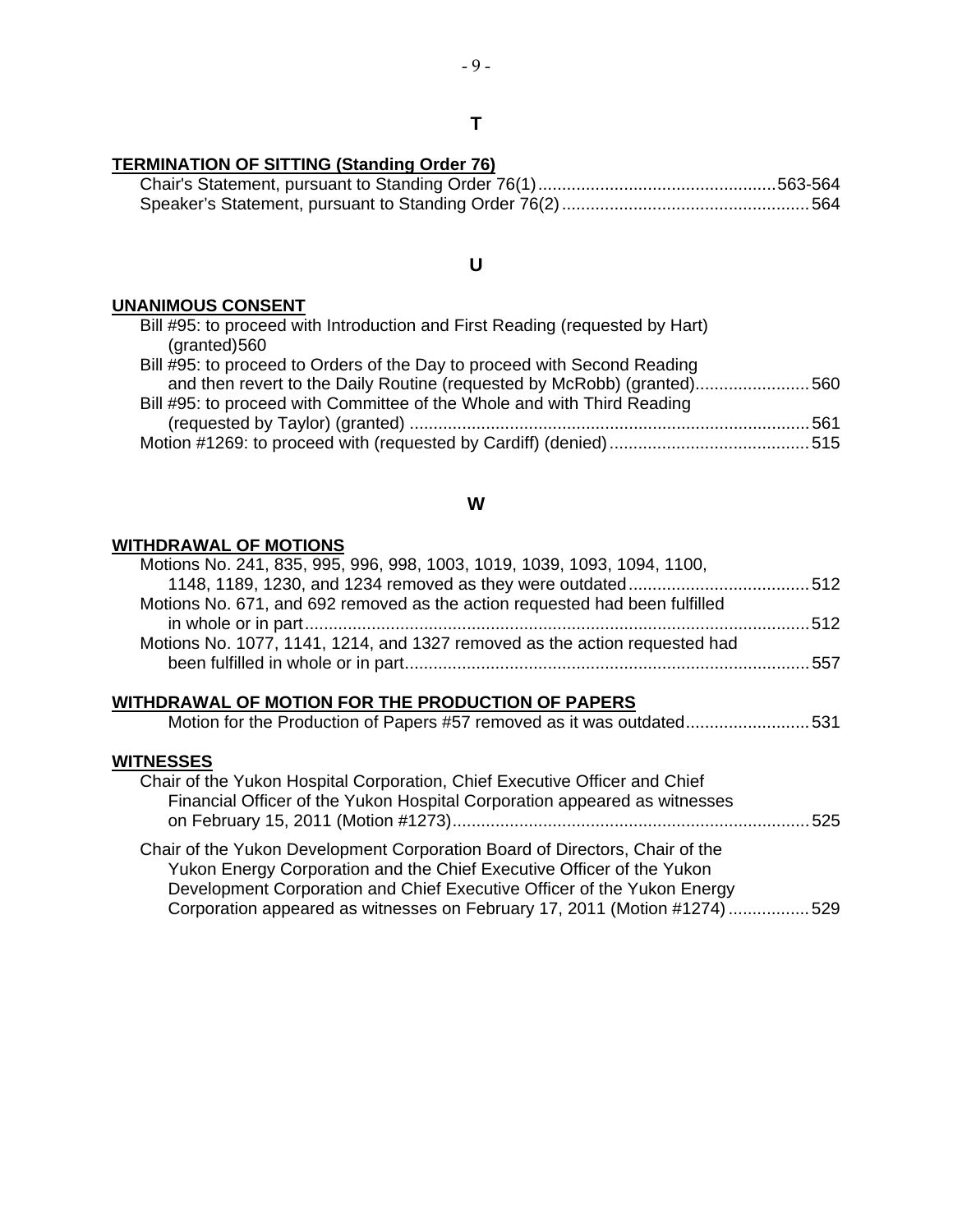#### **T**

#### **TERMINATION OF SITTING (Standing Order 76)**

#### **U**

#### **UNANIMOUS CONSENT**

| Bill #95: to proceed with Introduction and First Reading (requested by Hart)<br>$(granted)$ 560 |  |
|-------------------------------------------------------------------------------------------------|--|
| Bill #95: to proceed to Orders of the Day to proceed with Second Reading                        |  |
| and then revert to the Daily Routine (requested by McRobb) (granted)560                         |  |
| Bill #95: to proceed with Committee of the Whole and with Third Reading                         |  |
|                                                                                                 |  |
|                                                                                                 |  |

#### **W**

#### **WITHDRAWAL OF MOTIONS**

| Motions No. 241, 835, 995, 996, 998, 1003, 1019, 1039, 1093, 1094, 1100,                                                                                                                                                                                                                                    |  |
|-------------------------------------------------------------------------------------------------------------------------------------------------------------------------------------------------------------------------------------------------------------------------------------------------------------|--|
| Motions No. 671, and 692 removed as the action requested had been fulfilled                                                                                                                                                                                                                                 |  |
| Motions No. 1077, 1141, 1214, and 1327 removed as the action requested had                                                                                                                                                                                                                                  |  |
| WITHDRAWAL OF MOTION FOR THE PRODUCTION OF PAPERS<br>Motion for the Production of Papers #57 removed as it was outdated531                                                                                                                                                                                  |  |
| <b>WITNESSES</b><br>Chair of the Yukon Hospital Corporation, Chief Executive Officer and Chief<br>Financial Officer of the Yukon Hospital Corporation appeared as witnesses                                                                                                                                 |  |
| Chair of the Yukon Development Corporation Board of Directors, Chair of the<br>Yukon Energy Corporation and the Chief Executive Officer of the Yukon<br>Development Corporation and Chief Executive Officer of the Yukon Energy<br>Corporation appeared as witnesses on February 17, 2011 (Motion #1274)529 |  |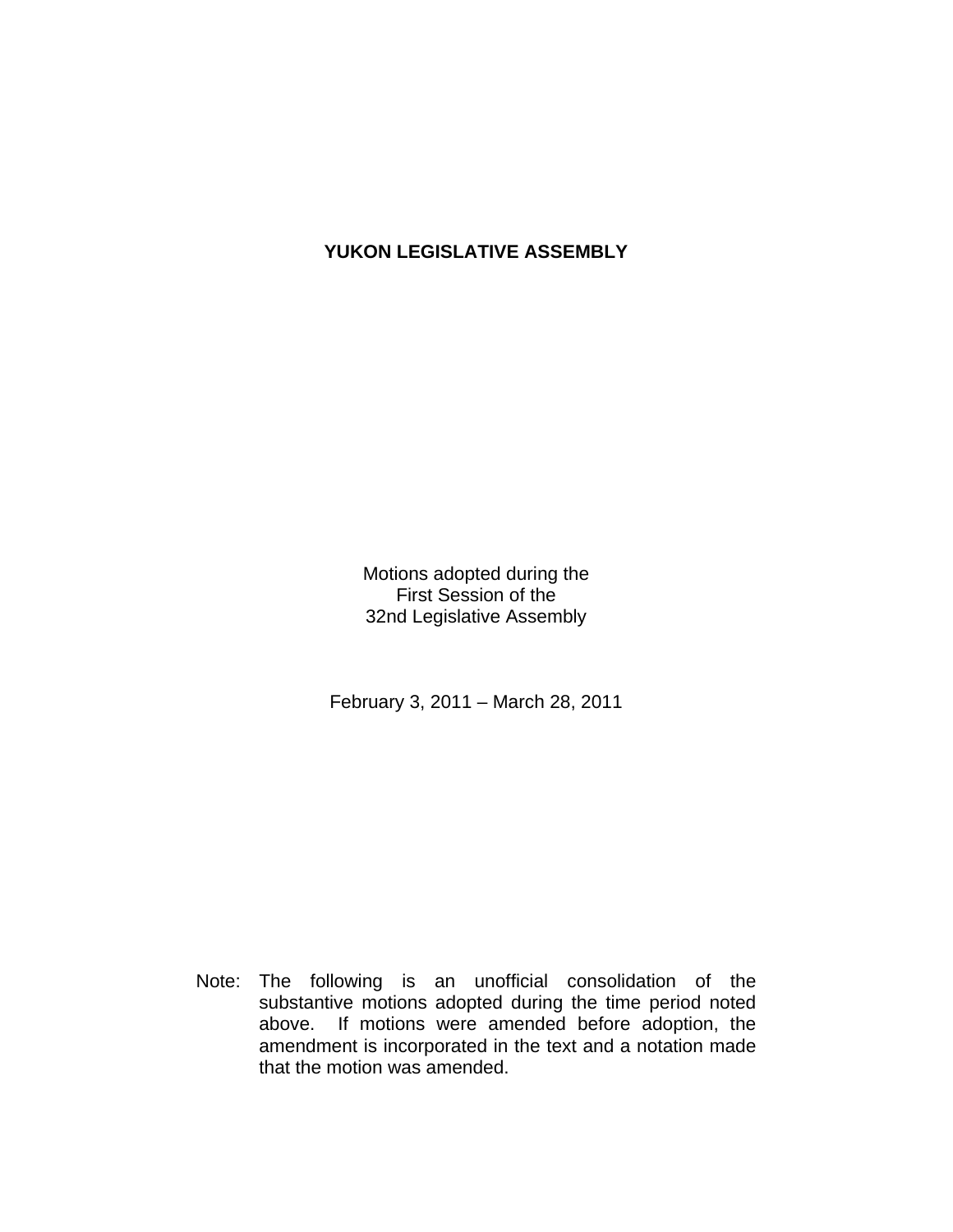## **YUKON LEGISLATIVE ASSEMBLY**

Motions adopted during the First Session of the 32nd Legislative Assembly

February 3, 2011 – March 28, 2011

 Note: The following is an unofficial consolidation of the substantive motions adopted during the time period noted above. If motions were amended before adoption, the amendment is incorporated in the text and a notation made that the motion was amended.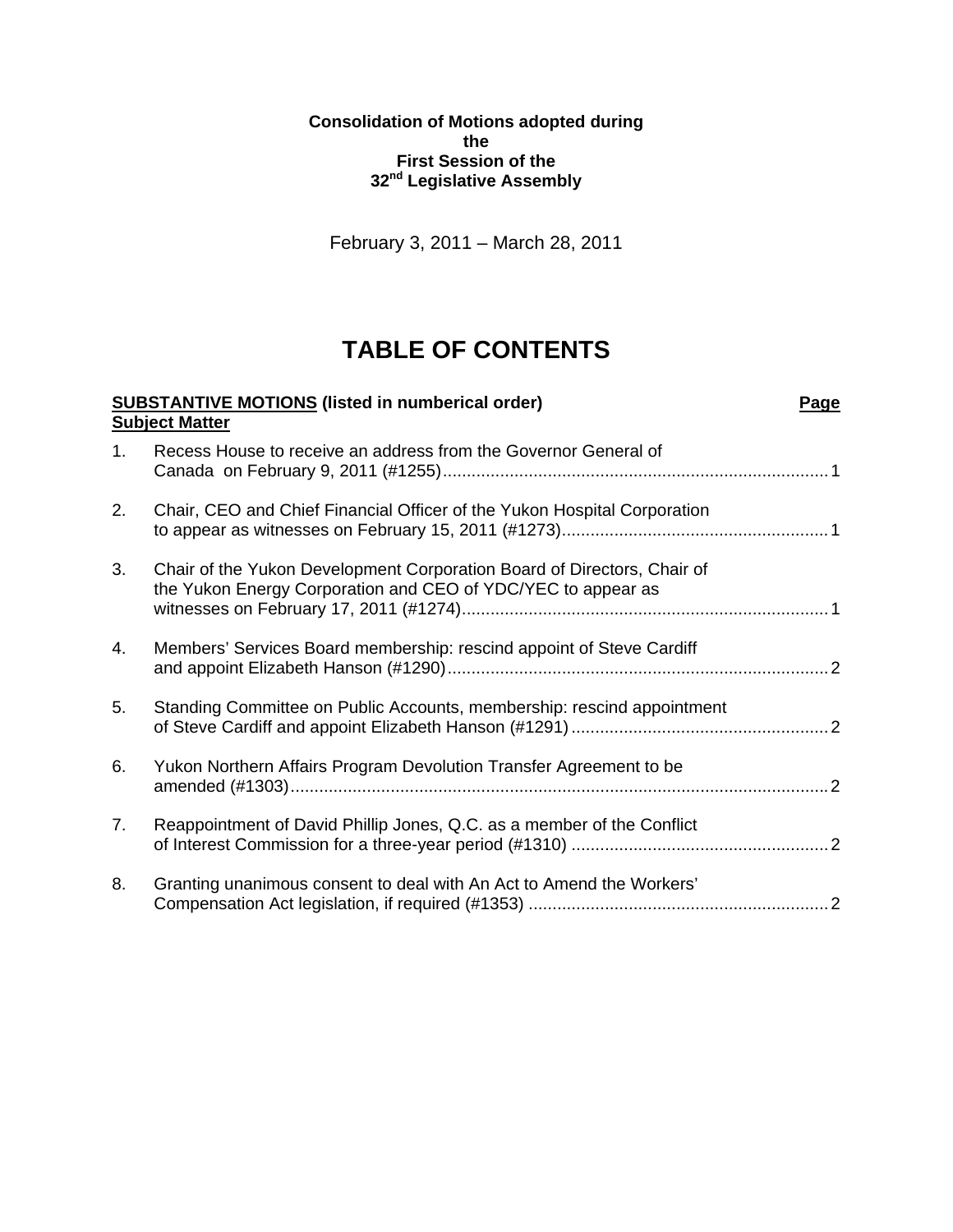**Consolidation of Motions adopted during the First Session of the 32nd Legislative Assembly** 

February 3, 2011 – March 28, 2011

## **TABLE OF CONTENTS**

|    | <b>SUBSTANTIVE MOTIONS</b> (listed in numberical order)                                                                                 | Page |
|----|-----------------------------------------------------------------------------------------------------------------------------------------|------|
|    | <b>Subject Matter</b>                                                                                                                   |      |
| 1. | Recess House to receive an address from the Governor General of                                                                         |      |
| 2. | Chair, CEO and Chief Financial Officer of the Yukon Hospital Corporation                                                                |      |
| 3. | Chair of the Yukon Development Corporation Board of Directors, Chair of<br>the Yukon Energy Corporation and CEO of YDC/YEC to appear as |      |
| 4. | Members' Services Board membership: rescind appoint of Steve Cardiff                                                                    |      |
| 5. | Standing Committee on Public Accounts, membership: rescind appointment                                                                  |      |
| 6. | Yukon Northern Affairs Program Devolution Transfer Agreement to be                                                                      |      |
| 7. | Reappointment of David Phillip Jones, Q.C. as a member of the Conflict                                                                  |      |
| 8. | Granting unanimous consent to deal with An Act to Amend the Workers'                                                                    |      |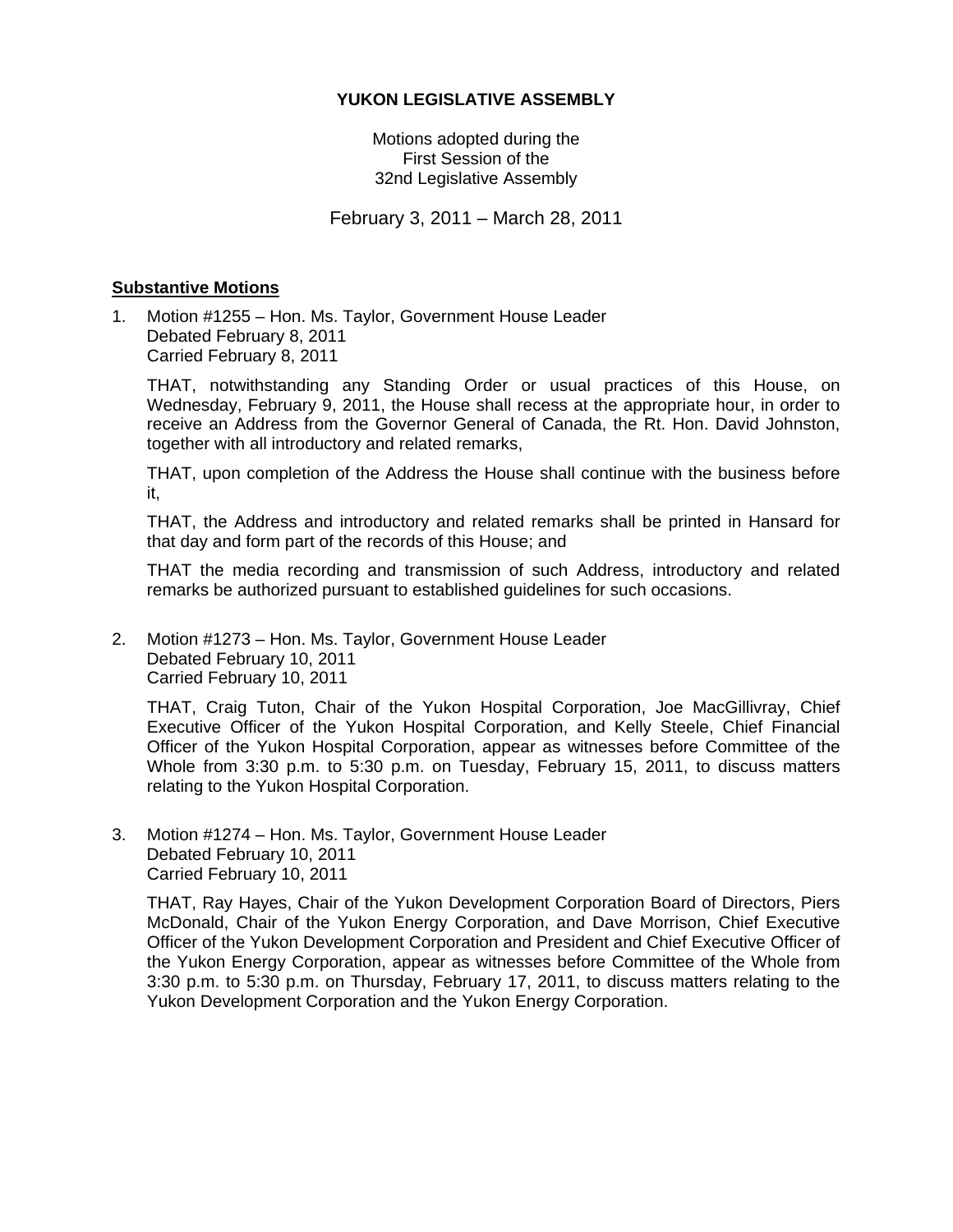#### **YUKON LEGISLATIVE ASSEMBLY**

Motions adopted during the First Session of the 32nd Legislative Assembly

February 3, 2011 – March 28, 2011

#### **Substantive Motions**

1. Motion #1255 – Hon. Ms. Taylor, Government House Leader Debated February 8, 2011 Carried February 8, 2011

 THAT, notwithstanding any Standing Order or usual practices of this House, on Wednesday, February 9, 2011, the House shall recess at the appropriate hour, in order to receive an Address from the Governor General of Canada, the Rt. Hon. David Johnston, together with all introductory and related remarks,

 THAT, upon completion of the Address the House shall continue with the business before it,

 THAT, the Address and introductory and related remarks shall be printed in Hansard for that day and form part of the records of this House; and

 THAT the media recording and transmission of such Address, introductory and related remarks be authorized pursuant to established guidelines for such occasions.

2. Motion #1273 – Hon. Ms. Taylor, Government House Leader Debated February 10, 2011 Carried February 10, 2011

 THAT, Craig Tuton, Chair of the Yukon Hospital Corporation, Joe MacGillivray, Chief Executive Officer of the Yukon Hospital Corporation, and Kelly Steele, Chief Financial Officer of the Yukon Hospital Corporation, appear as witnesses before Committee of the Whole from 3:30 p.m. to 5:30 p.m. on Tuesday, February 15, 2011, to discuss matters relating to the Yukon Hospital Corporation.

3. Motion #1274 – Hon. Ms. Taylor, Government House Leader Debated February 10, 2011 Carried February 10, 2011

 THAT, Ray Hayes, Chair of the Yukon Development Corporation Board of Directors, Piers McDonald, Chair of the Yukon Energy Corporation, and Dave Morrison, Chief Executive Officer of the Yukon Development Corporation and President and Chief Executive Officer of the Yukon Energy Corporation, appear as witnesses before Committee of the Whole from 3:30 p.m. to 5:30 p.m. on Thursday, February 17, 2011, to discuss matters relating to the Yukon Development Corporation and the Yukon Energy Corporation.